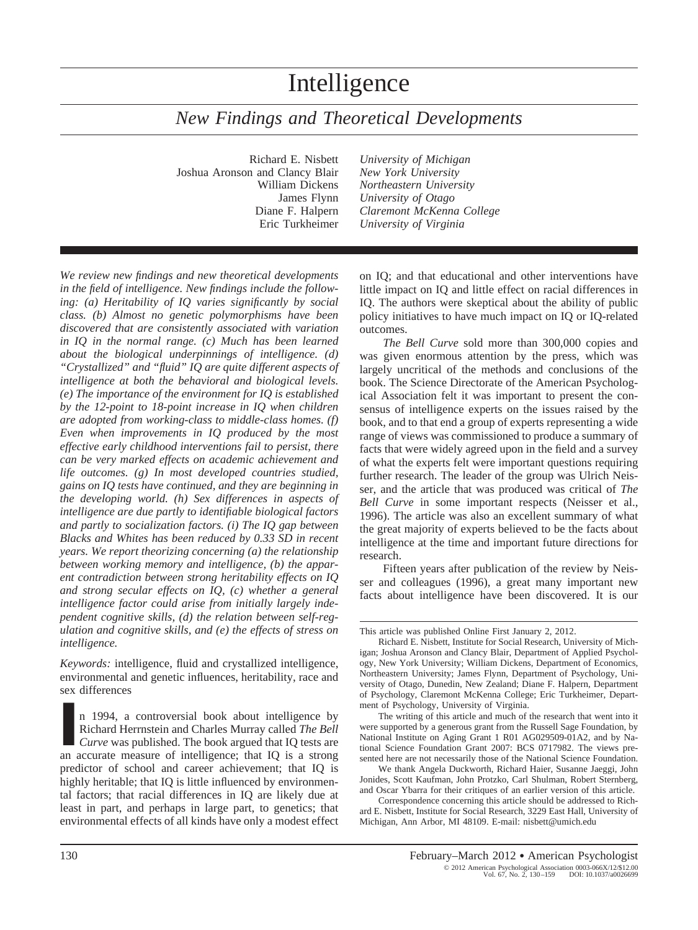# *New Findings and Theoretical Developments*

Joshua Aronson and Clancy Blair *New York University*

Richard E. Nisbett *University of Michigan* William Dickens *Northeastern University* James Flynn *University of Otago* Diane F. Halpern *Claremont McKenna College* Eric Turkheimer *University of Virginia*

*We review new findings and new theoretical developments in the field of intelligence. New findings include the following: (a) Heritability of IQ varies significantly by social class. (b) Almost no genetic polymorphisms have been discovered that are consistently associated with variation in IQ in the normal range. (c) Much has been learned about the biological underpinnings of intelligence. (d) "Crystallized" and "fluid" IQ are quite different aspects of intelligence at both the behavioral and biological levels. (e) The importance of the environment for IQ is established by the 12-point to 18-point increase in IQ when children are adopted from working-class to middle-class homes. (f) Even when improvements in IQ produced by the most effective early childhood interventions fail to persist, there can be very marked effects on academic achievement and life outcomes. (g) In most developed countries studied, gains on IQ tests have continued, and they are beginning in the developing world. (h) Sex differences in aspects of intelligence are due partly to identifiable biological factors and partly to socialization factors. (i) The IQ gap between Blacks and Whites has been reduced by 0.33 SD in recent years. We report theorizing concerning (a) the relationship between working memory and intelligence, (b) the apparent contradiction between strong heritability effects on IQ and strong secular effects on IQ, (c) whether a general intelligence factor could arise from initially largely independent cognitive skills, (d) the relation between self-regulation and cognitive skills, and (e) the effects of stress on intelligence.*

*Keywords:* intelligence, fluid and crystallized intelligence, environmental and genetic influences, heritability, race and sex differences

**I** n 1994, a controversial book about intelligence by Richard Herrnstein and Charles Murray called *The Bell Curve* was published. The book argued that IQ tests are an accurate measure of intelligence; that IQ is a strong n 1994, a controversial book about intelligence by Richard Herrnstein and Charles Murray called *The Bell Curve* was published. The book argued that IQ tests are predictor of school and career achievement; that IQ is highly heritable; that IQ is little influenced by environmental factors; that racial differences in IQ are likely due at least in part, and perhaps in large part, to genetics; that environmental effects of all kinds have only a modest effect on IQ; and that educational and other interventions have little impact on IQ and little effect on racial differences in IQ. The authors were skeptical about the ability of public policy initiatives to have much impact on IQ or IQ-related outcomes.

*The Bell Curve* sold more than 300,000 copies and was given enormous attention by the press, which was largely uncritical of the methods and conclusions of the book. The Science Directorate of the American Psychological Association felt it was important to present the consensus of intelligence experts on the issues raised by the book, and to that end a group of experts representing a wide range of views was commissioned to produce a summary of facts that were widely agreed upon in the field and a survey of what the experts felt were important questions requiring further research. The leader of the group was Ulrich Neisser, and the article that was produced was critical of *The Bell Curve* in some important respects (Neisser et al., 1996). The article was also an excellent summary of what the great majority of experts believed to be the facts about intelligence at the time and important future directions for research.

Fifteen years after publication of the review by Neisser and colleagues (1996), a great many important new facts about intelligence have been discovered. It is our

The writing of this article and much of the research that went into it were supported by a generous grant from the Russell Sage Foundation, by National Institute on Aging Grant 1 R01 AG029509-01A2, and by National Science Foundation Grant 2007: BCS 0717982. The views presented here are not necessarily those of the National Science Foundation.

We thank Angela Duckworth, Richard Haier, Susanne Jaeggi, John Jonides, Scott Kaufman, John Protzko, Carl Shulman, Robert Sternberg, and Oscar Ybarra for their critiques of an earlier version of this article.

Correspondence concerning this article should be addressed to Richard E. Nisbett, Institute for Social Research, 3229 East Hall, University of Michigan, Ann Arbor, MI 48109. E-mail: nisbett@umich.edu

This article was published Online First January 2, 2012.

Richard E. Nisbett, Institute for Social Research, University of Michigan; Joshua Aronson and Clancy Blair, Department of Applied Psychology, New York University; William Dickens, Department of Economics, Northeastern University; James Flynn, Department of Psychology, University of Otago, Dunedin, New Zealand; Diane F. Halpern, Department of Psychology, Claremont McKenna College; Eric Turkheimer, Department of Psychology, University of Virginia.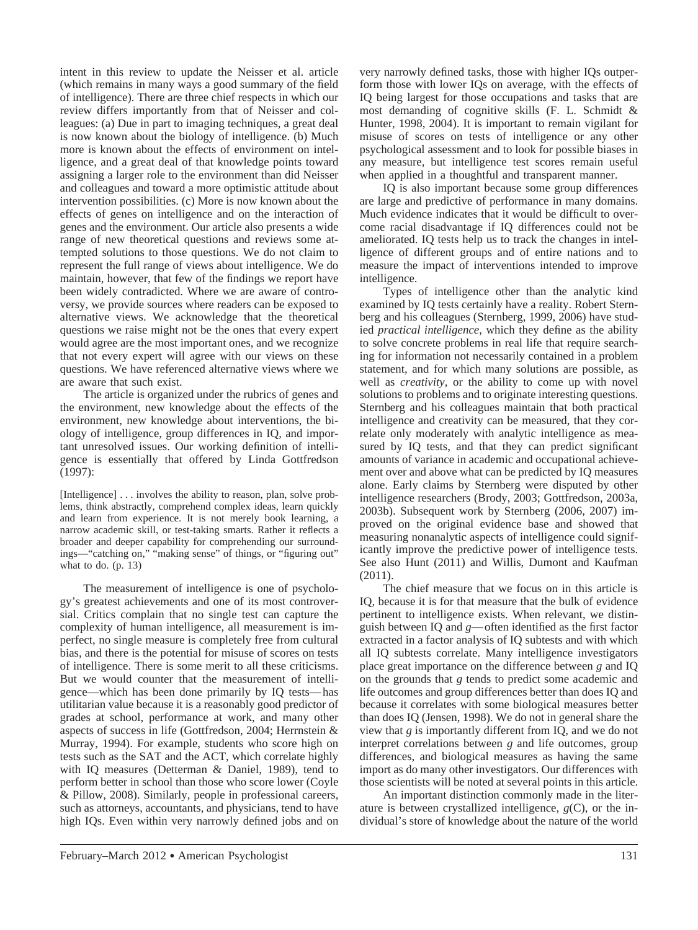intent in this review to update the Neisser et al. article (which remains in many ways a good summary of the field of intelligence). There are three chief respects in which our review differs importantly from that of Neisser and colleagues: (a) Due in part to imaging techniques, a great deal is now known about the biology of intelligence. (b) Much more is known about the effects of environment on intelligence, and a great deal of that knowledge points toward assigning a larger role to the environment than did Neisser and colleagues and toward a more optimistic attitude about intervention possibilities. (c) More is now known about the effects of genes on intelligence and on the interaction of genes and the environment. Our article also presents a wide range of new theoretical questions and reviews some attempted solutions to those questions. We do not claim to represent the full range of views about intelligence. We do maintain, however, that few of the findings we report have been widely contradicted. Where we are aware of controversy, we provide sources where readers can be exposed to alternative views. We acknowledge that the theoretical questions we raise might not be the ones that every expert would agree are the most important ones, and we recognize that not every expert will agree with our views on these questions. We have referenced alternative views where we are aware that such exist.

The article is organized under the rubrics of genes and the environment, new knowledge about the effects of the environment, new knowledge about interventions, the biology of intelligence, group differences in IQ, and important unresolved issues. Our working definition of intelligence is essentially that offered by Linda Gottfredson (1997):

[Intelligence] . . . involves the ability to reason, plan, solve problems, think abstractly, comprehend complex ideas, learn quickly and learn from experience. It is not merely book learning, a narrow academic skill, or test-taking smarts. Rather it reflects a broader and deeper capability for comprehending our surroundings—"catching on," "making sense" of things, or "figuring out" what to do. (p. 13)

The measurement of intelligence is one of psychology's greatest achievements and one of its most controversial. Critics complain that no single test can capture the complexity of human intelligence, all measurement is imperfect, no single measure is completely free from cultural bias, and there is the potential for misuse of scores on tests of intelligence. There is some merit to all these criticisms. But we would counter that the measurement of intelligence—which has been done primarily by IQ tests— has utilitarian value because it is a reasonably good predictor of grades at school, performance at work, and many other aspects of success in life (Gottfredson, 2004; Herrnstein & Murray, 1994). For example, students who score high on tests such as the SAT and the ACT, which correlate highly with IQ measures (Detterman & Daniel, 1989), tend to perform better in school than those who score lower (Coyle & Pillow, 2008). Similarly, people in professional careers, such as attorneys, accountants, and physicians, tend to have high IQs. Even within very narrowly defined jobs and on

very narrowly defined tasks, those with higher IQs outperform those with lower IQs on average, with the effects of IQ being largest for those occupations and tasks that are most demanding of cognitive skills (F. L. Schmidt & Hunter, 1998, 2004). It is important to remain vigilant for misuse of scores on tests of intelligence or any other psychological assessment and to look for possible biases in any measure, but intelligence test scores remain useful when applied in a thoughtful and transparent manner.

IQ is also important because some group differences are large and predictive of performance in many domains. Much evidence indicates that it would be difficult to overcome racial disadvantage if IQ differences could not be ameliorated. IQ tests help us to track the changes in intelligence of different groups and of entire nations and to measure the impact of interventions intended to improve intelligence.

Types of intelligence other than the analytic kind examined by IQ tests certainly have a reality. Robert Sternberg and his colleagues (Sternberg, 1999, 2006) have studied *practical intelligence*, which they define as the ability to solve concrete problems in real life that require searching for information not necessarily contained in a problem statement, and for which many solutions are possible, as well as *creativity*, or the ability to come up with novel solutions to problems and to originate interesting questions. Sternberg and his colleagues maintain that both practical intelligence and creativity can be measured, that they correlate only moderately with analytic intelligence as measured by IQ tests, and that they can predict significant amounts of variance in academic and occupational achievement over and above what can be predicted by IQ measures alone. Early claims by Sternberg were disputed by other intelligence researchers (Brody, 2003; Gottfredson, 2003a, 2003b). Subsequent work by Sternberg (2006, 2007) improved on the original evidence base and showed that measuring nonanalytic aspects of intelligence could significantly improve the predictive power of intelligence tests. See also Hunt (2011) and Willis, Dumont and Kaufman (2011).

The chief measure that we focus on in this article is IQ, because it is for that measure that the bulk of evidence pertinent to intelligence exists. When relevant, we distinguish between IQ and *g*— often identified as the first factor extracted in a factor analysis of IQ subtests and with which all IQ subtests correlate. Many intelligence investigators place great importance on the difference between *g* and IQ on the grounds that *g* tends to predict some academic and life outcomes and group differences better than does IQ and because it correlates with some biological measures better than does IQ (Jensen, 1998). We do not in general share the view that *g* is importantly different from IQ, and we do not interpret correlations between *g* and life outcomes, group differences, and biological measures as having the same import as do many other investigators. Our differences with those scientists will be noted at several points in this article.

An important distinction commonly made in the literature is between crystallized intelligence, *g*(C), or the individual's store of knowledge about the nature of the world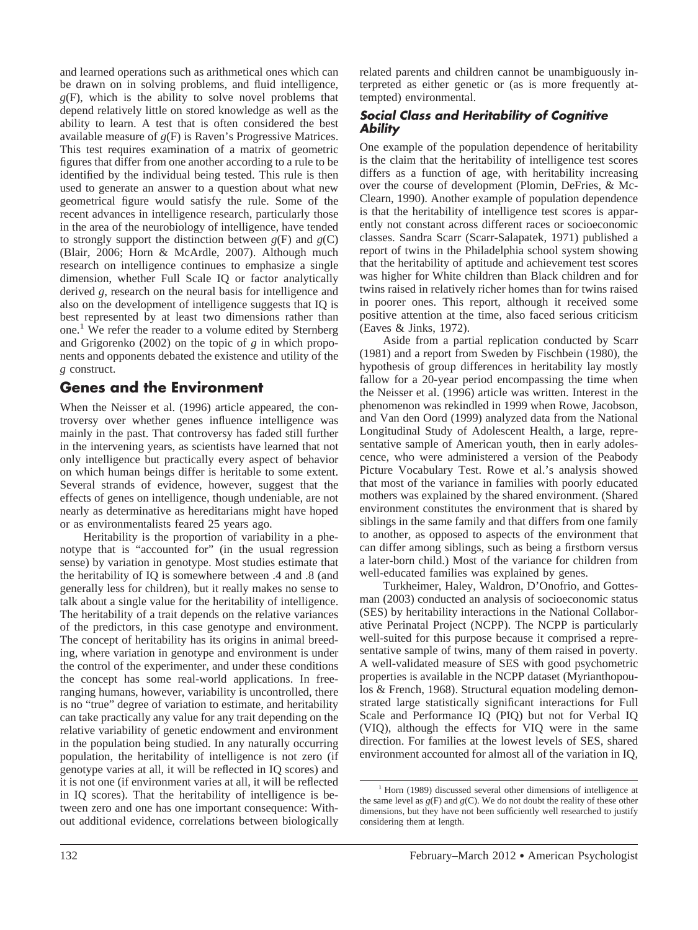and learned operations such as arithmetical ones which can be drawn on in solving problems, and fluid intelligence,  $g(F)$ , which is the ability to solve novel problems that depend relatively little on stored knowledge as well as the ability to learn. A test that is often considered the best available measure of *g*(F) is Raven's Progressive Matrices. This test requires examination of a matrix of geometric figures that differ from one another according to a rule to be identified by the individual being tested. This rule is then used to generate an answer to a question about what new geometrical figure would satisfy the rule. Some of the recent advances in intelligence research, particularly those in the area of the neurobiology of intelligence, have tended to strongly support the distinction between  $g(F)$  and  $g(C)$ (Blair, 2006; Horn & McArdle, 2007). Although much research on intelligence continues to emphasize a single dimension, whether Full Scale IQ or factor analytically derived *g*, research on the neural basis for intelligence and also on the development of intelligence suggests that IQ is best represented by at least two dimensions rather than one.<sup>1</sup> We refer the reader to a volume edited by Sternberg and Grigorenko (2002) on the topic of *g* in which proponents and opponents debated the existence and utility of the *g* construct.

## **Genes and the Environment**

When the Neisser et al. (1996) article appeared, the controversy over whether genes influence intelligence was mainly in the past. That controversy has faded still further in the intervening years, as scientists have learned that not only intelligence but practically every aspect of behavior on which human beings differ is heritable to some extent. Several strands of evidence, however, suggest that the effects of genes on intelligence, though undeniable, are not nearly as determinative as hereditarians might have hoped or as environmentalists feared 25 years ago.

Heritability is the proportion of variability in a phenotype that is "accounted for" (in the usual regression sense) by variation in genotype. Most studies estimate that the heritability of IQ is somewhere between .4 and .8 (and generally less for children), but it really makes no sense to talk about a single value for the heritability of intelligence. The heritability of a trait depends on the relative variances of the predictors, in this case genotype and environment. The concept of heritability has its origins in animal breeding, where variation in genotype and environment is under the control of the experimenter, and under these conditions the concept has some real-world applications. In freeranging humans, however, variability is uncontrolled, there is no "true" degree of variation to estimate, and heritability can take practically any value for any trait depending on the relative variability of genetic endowment and environment in the population being studied. In any naturally occurring population, the heritability of intelligence is not zero (if genotype varies at all, it will be reflected in IQ scores) and it is not one (if environment varies at all, it will be reflected in IQ scores). That the heritability of intelligence is between zero and one has one important consequence: Without additional evidence, correlations between biologically related parents and children cannot be unambiguously interpreted as either genetic or (as is more frequently attempted) environmental.

#### *Social Class and Heritability of Cognitive Ability*

One example of the population dependence of heritability is the claim that the heritability of intelligence test scores differs as a function of age, with heritability increasing over the course of development (Plomin, DeFries, & Mc-Clearn, 1990). Another example of population dependence is that the heritability of intelligence test scores is apparently not constant across different races or socioeconomic classes. Sandra Scarr (Scarr-Salapatek, 1971) published a report of twins in the Philadelphia school system showing that the heritability of aptitude and achievement test scores was higher for White children than Black children and for twins raised in relatively richer homes than for twins raised in poorer ones. This report, although it received some positive attention at the time, also faced serious criticism (Eaves & Jinks, 1972).

Aside from a partial replication conducted by Scarr (1981) and a report from Sweden by Fischbein (1980), the hypothesis of group differences in heritability lay mostly fallow for a 20-year period encompassing the time when the Neisser et al. (1996) article was written. Interest in the phenomenon was rekindled in 1999 when Rowe, Jacobson, and Van den Oord (1999) analyzed data from the National Longitudinal Study of Adolescent Health, a large, representative sample of American youth, then in early adolescence, who were administered a version of the Peabody Picture Vocabulary Test. Rowe et al.'s analysis showed that most of the variance in families with poorly educated mothers was explained by the shared environment. (Shared environment constitutes the environment that is shared by siblings in the same family and that differs from one family to another, as opposed to aspects of the environment that can differ among siblings, such as being a firstborn versus a later-born child.) Most of the variance for children from well-educated families was explained by genes.

Turkheimer, Haley, Waldron, D'Onofrio, and Gottesman (2003) conducted an analysis of socioeconomic status (SES) by heritability interactions in the National Collaborative Perinatal Project (NCPP). The NCPP is particularly well-suited for this purpose because it comprised a representative sample of twins, many of them raised in poverty. A well-validated measure of SES with good psychometric properties is available in the NCPP dataset (Myrianthopoulos & French, 1968). Structural equation modeling demonstrated large statistically significant interactions for Full Scale and Performance IQ (PIQ) but not for Verbal IQ (VIQ), although the effects for VIQ were in the same direction. For families at the lowest levels of SES, shared environment accounted for almost all of the variation in IQ,

<sup>1</sup> Horn (1989) discussed several other dimensions of intelligence at the same level as  $g(F)$  and  $g(C)$ . We do not doubt the reality of these other dimensions, but they have not been sufficiently well researched to justify considering them at length.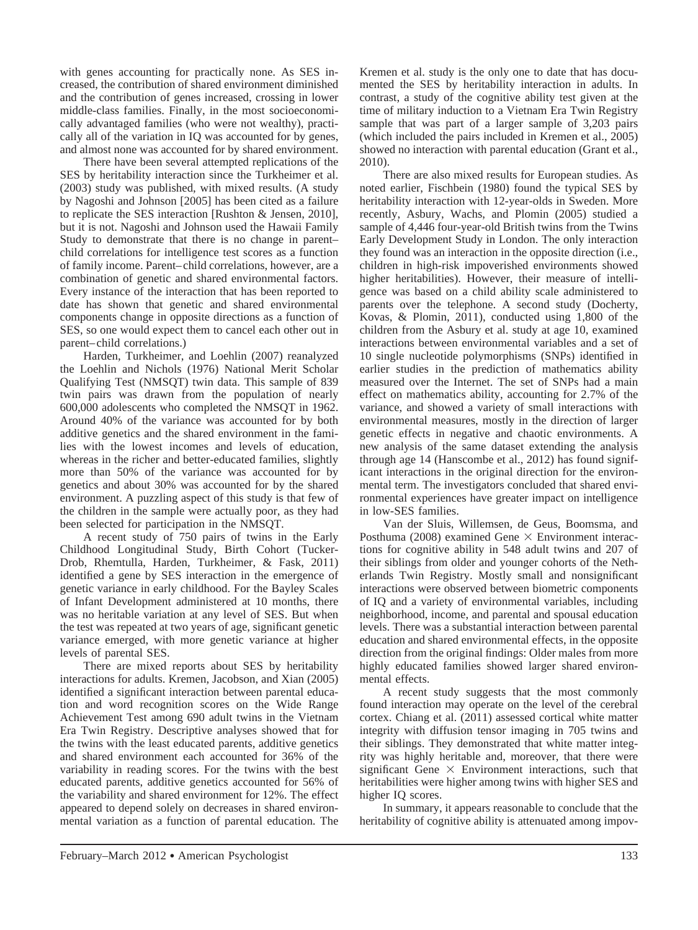with genes accounting for practically none. As SES increased, the contribution of shared environment diminished and the contribution of genes increased, crossing in lower middle-class families. Finally, in the most socioeconomically advantaged families (who were not wealthy), practically all of the variation in IQ was accounted for by genes, and almost none was accounted for by shared environment.

There have been several attempted replications of the SES by heritability interaction since the Turkheimer et al. (2003) study was published, with mixed results. (A study by Nagoshi and Johnson [2005] has been cited as a failure to replicate the SES interaction [Rushton & Jensen, 2010], but it is not. Nagoshi and Johnson used the Hawaii Family Study to demonstrate that there is no change in parent– child correlations for intelligence test scores as a function of family income. Parent– child correlations, however, are a combination of genetic and shared environmental factors. Every instance of the interaction that has been reported to date has shown that genetic and shared environmental components change in opposite directions as a function of SES, so one would expect them to cancel each other out in parent– child correlations.)

Harden, Turkheimer, and Loehlin (2007) reanalyzed the Loehlin and Nichols (1976) National Merit Scholar Qualifying Test (NMSQT) twin data. This sample of 839 twin pairs was drawn from the population of nearly 600,000 adolescents who completed the NMSQT in 1962. Around 40% of the variance was accounted for by both additive genetics and the shared environment in the families with the lowest incomes and levels of education, whereas in the richer and better-educated families, slightly more than 50% of the variance was accounted for by genetics and about 30% was accounted for by the shared environment. A puzzling aspect of this study is that few of the children in the sample were actually poor, as they had been selected for participation in the NMSQT.

A recent study of 750 pairs of twins in the Early Childhood Longitudinal Study, Birth Cohort (Tucker-Drob, Rhemtulla, Harden, Turkheimer, & Fask, 2011) identified a gene by SES interaction in the emergence of genetic variance in early childhood. For the Bayley Scales of Infant Development administered at 10 months, there was no heritable variation at any level of SES. But when the test was repeated at two years of age, significant genetic variance emerged, with more genetic variance at higher levels of parental SES.

There are mixed reports about SES by heritability interactions for adults. Kremen, Jacobson, and Xian (2005) identified a significant interaction between parental education and word recognition scores on the Wide Range Achievement Test among 690 adult twins in the Vietnam Era Twin Registry. Descriptive analyses showed that for the twins with the least educated parents, additive genetics and shared environment each accounted for 36% of the variability in reading scores. For the twins with the best educated parents, additive genetics accounted for 56% of the variability and shared environment for 12%. The effect appeared to depend solely on decreases in shared environmental variation as a function of parental education. The

Kremen et al. study is the only one to date that has documented the SES by heritability interaction in adults. In contrast, a study of the cognitive ability test given at the time of military induction to a Vietnam Era Twin Registry sample that was part of a larger sample of 3,203 pairs (which included the pairs included in Kremen et al., 2005) showed no interaction with parental education (Grant et al., 2010).

There are also mixed results for European studies. As noted earlier, Fischbein (1980) found the typical SES by heritability interaction with 12-year-olds in Sweden. More recently, Asbury, Wachs, and Plomin (2005) studied a sample of 4,446 four-year-old British twins from the Twins Early Development Study in London. The only interaction they found was an interaction in the opposite direction (i.e., children in high-risk impoverished environments showed higher heritabilities). However, their measure of intelligence was based on a child ability scale administered to parents over the telephone. A second study (Docherty, Kovas, & Plomin, 2011), conducted using 1,800 of the children from the Asbury et al. study at age 10, examined interactions between environmental variables and a set of 10 single nucleotide polymorphisms (SNPs) identified in earlier studies in the prediction of mathematics ability measured over the Internet. The set of SNPs had a main effect on mathematics ability, accounting for 2.7% of the variance, and showed a variety of small interactions with environmental measures, mostly in the direction of larger genetic effects in negative and chaotic environments. A new analysis of the same dataset extending the analysis through age 14 (Hanscombe et al., 2012) has found significant interactions in the original direction for the environmental term. The investigators concluded that shared environmental experiences have greater impact on intelligence in low-SES families.

Van der Sluis, Willemsen, de Geus, Boomsma, and Posthuma (2008) examined Gene  $\times$  Environment interactions for cognitive ability in 548 adult twins and 207 of their siblings from older and younger cohorts of the Netherlands Twin Registry. Mostly small and nonsignificant interactions were observed between biometric components of IQ and a variety of environmental variables, including neighborhood, income, and parental and spousal education levels. There was a substantial interaction between parental education and shared environmental effects, in the opposite direction from the original findings: Older males from more highly educated families showed larger shared environmental effects.

A recent study suggests that the most commonly found interaction may operate on the level of the cerebral cortex. Chiang et al. (2011) assessed cortical white matter integrity with diffusion tensor imaging in 705 twins and their siblings. They demonstrated that white matter integrity was highly heritable and, moreover, that there were significant Gene  $\times$  Environment interactions, such that heritabilities were higher among twins with higher SES and higher IQ scores.

In summary, it appears reasonable to conclude that the heritability of cognitive ability is attenuated among impov-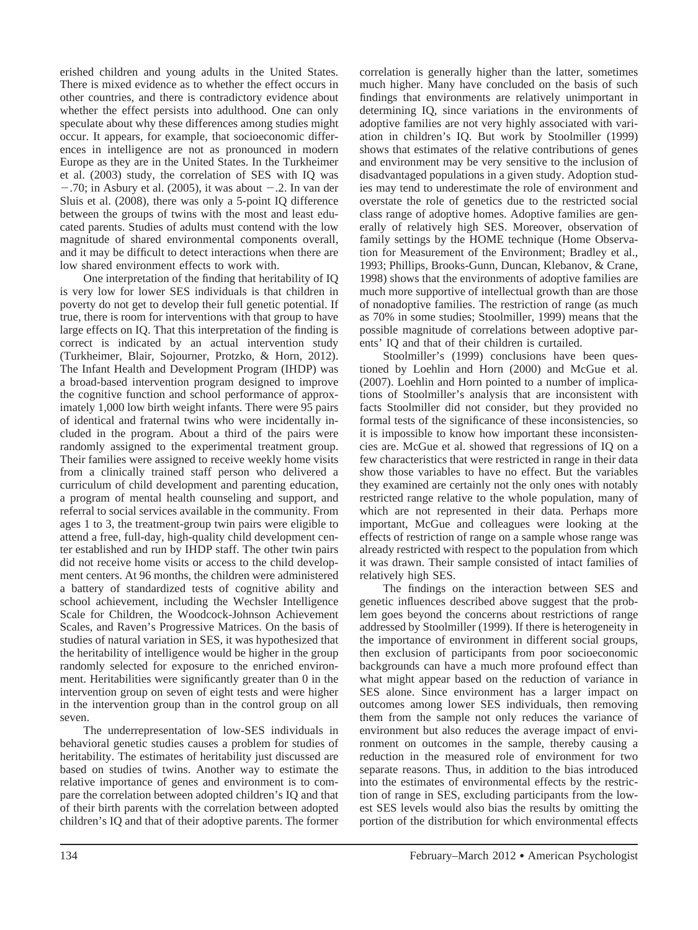erished children and young adults in the United States. There is mixed evidence as to whether the effect occurs in other countries, and there is contradictory evidence about whether the effect persists into adulthood. One can only speculate about why these differences among studies might occur. It appears, for example, that socioeconomic differences in intelligence are not as pronounced in modern Europe as they are in the United States. In the Turkheimer et al. (2003) study, the correlation of SES with IQ was  $-.70$ ; in Asbury et al. (2005), it was about  $-.2$ . In van der Sluis et al. (2008), there was only a 5-point IQ difference between the groups of twins with the most and least educated parents. Studies of adults must contend with the low magnitude of shared environmental components overall, and it may be difficult to detect interactions when there are low shared environment effects to work with.

One interpretation of the finding that heritability of IQ is very low for lower SES individuals is that children in poverty do not get to develop their full genetic potential. If true, there is room for interventions with that group to have large effects on IQ. That this interpretation of the finding is correct is indicated by an actual intervention study (Turkheimer, Blair, Sojourner, Protzko, & Horn, 2012). The Infant Health and Development Program (IHDP) was a broad-based intervention program designed to improve the cognitive function and school performance of approximately 1,000 low birth weight infants. There were 95 pairs of identical and fraternal twins who were incidentally included in the program. About a third of the pairs were randomly assigned to the experimental treatment group. Their families were assigned to receive weekly home visits from a clinically trained staff person who delivered a curriculum of child development and parenting education, a program of mental health counseling and support, and referral to social services available in the community. From ages 1 to 3, the treatment-group twin pairs were eligible to attend a free, full-day, high-quality child development center established and run by IHDP staff. The other twin pairs did not receive home visits or access to the child development centers. At 96 months, the children were administered a battery of standardized tests of cognitive ability and school achievement, including the Wechsler Intelligence Scale for Children, the Woodcock-Johnson Achievement Scales, and Raven's Progressive Matrices. On the basis of studies of natural variation in SES, it was hypothesized that the heritability of intelligence would be higher in the group randomly selected for exposure to the enriched environment. Heritabilities were significantly greater than 0 in the intervention group on seven of eight tests and were higher in the intervention group than in the control group on all seven.

The underrepresentation of low-SES individuals in behavioral genetic studies causes a problem for studies of heritability. The estimates of heritability just discussed are based on studies of twins. Another way to estimate the relative importance of genes and environment is to compare the correlation between adopted children's IQ and that of their birth parents with the correlation between adopted children's IQ and that of their adoptive parents. The former correlation is generally higher than the latter, sometimes much higher. Many have concluded on the basis of such findings that environments are relatively unimportant in determining IQ, since variations in the environments of adoptive families are not very highly associated with variation in children's IQ. But work by Stoolmiller (1999) shows that estimates of the relative contributions of genes and environment may be very sensitive to the inclusion of disadvantaged populations in a given study. Adoption studies may tend to underestimate the role of environment and overstate the role of genetics due to the restricted social class range of adoptive homes. Adoptive families are generally of relatively high SES. Moreover, observation of family settings by the HOME technique (Home Observation for Measurement of the Environment; Bradley et al., 1993; Phillips, Brooks-Gunn, Duncan, Klebanov, & Crane, 1998) shows that the environments of adoptive families are much more supportive of intellectual growth than are those of nonadoptive families. The restriction of range (as much as 70% in some studies; Stoolmiller, 1999) means that the possible magnitude of correlations between adoptive parents' IQ and that of their children is curtailed.

Stoolmiller's (1999) conclusions have been questioned by Loehlin and Horn (2000) and McGue et al. (2007). Loehlin and Horn pointed to a number of implications of Stoolmiller's analysis that are inconsistent with facts Stoolmiller did not consider, but they provided no formal tests of the significance of these inconsistencies, so it is impossible to know how important these inconsistencies are. McGue et al. showed that regressions of IQ on a few characteristics that were restricted in range in their data show those variables to have no effect. But the variables they examined are certainly not the only ones with notably restricted range relative to the whole population, many of which are not represented in their data. Perhaps more important, McGue and colleagues were looking at the effects of restriction of range on a sample whose range was already restricted with respect to the population from which it was drawn. Their sample consisted of intact families of relatively high SES.

The findings on the interaction between SES and genetic influences described above suggest that the problem goes beyond the concerns about restrictions of range addressed by Stoolmiller (1999). If there is heterogeneity in the importance of environment in different social groups, then exclusion of participants from poor socioeconomic backgrounds can have a much more profound effect than what might appear based on the reduction of variance in SES alone. Since environment has a larger impact on outcomes among lower SES individuals, then removing them from the sample not only reduces the variance of environment but also reduces the average impact of environment on outcomes in the sample, thereby causing a reduction in the measured role of environment for two separate reasons. Thus, in addition to the bias introduced into the estimates of environmental effects by the restriction of range in SES, excluding participants from the lowest SES levels would also bias the results by omitting the portion of the distribution for which environmental effects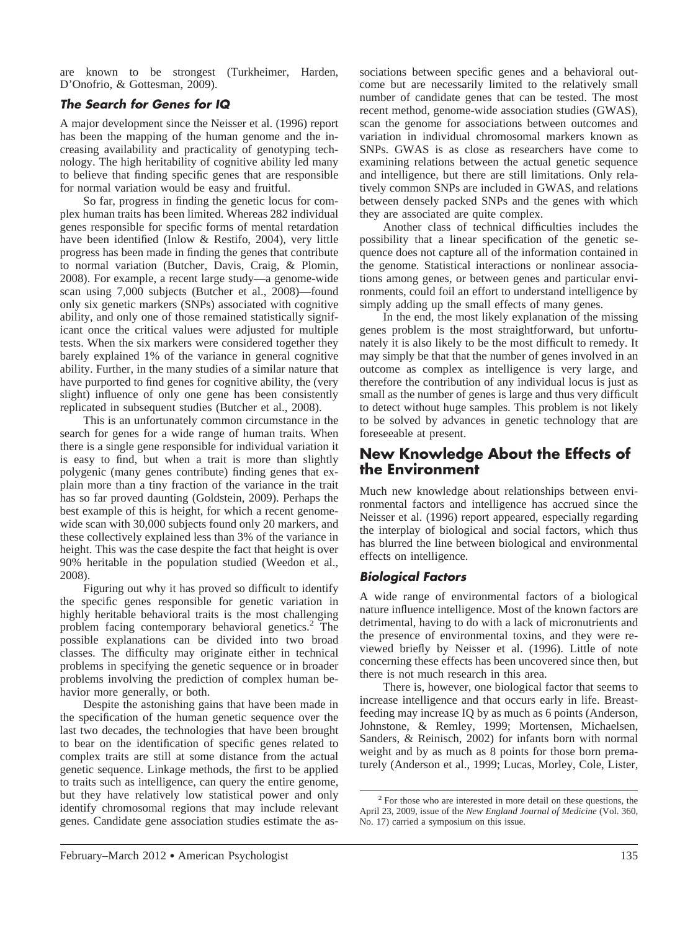are known to be strongest (Turkheimer, Harden, D'Onofrio, & Gottesman, 2009).

#### *The Search for Genes for IQ*

A major development since the Neisser et al. (1996) report has been the mapping of the human genome and the increasing availability and practicality of genotyping technology. The high heritability of cognitive ability led many to believe that finding specific genes that are responsible for normal variation would be easy and fruitful.

So far, progress in finding the genetic locus for complex human traits has been limited. Whereas 282 individual genes responsible for specific forms of mental retardation have been identified (Inlow & Restifo, 2004), very little progress has been made in finding the genes that contribute to normal variation (Butcher, Davis, Craig, & Plomin, 2008). For example, a recent large study—a genome-wide scan using 7,000 subjects (Butcher et al., 2008)—found only six genetic markers (SNPs) associated with cognitive ability, and only one of those remained statistically significant once the critical values were adjusted for multiple tests. When the six markers were considered together they barely explained 1% of the variance in general cognitive ability. Further, in the many studies of a similar nature that have purported to find genes for cognitive ability, the (very slight) influence of only one gene has been consistently replicated in subsequent studies (Butcher et al., 2008).

This is an unfortunately common circumstance in the search for genes for a wide range of human traits. When there is a single gene responsible for individual variation it is easy to find, but when a trait is more than slightly polygenic (many genes contribute) finding genes that explain more than a tiny fraction of the variance in the trait has so far proved daunting (Goldstein, 2009). Perhaps the best example of this is height, for which a recent genomewide scan with 30,000 subjects found only 20 markers, and these collectively explained less than 3% of the variance in height. This was the case despite the fact that height is over 90% heritable in the population studied (Weedon et al., 2008).

Figuring out why it has proved so difficult to identify the specific genes responsible for genetic variation in highly heritable behavioral traits is the most challenging problem facing contemporary behavioral genetics.2 The possible explanations can be divided into two broad classes. The difficulty may originate either in technical problems in specifying the genetic sequence or in broader problems involving the prediction of complex human behavior more generally, or both.

Despite the astonishing gains that have been made in the specification of the human genetic sequence over the last two decades, the technologies that have been brought to bear on the identification of specific genes related to complex traits are still at some distance from the actual genetic sequence. Linkage methods, the first to be applied to traits such as intelligence, can query the entire genome, but they have relatively low statistical power and only identify chromosomal regions that may include relevant genes. Candidate gene association studies estimate the as-

sociations between specific genes and a behavioral outcome but are necessarily limited to the relatively small number of candidate genes that can be tested. The most recent method, genome-wide association studies (GWAS), scan the genome for associations between outcomes and variation in individual chromosomal markers known as SNPs. GWAS is as close as researchers have come to examining relations between the actual genetic sequence and intelligence, but there are still limitations. Only relatively common SNPs are included in GWAS, and relations between densely packed SNPs and the genes with which they are associated are quite complex.

Another class of technical difficulties includes the possibility that a linear specification of the genetic sequence does not capture all of the information contained in the genome. Statistical interactions or nonlinear associations among genes, or between genes and particular environments, could foil an effort to understand intelligence by simply adding up the small effects of many genes.

In the end, the most likely explanation of the missing genes problem is the most straightforward, but unfortunately it is also likely to be the most difficult to remedy. It may simply be that that the number of genes involved in an outcome as complex as intelligence is very large, and therefore the contribution of any individual locus is just as small as the number of genes is large and thus very difficult to detect without huge samples. This problem is not likely to be solved by advances in genetic technology that are foreseeable at present.

## **New Knowledge About the Effects of the Environment**

Much new knowledge about relationships between environmental factors and intelligence has accrued since the Neisser et al. (1996) report appeared, especially regarding the interplay of biological and social factors, which thus has blurred the line between biological and environmental effects on intelligence.

#### *Biological Factors*

A wide range of environmental factors of a biological nature influence intelligence. Most of the known factors are detrimental, having to do with a lack of micronutrients and the presence of environmental toxins, and they were reviewed briefly by Neisser et al. (1996). Little of note concerning these effects has been uncovered since then, but there is not much research in this area.

There is, however, one biological factor that seems to increase intelligence and that occurs early in life. Breastfeeding may increase IQ by as much as 6 points (Anderson, Johnstone, & Remley, 1999; Mortensen, Michaelsen, Sanders, & Reinisch, 2002) for infants born with normal weight and by as much as 8 points for those born prematurely (Anderson et al., 1999; Lucas, Morley, Cole, Lister,

 $2$  For those who are interested in more detail on these questions, the April 23, 2009, issue of the *New England Journal of Medicine* (Vol. 360, No. 17) carried a symposium on this issue.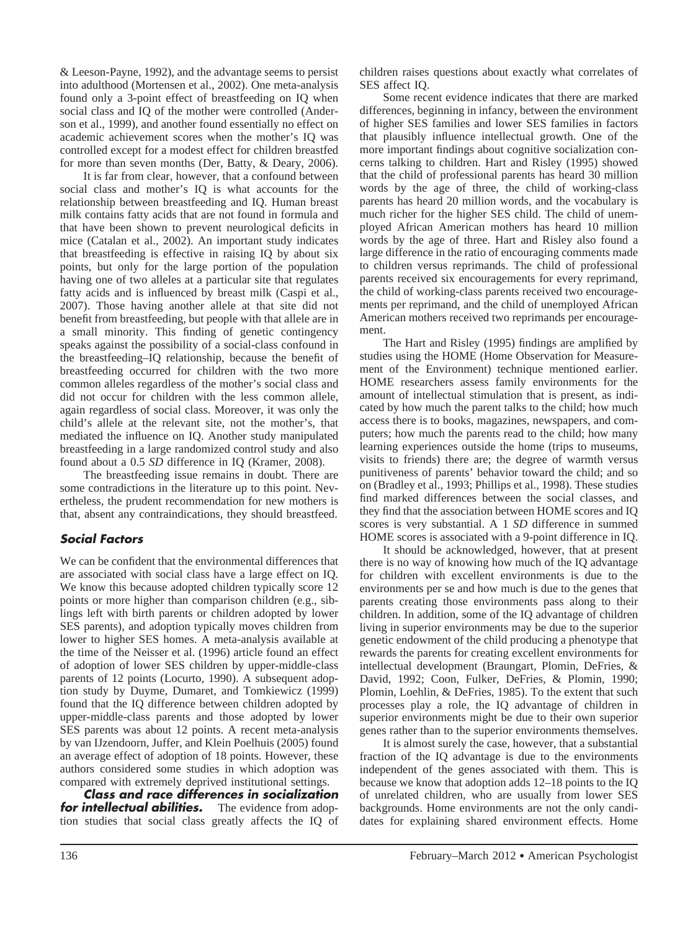& Leeson-Payne, 1992), and the advantage seems to persist into adulthood (Mortensen et al., 2002). One meta-analysis found only a 3-point effect of breastfeeding on IQ when social class and IQ of the mother were controlled (Anderson et al., 1999), and another found essentially no effect on academic achievement scores when the mother's IQ was controlled except for a modest effect for children breastfed for more than seven months (Der, Batty, & Deary, 2006).

It is far from clear, however, that a confound between social class and mother's IQ is what accounts for the relationship between breastfeeding and IQ. Human breast milk contains fatty acids that are not found in formula and that have been shown to prevent neurological deficits in mice (Catalan et al., 2002). An important study indicates that breastfeeding is effective in raising IQ by about six points, but only for the large portion of the population having one of two alleles at a particular site that regulates fatty acids and is influenced by breast milk (Caspi et al., 2007). Those having another allele at that site did not benefit from breastfeeding, but people with that allele are in a small minority. This finding of genetic contingency speaks against the possibility of a social-class confound in the breastfeeding–IQ relationship, because the benefit of breastfeeding occurred for children with the two more common alleles regardless of the mother's social class and did not occur for children with the less common allele, again regardless of social class. Moreover, it was only the child's allele at the relevant site, not the mother's, that mediated the influence on IQ. Another study manipulated breastfeeding in a large randomized control study and also found about a 0.5 *SD* difference in IQ (Kramer, 2008).

The breastfeeding issue remains in doubt. There are some contradictions in the literature up to this point. Nevertheless, the prudent recommendation for new mothers is that, absent any contraindications, they should breastfeed.

## *Social Factors*

We can be confident that the environmental differences that are associated with social class have a large effect on IQ. We know this because adopted children typically score 12 points or more higher than comparison children (e.g., siblings left with birth parents or children adopted by lower SES parents), and adoption typically moves children from lower to higher SES homes. A meta-analysis available at the time of the Neisser et al. (1996) article found an effect of adoption of lower SES children by upper-middle-class parents of 12 points (Locurto, 1990). A subsequent adoption study by Duyme, Dumaret, and Tomkiewicz (1999) found that the IQ difference between children adopted by upper-middle-class parents and those adopted by lower SES parents was about 12 points. A recent meta-analysis by van IJzendoorn, Juffer, and Klein Poelhuis (2005) found an average effect of adoption of 18 points. However, these authors considered some studies in which adoption was compared with extremely deprived institutional settings.

*Class and race differences in socialization* **for intellectual abilities.** The evidence from adoption studies that social class greatly affects the IQ of

children raises questions about exactly what correlates of SES affect IQ.

Some recent evidence indicates that there are marked differences, beginning in infancy, between the environment of higher SES families and lower SES families in factors that plausibly influence intellectual growth. One of the more important findings about cognitive socialization concerns talking to children. Hart and Risley (1995) showed that the child of professional parents has heard 30 million words by the age of three, the child of working-class parents has heard 20 million words, and the vocabulary is much richer for the higher SES child. The child of unemployed African American mothers has heard 10 million words by the age of three. Hart and Risley also found a large difference in the ratio of encouraging comments made to children versus reprimands. The child of professional parents received six encouragements for every reprimand, the child of working-class parents received two encouragements per reprimand, and the child of unemployed African American mothers received two reprimands per encouragement.

The Hart and Risley (1995) findings are amplified by studies using the HOME (Home Observation for Measurement of the Environment) technique mentioned earlier. HOME researchers assess family environments for the amount of intellectual stimulation that is present, as indicated by how much the parent talks to the child; how much access there is to books, magazines, newspapers, and computers; how much the parents read to the child; how many learning experiences outside the home (trips to museums, visits to friends) there are; the degree of warmth versus punitiveness of parents' behavior toward the child; and so on (Bradley et al., 1993; Phillips et al., 1998). These studies find marked differences between the social classes, and they find that the association between HOME scores and IQ scores is very substantial. A 1 *SD* difference in summed HOME scores is associated with a 9-point difference in IQ.

It should be acknowledged, however, that at present there is no way of knowing how much of the IQ advantage for children with excellent environments is due to the environments per se and how much is due to the genes that parents creating those environments pass along to their children. In addition, some of the IQ advantage of children living in superior environments may be due to the superior genetic endowment of the child producing a phenotype that rewards the parents for creating excellent environments for intellectual development (Braungart, Plomin, DeFries, & David, 1992; Coon, Fulker, DeFries, & Plomin, 1990; Plomin, Loehlin, & DeFries, 1985). To the extent that such processes play a role, the IQ advantage of children in superior environments might be due to their own superior genes rather than to the superior environments themselves.

It is almost surely the case, however, that a substantial fraction of the IQ advantage is due to the environments independent of the genes associated with them. This is because we know that adoption adds 12–18 points to the IQ of unrelated children, who are usually from lower SES backgrounds. Home environments are not the only candidates for explaining shared environment effects. Home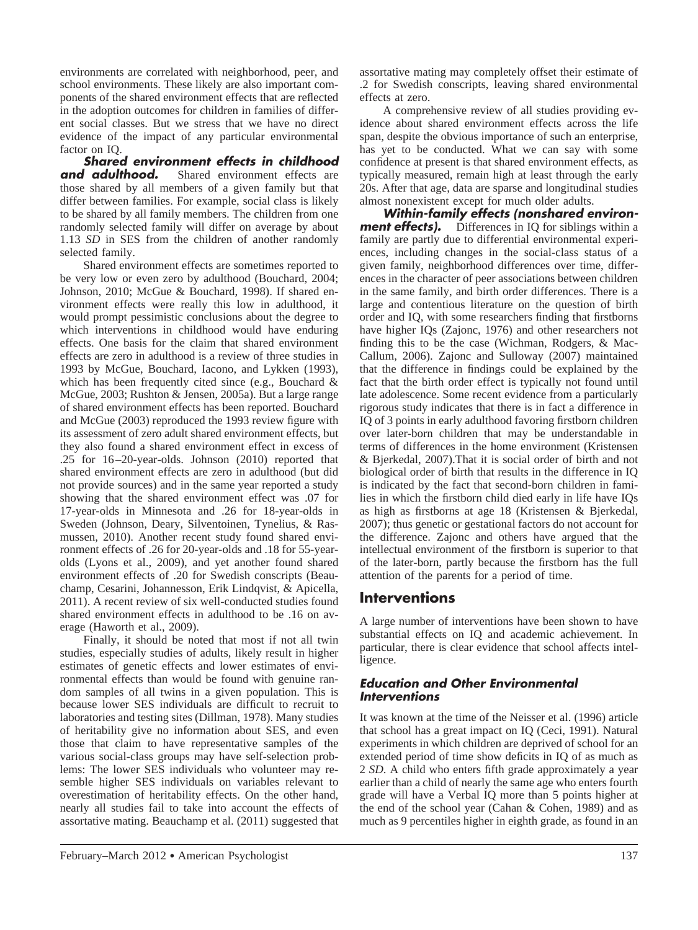environments are correlated with neighborhood, peer, and school environments. These likely are also important components of the shared environment effects that are reflected in the adoption outcomes for children in families of different social classes. But we stress that we have no direct evidence of the impact of any particular environmental factor on IQ.

**Shared environment effects in childhood**<br>**and adulthood.** Shared environment effects are Shared environment effects are those shared by all members of a given family but that differ between families. For example, social class is likely to be shared by all family members. The children from one randomly selected family will differ on average by about 1.13 *SD* in SES from the children of another randomly selected family.

Shared environment effects are sometimes reported to be very low or even zero by adulthood (Bouchard, 2004; Johnson, 2010; McGue & Bouchard, 1998). If shared environment effects were really this low in adulthood, it would prompt pessimistic conclusions about the degree to which interventions in childhood would have enduring effects. One basis for the claim that shared environment effects are zero in adulthood is a review of three studies in 1993 by McGue, Bouchard, Iacono, and Lykken (1993), which has been frequently cited since (e.g., Bouchard & McGue, 2003; Rushton & Jensen, 2005a). But a large range of shared environment effects has been reported. Bouchard and McGue (2003) reproduced the 1993 review figure with its assessment of zero adult shared environment effects, but they also found a shared environment effect in excess of .25 for 16 –20-year-olds. Johnson (2010) reported that shared environment effects are zero in adulthood (but did not provide sources) and in the same year reported a study showing that the shared environment effect was .07 for 17-year-olds in Minnesota and .26 for 18-year-olds in Sweden (Johnson, Deary, Silventoinen, Tynelius, & Rasmussen, 2010). Another recent study found shared environment effects of .26 for 20-year-olds and .18 for 55-yearolds (Lyons et al., 2009), and yet another found shared environment effects of .20 for Swedish conscripts (Beauchamp, Cesarini, Johannesson, Erik Lindqvist, & Apicella, 2011). A recent review of six well-conducted studies found shared environment effects in adulthood to be .16 on average (Haworth et al., 2009).

Finally, it should be noted that most if not all twin studies, especially studies of adults, likely result in higher estimates of genetic effects and lower estimates of environmental effects than would be found with genuine random samples of all twins in a given population. This is because lower SES individuals are difficult to recruit to laboratories and testing sites (Dillman, 1978). Many studies of heritability give no information about SES, and even those that claim to have representative samples of the various social-class groups may have self-selection problems: The lower SES individuals who volunteer may resemble higher SES individuals on variables relevant to overestimation of heritability effects. On the other hand, nearly all studies fail to take into account the effects of assortative mating. Beauchamp et al. (2011) suggested that assortative mating may completely offset their estimate of .2 for Swedish conscripts, leaving shared environmental effects at zero.

A comprehensive review of all studies providing evidence about shared environment effects across the life span, despite the obvious importance of such an enterprise, has yet to be conducted. What we can say with some confidence at present is that shared environment effects, as typically measured, remain high at least through the early 20s. After that age, data are sparse and longitudinal studies almost nonexistent except for much older adults.

*Within-family effects (nonshared environ***ment effects).** Differences in IQ for siblings within a family are partly due to differential environmental experiences, including changes in the social-class status of a given family, neighborhood differences over time, differences in the character of peer associations between children in the same family, and birth order differences. There is a large and contentious literature on the question of birth order and IQ, with some researchers finding that firstborns have higher IQs (Zajonc, 1976) and other researchers not finding this to be the case (Wichman, Rodgers, & Mac-Callum, 2006). Zajonc and Sulloway (2007) maintained that the difference in findings could be explained by the fact that the birth order effect is typically not found until late adolescence. Some recent evidence from a particularly rigorous study indicates that there is in fact a difference in IQ of 3 points in early adulthood favoring firstborn children over later-born children that may be understandable in terms of differences in the home environment (Kristensen & Bjerkedal, 2007).That it is social order of birth and not biological order of birth that results in the difference in IQ is indicated by the fact that second-born children in families in which the firstborn child died early in life have IQs as high as firstborns at age 18 (Kristensen & Bjerkedal, 2007); thus genetic or gestational factors do not account for the difference. Zajonc and others have argued that the intellectual environment of the firstborn is superior to that of the later-born, partly because the firstborn has the full attention of the parents for a period of time.

## **Interventions**

A large number of interventions have been shown to have substantial effects on IQ and academic achievement. In particular, there is clear evidence that school affects intelligence.

#### *Education and Other Environmental Interventions*

It was known at the time of the Neisser et al. (1996) article that school has a great impact on IQ (Ceci, 1991). Natural experiments in which children are deprived of school for an extended period of time show deficits in IQ of as much as 2 *SD*. A child who enters fifth grade approximately a year earlier than a child of nearly the same age who enters fourth grade will have a Verbal IQ more than 5 points higher at the end of the school year (Cahan & Cohen, 1989) and as much as 9 percentiles higher in eighth grade, as found in an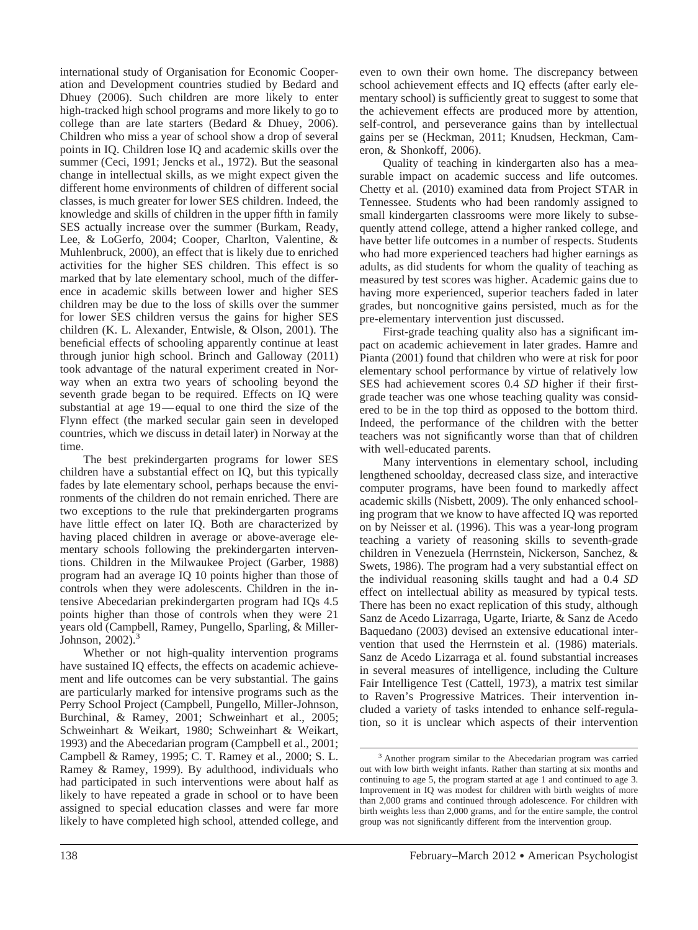international study of Organisation for Economic Cooperation and Development countries studied by Bedard and Dhuey (2006). Such children are more likely to enter high-tracked high school programs and more likely to go to college than are late starters (Bedard & Dhuey, 2006). Children who miss a year of school show a drop of several points in IQ. Children lose IQ and academic skills over the summer (Ceci, 1991; Jencks et al., 1972). But the seasonal change in intellectual skills, as we might expect given the different home environments of children of different social classes, is much greater for lower SES children. Indeed, the knowledge and skills of children in the upper fifth in family SES actually increase over the summer (Burkam, Ready, Lee, & LoGerfo, 2004; Cooper, Charlton, Valentine, & Muhlenbruck, 2000), an effect that is likely due to enriched activities for the higher SES children. This effect is so marked that by late elementary school, much of the difference in academic skills between lower and higher SES children may be due to the loss of skills over the summer for lower SES children versus the gains for higher SES children (K. L. Alexander, Entwisle, & Olson, 2001). The beneficial effects of schooling apparently continue at least through junior high school. Brinch and Galloway (2011) took advantage of the natural experiment created in Norway when an extra two years of schooling beyond the seventh grade began to be required. Effects on IQ were substantial at age 19— equal to one third the size of the Flynn effect (the marked secular gain seen in developed countries, which we discuss in detail later) in Norway at the time.

The best prekindergarten programs for lower SES children have a substantial effect on IQ, but this typically fades by late elementary school, perhaps because the environments of the children do not remain enriched. There are two exceptions to the rule that prekindergarten programs have little effect on later IQ. Both are characterized by having placed children in average or above-average elementary schools following the prekindergarten interventions. Children in the Milwaukee Project (Garber, 1988) program had an average IQ 10 points higher than those of controls when they were adolescents. Children in the intensive Abecedarian prekindergarten program had IQs 4.5 points higher than those of controls when they were 21 years old (Campbell, Ramey, Pungello, Sparling, & Miller-Johnson,  $2002$ ).<sup>3</sup>

Whether or not high-quality intervention programs have sustained IQ effects, the effects on academic achievement and life outcomes can be very substantial. The gains are particularly marked for intensive programs such as the Perry School Project (Campbell, Pungello, Miller-Johnson, Burchinal, & Ramey, 2001; Schweinhart et al., 2005; Schweinhart & Weikart, 1980; Schweinhart & Weikart, 1993) and the Abecedarian program (Campbell et al., 2001; Campbell & Ramey, 1995; C. T. Ramey et al., 2000; S. L. Ramey & Ramey, 1999). By adulthood, individuals who had participated in such interventions were about half as likely to have repeated a grade in school or to have been assigned to special education classes and were far more likely to have completed high school, attended college, and even to own their own home. The discrepancy between school achievement effects and IQ effects (after early elementary school) is sufficiently great to suggest to some that the achievement effects are produced more by attention, self-control, and perseverance gains than by intellectual gains per se (Heckman, 2011; Knudsen, Heckman, Cameron, & Shonkoff, 2006).

Quality of teaching in kindergarten also has a measurable impact on academic success and life outcomes. Chetty et al. (2010) examined data from Project STAR in Tennessee. Students who had been randomly assigned to small kindergarten classrooms were more likely to subsequently attend college, attend a higher ranked college, and have better life outcomes in a number of respects. Students who had more experienced teachers had higher earnings as adults, as did students for whom the quality of teaching as measured by test scores was higher. Academic gains due to having more experienced, superior teachers faded in later grades, but noncognitive gains persisted, much as for the pre-elementary intervention just discussed.

First-grade teaching quality also has a significant impact on academic achievement in later grades. Hamre and Pianta (2001) found that children who were at risk for poor elementary school performance by virtue of relatively low SES had achievement scores 0.4 *SD* higher if their firstgrade teacher was one whose teaching quality was considered to be in the top third as opposed to the bottom third. Indeed, the performance of the children with the better teachers was not significantly worse than that of children with well-educated parents.

Many interventions in elementary school, including lengthened schoolday, decreased class size, and interactive computer programs, have been found to markedly affect academic skills (Nisbett, 2009). The only enhanced schooling program that we know to have affected IQ was reported on by Neisser et al. (1996). This was a year-long program teaching a variety of reasoning skills to seventh-grade children in Venezuela (Herrnstein, Nickerson, Sanchez, & Swets, 1986). The program had a very substantial effect on the individual reasoning skills taught and had a 0.4 *SD* effect on intellectual ability as measured by typical tests. There has been no exact replication of this study, although Sanz de Acedo Lizarraga, Ugarte, Iriarte, & Sanz de Acedo Baquedano (2003) devised an extensive educational intervention that used the Herrnstein et al. (1986) materials. Sanz de Acedo Lizarraga et al. found substantial increases in several measures of intelligence, including the Culture Fair Intelligence Test (Cattell, 1973), a matrix test similar to Raven's Progressive Matrices. Their intervention included a variety of tasks intended to enhance self-regulation, so it is unclear which aspects of their intervention

<sup>3</sup> Another program similar to the Abecedarian program was carried out with low birth weight infants. Rather than starting at six months and continuing to age 5, the program started at age 1 and continued to age 3. Improvement in IQ was modest for children with birth weights of more than 2,000 grams and continued through adolescence. For children with birth weights less than 2,000 grams, and for the entire sample, the control group was not significantly different from the intervention group.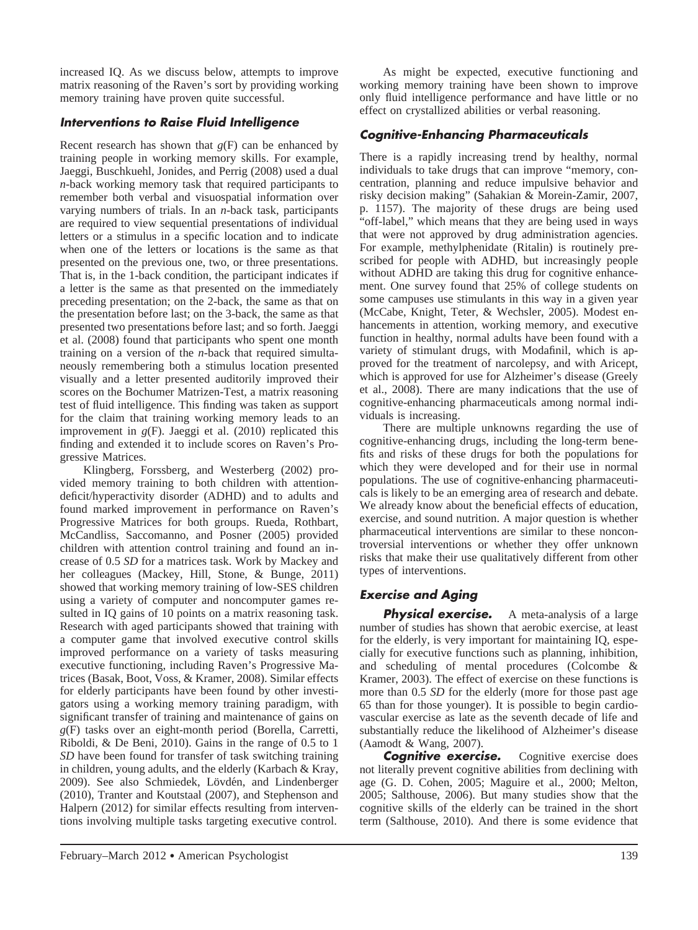increased IQ. As we discuss below, attempts to improve matrix reasoning of the Raven's sort by providing working memory training have proven quite successful.

#### *Interventions to Raise Fluid Intelligence*

Recent research has shown that  $g(F)$  can be enhanced by training people in working memory skills. For example, Jaeggi, Buschkuehl, Jonides, and Perrig (2008) used a dual *n*-back working memory task that required participants to remember both verbal and visuospatial information over varying numbers of trials. In an *n*-back task, participants are required to view sequential presentations of individual letters or a stimulus in a specific location and to indicate when one of the letters or locations is the same as that presented on the previous one, two, or three presentations. That is, in the 1-back condition, the participant indicates if a letter is the same as that presented on the immediately preceding presentation; on the 2-back, the same as that on the presentation before last; on the 3-back, the same as that presented two presentations before last; and so forth. Jaeggi et al. (2008) found that participants who spent one month training on a version of the *n*-back that required simultaneously remembering both a stimulus location presented visually and a letter presented auditorily improved their scores on the Bochumer Matrizen-Test, a matrix reasoning test of fluid intelligence. This finding was taken as support for the claim that training working memory leads to an improvement in  $g(F)$ . Jaeggi et al. (2010) replicated this finding and extended it to include scores on Raven's Progressive Matrices.

Klingberg, Forssberg, and Westerberg (2002) provided memory training to both children with attentiondeficit/hyperactivity disorder (ADHD) and to adults and found marked improvement in performance on Raven's Progressive Matrices for both groups. Rueda, Rothbart, McCandliss, Saccomanno, and Posner (2005) provided children with attention control training and found an increase of 0.5 *SD* for a matrices task. Work by Mackey and her colleagues (Mackey, Hill, Stone, & Bunge, 2011) showed that working memory training of low-SES children using a variety of computer and noncomputer games resulted in IQ gains of 10 points on a matrix reasoning task. Research with aged participants showed that training with a computer game that involved executive control skills improved performance on a variety of tasks measuring executive functioning, including Raven's Progressive Matrices (Basak, Boot, Voss, & Kramer, 2008). Similar effects for elderly participants have been found by other investigators using a working memory training paradigm, with significant transfer of training and maintenance of gains on *g*(F) tasks over an eight-month period (Borella, Carretti, Riboldi, & De Beni, 2010). Gains in the range of 0.5 to 1 *SD* have been found for transfer of task switching training in children, young adults, and the elderly (Karbach & Kray, 2009). See also Schmiedek, Lövdén, and Lindenberger (2010), Tranter and Koutstaal (2007), and Stephenson and Halpern (2012) for similar effects resulting from interventions involving multiple tasks targeting executive control.

As might be expected, executive functioning and working memory training have been shown to improve only fluid intelligence performance and have little or no effect on crystallized abilities or verbal reasoning.

### *Cognitive-Enhancing Pharmaceuticals*

There is a rapidly increasing trend by healthy, normal individuals to take drugs that can improve "memory, concentration, planning and reduce impulsive behavior and risky decision making" (Sahakian & Morein-Zamir, 2007, p. 1157). The majority of these drugs are being used "off-label," which means that they are being used in ways that were not approved by drug administration agencies. For example, methylphenidate (Ritalin) is routinely prescribed for people with ADHD, but increasingly people without ADHD are taking this drug for cognitive enhancement. One survey found that 25% of college students on some campuses use stimulants in this way in a given year (McCabe, Knight, Teter, & Wechsler, 2005). Modest enhancements in attention, working memory, and executive function in healthy, normal adults have been found with a variety of stimulant drugs, with Modafinil, which is approved for the treatment of narcolepsy, and with Aricept, which is approved for use for Alzheimer's disease (Greely et al., 2008). There are many indications that the use of cognitive-enhancing pharmaceuticals among normal individuals is increasing.

There are multiple unknowns regarding the use of cognitive-enhancing drugs, including the long-term benefits and risks of these drugs for both the populations for which they were developed and for their use in normal populations. The use of cognitive-enhancing pharmaceuticals is likely to be an emerging area of research and debate. We already know about the beneficial effects of education, exercise, and sound nutrition. A major question is whether pharmaceutical interventions are similar to these noncontroversial interventions or whether they offer unknown risks that make their use qualitatively different from other types of interventions.

## *Exercise and Aging*

**Physical exercise.** A meta-analysis of a large number of studies has shown that aerobic exercise, at least for the elderly, is very important for maintaining IQ, especially for executive functions such as planning, inhibition, and scheduling of mental procedures (Colcombe & Kramer, 2003). The effect of exercise on these functions is more than 0.5 *SD* for the elderly (more for those past age 65 than for those younger). It is possible to begin cardiovascular exercise as late as the seventh decade of life and substantially reduce the likelihood of Alzheimer's disease (Aamodt & Wang, 2007).

**Cognitive exercise.** Cognitive exercise does not literally prevent cognitive abilities from declining with age (G. D. Cohen, 2005; Maguire et al., 2000; Melton, 2005; Salthouse, 2006). But many studies show that the cognitive skills of the elderly can be trained in the short term (Salthouse, 2010). And there is some evidence that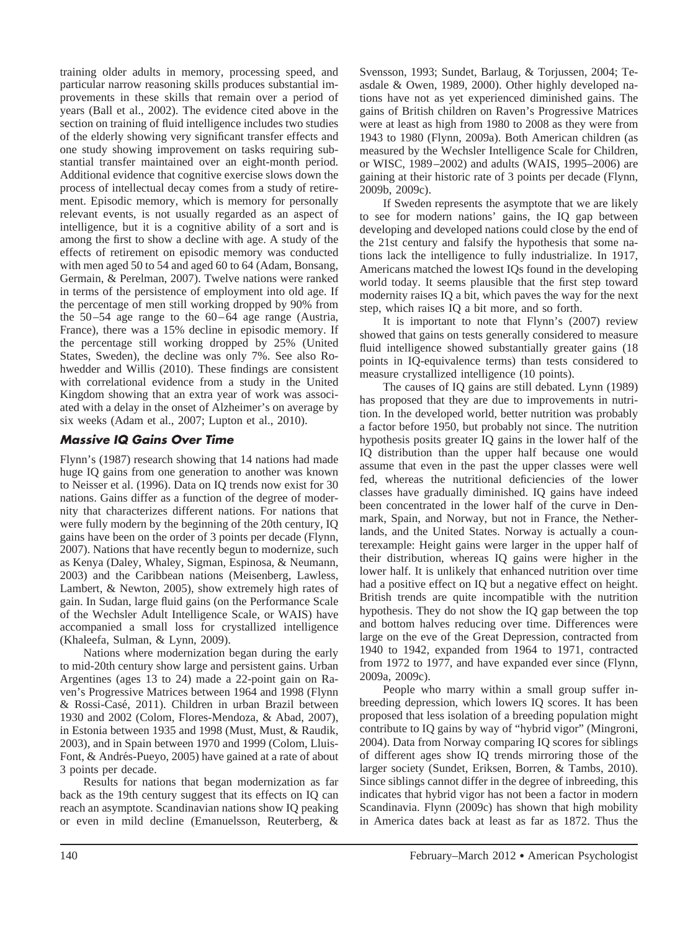training older adults in memory, processing speed, and particular narrow reasoning skills produces substantial improvements in these skills that remain over a period of years (Ball et al., 2002). The evidence cited above in the section on training of fluid intelligence includes two studies of the elderly showing very significant transfer effects and one study showing improvement on tasks requiring substantial transfer maintained over an eight-month period. Additional evidence that cognitive exercise slows down the process of intellectual decay comes from a study of retirement. Episodic memory, which is memory for personally relevant events, is not usually regarded as an aspect of intelligence, but it is a cognitive ability of a sort and is among the first to show a decline with age. A study of the effects of retirement on episodic memory was conducted with men aged 50 to 54 and aged 60 to 64 (Adam, Bonsang, Germain, & Perelman, 2007). Twelve nations were ranked in terms of the persistence of employment into old age. If the percentage of men still working dropped by 90% from the  $50 - 54$  age range to the  $60 - 64$  age range (Austria, France), there was a 15% decline in episodic memory. If the percentage still working dropped by 25% (United States, Sweden), the decline was only 7%. See also Rohwedder and Willis (2010). These findings are consistent with correlational evidence from a study in the United Kingdom showing that an extra year of work was associated with a delay in the onset of Alzheimer's on average by six weeks (Adam et al., 2007; Lupton et al., 2010).

### *Massive IQ Gains Over Time*

Flynn's (1987) research showing that 14 nations had made huge IQ gains from one generation to another was known to Neisser et al. (1996). Data on IQ trends now exist for 30 nations. Gains differ as a function of the degree of modernity that characterizes different nations. For nations that were fully modern by the beginning of the 20th century, IQ gains have been on the order of 3 points per decade (Flynn, 2007). Nations that have recently begun to modernize, such as Kenya (Daley, Whaley, Sigman, Espinosa, & Neumann, 2003) and the Caribbean nations (Meisenberg, Lawless, Lambert, & Newton, 2005), show extremely high rates of gain. In Sudan, large fluid gains (on the Performance Scale of the Wechsler Adult Intelligence Scale, or WAIS) have accompanied a small loss for crystallized intelligence (Khaleefa, Sulman, & Lynn, 2009).

Nations where modernization began during the early to mid-20th century show large and persistent gains. Urban Argentines (ages 13 to 24) made a 22-point gain on Raven's Progressive Matrices between 1964 and 1998 (Flynn & Rossi-Case´, 2011). Children in urban Brazil between 1930 and 2002 (Colom, Flores-Mendoza, & Abad, 2007), in Estonia between 1935 and 1998 (Must, Must, & Raudik, 2003), and in Spain between 1970 and 1999 (Colom, Lluis-Font, & Andrés-Pueyo, 2005) have gained at a rate of about 3 points per decade.

Results for nations that began modernization as far back as the 19th century suggest that its effects on IQ can reach an asymptote. Scandinavian nations show IQ peaking or even in mild decline (Emanuelsson, Reuterberg, &

Svensson, 1993; Sundet, Barlaug, & Torjussen, 2004; Teasdale & Owen, 1989, 2000). Other highly developed nations have not as yet experienced diminished gains. The gains of British children on Raven's Progressive Matrices were at least as high from 1980 to 2008 as they were from 1943 to 1980 (Flynn, 2009a). Both American children (as measured by the Wechsler Intelligence Scale for Children, or WISC, 1989 –2002) and adults (WAIS, 1995–2006) are gaining at their historic rate of 3 points per decade (Flynn, 2009b, 2009c).

If Sweden represents the asymptote that we are likely to see for modern nations' gains, the IQ gap between developing and developed nations could close by the end of the 21st century and falsify the hypothesis that some nations lack the intelligence to fully industrialize. In 1917, Americans matched the lowest IQs found in the developing world today. It seems plausible that the first step toward modernity raises IQ a bit, which paves the way for the next step, which raises IQ a bit more, and so forth.

It is important to note that Flynn's (2007) review showed that gains on tests generally considered to measure fluid intelligence showed substantially greater gains (18) points in IQ-equivalence terms) than tests considered to measure crystallized intelligence (10 points).

The causes of IQ gains are still debated. Lynn (1989) has proposed that they are due to improvements in nutrition. In the developed world, better nutrition was probably a factor before 1950, but probably not since. The nutrition hypothesis posits greater IQ gains in the lower half of the IQ distribution than the upper half because one would assume that even in the past the upper classes were well fed, whereas the nutritional deficiencies of the lower classes have gradually diminished. IQ gains have indeed been concentrated in the lower half of the curve in Denmark, Spain, and Norway, but not in France, the Netherlands, and the United States. Norway is actually a counterexample: Height gains were larger in the upper half of their distribution, whereas IQ gains were higher in the lower half. It is unlikely that enhanced nutrition over time had a positive effect on IQ but a negative effect on height. British trends are quite incompatible with the nutrition hypothesis. They do not show the IQ gap between the top and bottom halves reducing over time. Differences were large on the eve of the Great Depression, contracted from 1940 to 1942, expanded from 1964 to 1971, contracted from 1972 to 1977, and have expanded ever since (Flynn, 2009a, 2009c).

People who marry within a small group suffer inbreeding depression, which lowers IQ scores. It has been proposed that less isolation of a breeding population might contribute to IQ gains by way of "hybrid vigor" (Mingroni, 2004). Data from Norway comparing IQ scores for siblings of different ages show IQ trends mirroring those of the larger society (Sundet, Eriksen, Borren, & Tambs, 2010). Since siblings cannot differ in the degree of inbreeding, this indicates that hybrid vigor has not been a factor in modern Scandinavia. Flynn (2009c) has shown that high mobility in America dates back at least as far as 1872. Thus the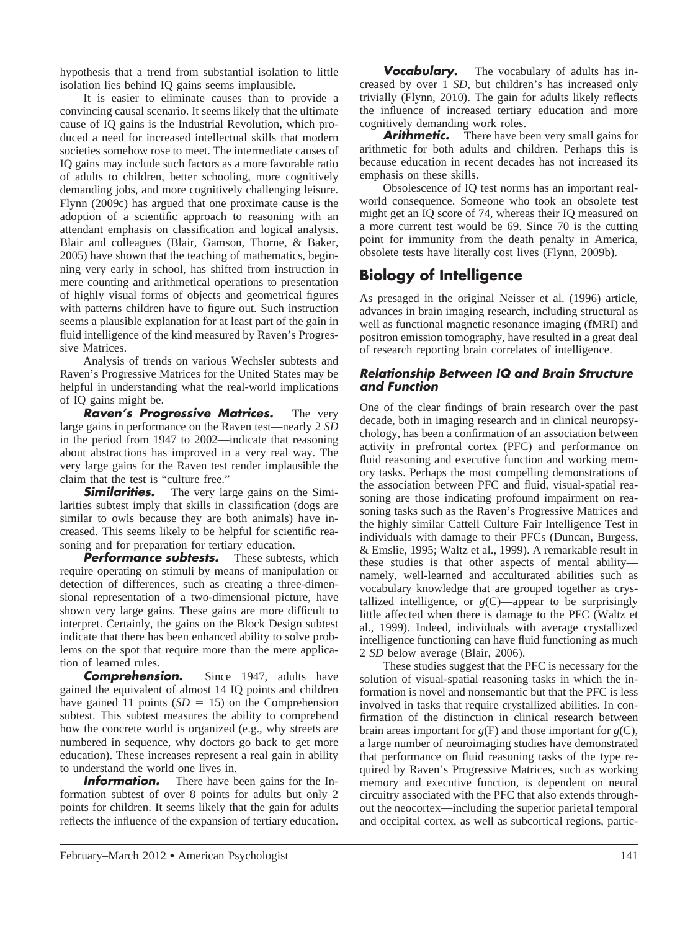hypothesis that a trend from substantial isolation to little isolation lies behind IQ gains seems implausible.

It is easier to eliminate causes than to provide a convincing causal scenario. It seems likely that the ultimate cause of IQ gains is the Industrial Revolution, which produced a need for increased intellectual skills that modern societies somehow rose to meet. The intermediate causes of IQ gains may include such factors as a more favorable ratio of adults to children, better schooling, more cognitively demanding jobs, and more cognitively challenging leisure. Flynn (2009c) has argued that one proximate cause is the adoption of a scientific approach to reasoning with an attendant emphasis on classification and logical analysis. Blair and colleagues (Blair, Gamson, Thorne, & Baker, 2005) have shown that the teaching of mathematics, beginning very early in school, has shifted from instruction in mere counting and arithmetical operations to presentation of highly visual forms of objects and geometrical figures with patterns children have to figure out. Such instruction seems a plausible explanation for at least part of the gain in fluid intelligence of the kind measured by Raven's Progressive Matrices.

Analysis of trends on various Wechsler subtests and Raven's Progressive Matrices for the United States may be helpful in understanding what the real-world implications of IQ gains might be.

*Raven's Progressive Matrices.* The very large gains in performance on the Raven test—nearly 2 *SD* in the period from 1947 to 2002—indicate that reasoning about abstractions has improved in a very real way. The very large gains for the Raven test render implausible the claim that the test is "culture free."

**Similarities.** The very large gains on the Similarities subtest imply that skills in classification (dogs are similar to owls because they are both animals) have increased. This seems likely to be helpful for scientific reasoning and for preparation for tertiary education.

**Performance subtests.** These subtests, which require operating on stimuli by means of manipulation or detection of differences, such as creating a three-dimensional representation of a two-dimensional picture, have shown very large gains. These gains are more difficult to interpret. Certainly, the gains on the Block Design subtest indicate that there has been enhanced ability to solve problems on the spot that require more than the mere application of learned rules.

**Comprehension.** Since 1947, adults have gained the equivalent of almost 14 IQ points and children have gained 11 points  $(SD = 15)$  on the Comprehension subtest. This subtest measures the ability to comprehend how the concrete world is organized (e.g., why streets are numbered in sequence, why doctors go back to get more education). These increases represent a real gain in ability to understand the world one lives in.

**Information.** There have been gains for the Information subtest of over 8 points for adults but only 2 points for children. It seems likely that the gain for adults reflects the influence of the expansion of tertiary education.

*Vocabulary.* The vocabulary of adults has increased by over 1 *SD*, but children's has increased only trivially (Flynn, 2010). The gain for adults likely reflects the influence of increased tertiary education and more cognitively demanding work roles.

**Arithmetic.** There have been very small gains for arithmetic for both adults and children. Perhaps this is because education in recent decades has not increased its emphasis on these skills.

Obsolescence of IQ test norms has an important realworld consequence. Someone who took an obsolete test might get an IQ score of 74, whereas their IQ measured on a more current test would be 69. Since 70 is the cutting point for immunity from the death penalty in America, obsolete tests have literally cost lives (Flynn, 2009b).

## **Biology of Intelligence**

As presaged in the original Neisser et al. (1996) article, advances in brain imaging research, including structural as well as functional magnetic resonance imaging (fMRI) and positron emission tomography, have resulted in a great deal of research reporting brain correlates of intelligence.

#### *Relationship Between IQ and Brain Structure and Function*

One of the clear findings of brain research over the past decade, both in imaging research and in clinical neuropsychology, has been a confirmation of an association between activity in prefrontal cortex (PFC) and performance on fluid reasoning and executive function and working memory tasks. Perhaps the most compelling demonstrations of the association between PFC and fluid, visual-spatial reasoning are those indicating profound impairment on reasoning tasks such as the Raven's Progressive Matrices and the highly similar Cattell Culture Fair Intelligence Test in individuals with damage to their PFCs (Duncan, Burgess, & Emslie, 1995; Waltz et al., 1999). A remarkable result in these studies is that other aspects of mental ability namely, well-learned and acculturated abilities such as vocabulary knowledge that are grouped together as crystallized intelligence, or  $g(C)$ —appear to be surprisingly little affected when there is damage to the PFC (Waltz et al., 1999). Indeed, individuals with average crystallized intelligence functioning can have fluid functioning as much 2 *SD* below average (Blair, 2006).

These studies suggest that the PFC is necessary for the solution of visual-spatial reasoning tasks in which the information is novel and nonsemantic but that the PFC is less involved in tasks that require crystallized abilities. In confirmation of the distinction in clinical research between brain areas important for  $g(F)$  and those important for  $g(C)$ , a large number of neuroimaging studies have demonstrated that performance on fluid reasoning tasks of the type required by Raven's Progressive Matrices, such as working memory and executive function, is dependent on neural circuitry associated with the PFC that also extends throughout the neocortex—including the superior parietal temporal and occipital cortex, as well as subcortical regions, partic-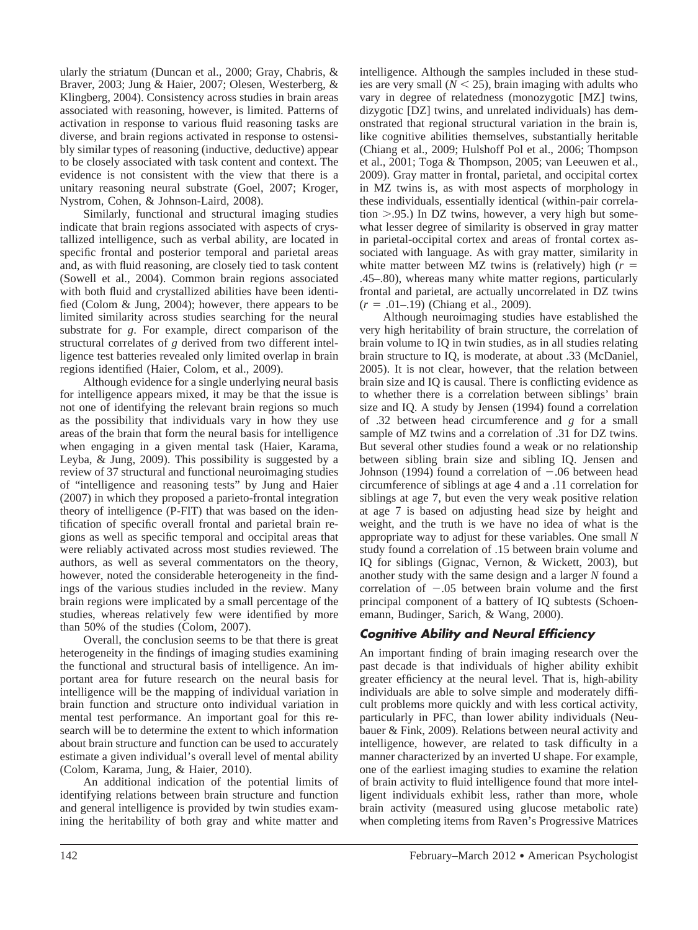ularly the striatum (Duncan et al., 2000; Gray, Chabris, & Braver, 2003; Jung & Haier, 2007; Olesen, Westerberg, & Klingberg, 2004). Consistency across studies in brain areas associated with reasoning, however, is limited. Patterns of activation in response to various fluid reasoning tasks are diverse, and brain regions activated in response to ostensibly similar types of reasoning (inductive, deductive) appear to be closely associated with task content and context. The evidence is not consistent with the view that there is a unitary reasoning neural substrate (Goel, 2007; Kroger, Nystrom, Cohen, & Johnson-Laird, 2008).

Similarly, functional and structural imaging studies indicate that brain regions associated with aspects of crystallized intelligence, such as verbal ability, are located in specific frontal and posterior temporal and parietal areas and, as with fluid reasoning, are closely tied to task content (Sowell et al., 2004). Common brain regions associated with both fluid and crystallized abilities have been identified (Colom & Jung, 2004); however, there appears to be limited similarity across studies searching for the neural substrate for *g*. For example, direct comparison of the structural correlates of *g* derived from two different intelligence test batteries revealed only limited overlap in brain regions identified (Haier, Colom, et al., 2009).

Although evidence for a single underlying neural basis for intelligence appears mixed, it may be that the issue is not one of identifying the relevant brain regions so much as the possibility that individuals vary in how they use areas of the brain that form the neural basis for intelligence when engaging in a given mental task (Haier, Karama, Leyba, & Jung, 2009). This possibility is suggested by a review of 37 structural and functional neuroimaging studies of "intelligence and reasoning tests" by Jung and Haier (2007) in which they proposed a parieto-frontal integration theory of intelligence (P-FIT) that was based on the identification of specific overall frontal and parietal brain regions as well as specific temporal and occipital areas that were reliably activated across most studies reviewed. The authors, as well as several commentators on the theory, however, noted the considerable heterogeneity in the findings of the various studies included in the review. Many brain regions were implicated by a small percentage of the studies, whereas relatively few were identified by more than 50% of the studies (Colom, 2007).

Overall, the conclusion seems to be that there is great heterogeneity in the findings of imaging studies examining the functional and structural basis of intelligence. An important area for future research on the neural basis for intelligence will be the mapping of individual variation in brain function and structure onto individual variation in mental test performance. An important goal for this research will be to determine the extent to which information about brain structure and function can be used to accurately estimate a given individual's overall level of mental ability (Colom, Karama, Jung, & Haier, 2010).

An additional indication of the potential limits of identifying relations between brain structure and function and general intelligence is provided by twin studies examining the heritability of both gray and white matter and

intelligence. Although the samples included in these studies are very small  $(N < 25)$ , brain imaging with adults who vary in degree of relatedness (monozygotic [MZ] twins, dizygotic [DZ] twins, and unrelated individuals) has demonstrated that regional structural variation in the brain is, like cognitive abilities themselves, substantially heritable (Chiang et al., 2009; Hulshoff Pol et al., 2006; Thompson et al., 2001; Toga & Thompson, 2005; van Leeuwen et al., 2009). Gray matter in frontal, parietal, and occipital cortex in MZ twins is, as with most aspects of morphology in these individuals, essentially identical (within-pair correlation  $> 0.95$ .) In DZ twins, however, a very high but somewhat lesser degree of similarity is observed in gray matter in parietal-occipital cortex and areas of frontal cortex associated with language. As with gray matter, similarity in white matter between MZ twins is (relatively) high  $(r =$ .45–.80), whereas many white matter regions, particularly frontal and parietal, are actually uncorrelated in DZ twins  $(r = .01-.19)$  (Chiang et al., 2009).

Although neuroimaging studies have established the very high heritability of brain structure, the correlation of brain volume to IQ in twin studies, as in all studies relating brain structure to IQ, is moderate, at about .33 (McDaniel, 2005). It is not clear, however, that the relation between brain size and IQ is causal. There is conflicting evidence as to whether there is a correlation between siblings' brain size and IQ. A study by Jensen (1994) found a correlation of .32 between head circumference and *g* for a small sample of MZ twins and a correlation of .31 for DZ twins. But several other studies found a weak or no relationship between sibling brain size and sibling IQ. Jensen and Johnson (1994) found a correlation of  $-.06$  between head circumference of siblings at age 4 and a .11 correlation for siblings at age 7, but even the very weak positive relation at age 7 is based on adjusting head size by height and weight, and the truth is we have no idea of what is the appropriate way to adjust for these variables. One small *N* study found a correlation of .15 between brain volume and IQ for siblings (Gignac, Vernon, & Wickett, 2003), but another study with the same design and a larger *N* found a correlation of  $-.05$  between brain volume and the first principal component of a battery of IQ subtests (Schoenemann, Budinger, Sarich, & Wang, 2000).

## *Cognitive Ability and Neural Efficiency*

An important finding of brain imaging research over the past decade is that individuals of higher ability exhibit greater efficiency at the neural level. That is, high-ability individuals are able to solve simple and moderately difficult problems more quickly and with less cortical activity, particularly in PFC, than lower ability individuals (Neubauer & Fink, 2009). Relations between neural activity and intelligence, however, are related to task difficulty in a manner characterized by an inverted U shape. For example, one of the earliest imaging studies to examine the relation of brain activity to fluid intelligence found that more intelligent individuals exhibit less, rather than more, whole brain activity (measured using glucose metabolic rate) when completing items from Raven's Progressive Matrices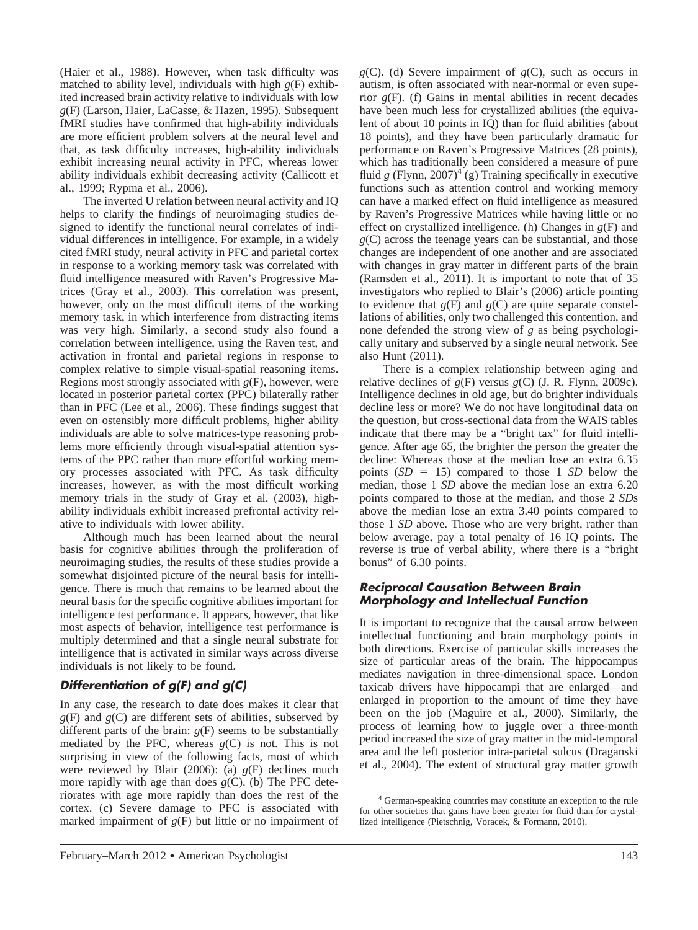(Haier et al., 1988). However, when task difficulty was matched to ability level, individuals with high *g*(F) exhibited increased brain activity relative to individuals with low *g*(F) (Larson, Haier, LaCasse, & Hazen, 1995). Subsequent fMRI studies have confirmed that high-ability individuals are more efficient problem solvers at the neural level and that, as task difficulty increases, high-ability individuals exhibit increasing neural activity in PFC, whereas lower ability individuals exhibit decreasing activity (Callicott et al., 1999; Rypma et al., 2006).

The inverted U relation between neural activity and IQ helps to clarify the findings of neuroimaging studies designed to identify the functional neural correlates of individual differences in intelligence. For example, in a widely cited fMRI study, neural activity in PFC and parietal cortex in response to a working memory task was correlated with fluid intelligence measured with Raven's Progressive Matrices (Gray et al., 2003). This correlation was present, however, only on the most difficult items of the working memory task, in which interference from distracting items was very high. Similarly, a second study also found a correlation between intelligence, using the Raven test, and activation in frontal and parietal regions in response to complex relative to simple visual-spatial reasoning items. Regions most strongly associated with *g*(F), however, were located in posterior parietal cortex (PPC) bilaterally rather than in PFC (Lee et al., 2006). These findings suggest that even on ostensibly more difficult problems, higher ability individuals are able to solve matrices-type reasoning problems more efficiently through visual-spatial attention systems of the PPC rather than more effortful working memory processes associated with PFC. As task difficulty increases, however, as with the most difficult working memory trials in the study of Gray et al. (2003), highability individuals exhibit increased prefrontal activity relative to individuals with lower ability.

Although much has been learned about the neural basis for cognitive abilities through the proliferation of neuroimaging studies, the results of these studies provide a somewhat disjointed picture of the neural basis for intelligence. There is much that remains to be learned about the neural basis for the specific cognitive abilities important for intelligence test performance. It appears, however, that like most aspects of behavior, intelligence test performance is multiply determined and that a single neural substrate for intelligence that is activated in similar ways across diverse individuals is not likely to be found.

## *Differentiation of g(F) and g(C)*

In any case, the research to date does makes it clear that  $g(F)$  and  $g(C)$  are different sets of abilities, subserved by different parts of the brain: *g*(F) seems to be substantially mediated by the PFC, whereas  $g(C)$  is not. This is not surprising in view of the following facts, most of which were reviewed by Blair (2006): (a) *g*(F) declines much more rapidly with age than does *g*(C). (b) The PFC deteriorates with age more rapidly than does the rest of the cortex. (c) Severe damage to PFC is associated with marked impairment of  $g(F)$  but little or no impairment of

*g*(C). (d) Severe impairment of *g*(C), such as occurs in autism, is often associated with near-normal or even superior *g*(F). (f) Gains in mental abilities in recent decades have been much less for crystallized abilities (the equivalent of about 10 points in IQ) than for fluid abilities (about 18 points), and they have been particularly dramatic for performance on Raven's Progressive Matrices (28 points), which has traditionally been considered a measure of pure fluid *g* (Flynn, 2007)<sup>4</sup> (g) Training specifically in executive functions such as attention control and working memory can have a marked effect on fluid intelligence as measured by Raven's Progressive Matrices while having little or no effect on crystallized intelligence. (h) Changes in *g*(F) and  $g(C)$  across the teenage years can be substantial, and those changes are independent of one another and are associated with changes in gray matter in different parts of the brain (Ramsden et al., 2011). It is important to note that of 35 investigators who replied to Blair's (2006) article pointing to evidence that  $g(F)$  and  $g(C)$  are quite separate constellations of abilities, only two challenged this contention, and none defended the strong view of *g* as being psychologically unitary and subserved by a single neural network. See also Hunt (2011).

There is a complex relationship between aging and relative declines of *g*(F) versus *g*(C) (J. R. Flynn, 2009c). Intelligence declines in old age, but do brighter individuals decline less or more? We do not have longitudinal data on the question, but cross-sectional data from the WAIS tables indicate that there may be a "bright tax" for fluid intelligence. After age 65, the brighter the person the greater the decline: Whereas those at the median lose an extra 6.35 points  $(SD = 15)$  compared to those 1 *SD* below the median, those 1 *SD* above the median lose an extra 6.20 points compared to those at the median, and those 2 *SD*s above the median lose an extra 3.40 points compared to those 1 *SD* above. Those who are very bright, rather than below average, pay a total penalty of 16 IQ points. The reverse is true of verbal ability, where there is a "bright bonus" of 6.30 points.

#### *Reciprocal Causation Between Brain Morphology and Intellectual Function*

It is important to recognize that the causal arrow between intellectual functioning and brain morphology points in both directions. Exercise of particular skills increases the size of particular areas of the brain. The hippocampus mediates navigation in three-dimensional space. London taxicab drivers have hippocampi that are enlarged—and enlarged in proportion to the amount of time they have been on the job (Maguire et al., 2000). Similarly, the process of learning how to juggle over a three-month period increased the size of gray matter in the mid-temporal area and the left posterior intra-parietal sulcus (Draganski et al., 2004). The extent of structural gray matter growth

<sup>4</sup> German-speaking countries may constitute an exception to the rule for other societies that gains have been greater for fluid than for crystallized intelligence (Pietschnig, Voracek, & Formann, 2010).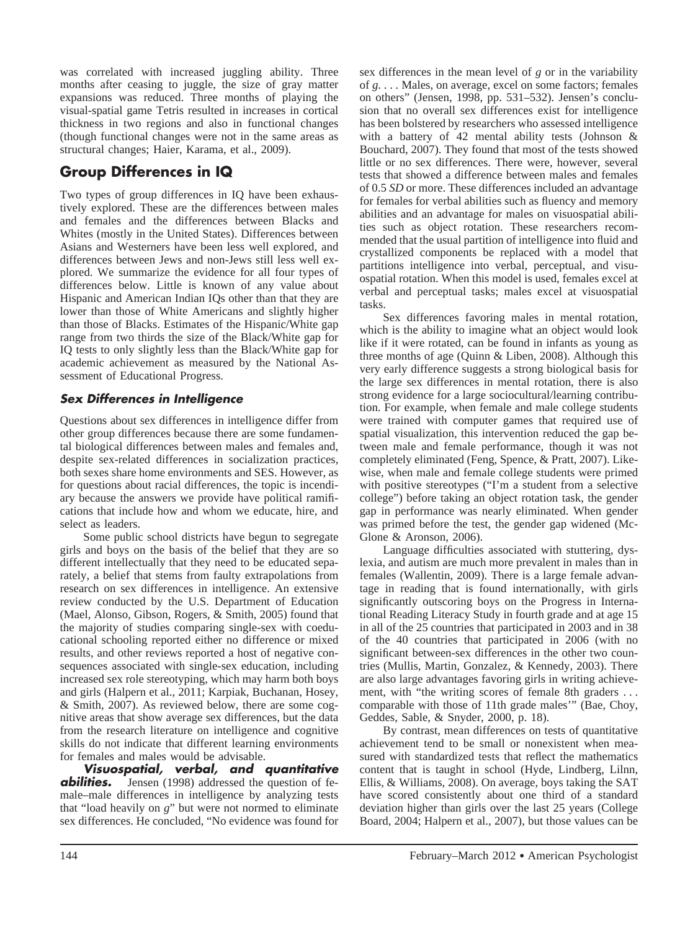was correlated with increased juggling ability. Three months after ceasing to juggle, the size of gray matter expansions was reduced. Three months of playing the visual-spatial game Tetris resulted in increases in cortical thickness in two regions and also in functional changes (though functional changes were not in the same areas as structural changes; Haier, Karama, et al., 2009).

# **Group Differences in IQ**

Two types of group differences in IQ have been exhaustively explored. These are the differences between males and females and the differences between Blacks and Whites (mostly in the United States). Differences between Asians and Westerners have been less well explored, and differences between Jews and non-Jews still less well explored. We summarize the evidence for all four types of differences below. Little is known of any value about Hispanic and American Indian IQs other than that they are lower than those of White Americans and slightly higher than those of Blacks. Estimates of the Hispanic/White gap range from two thirds the size of the Black/White gap for IQ tests to only slightly less than the Black/White gap for academic achievement as measured by the National Assessment of Educational Progress.

## *Sex Differences in Intelligence*

Questions about sex differences in intelligence differ from other group differences because there are some fundamental biological differences between males and females and, despite sex-related differences in socialization practices, both sexes share home environments and SES. However, as for questions about racial differences, the topic is incendiary because the answers we provide have political ramifications that include how and whom we educate, hire, and select as leaders.

Some public school districts have begun to segregate girls and boys on the basis of the belief that they are so different intellectually that they need to be educated separately, a belief that stems from faulty extrapolations from research on sex differences in intelligence. An extensive review conducted by the U.S. Department of Education (Mael, Alonso, Gibson, Rogers, & Smith, 2005) found that the majority of studies comparing single-sex with coeducational schooling reported either no difference or mixed results, and other reviews reported a host of negative consequences associated with single-sex education, including increased sex role stereotyping, which may harm both boys and girls (Halpern et al., 2011; Karpiak, Buchanan, Hosey, & Smith, 2007). As reviewed below, there are some cognitive areas that show average sex differences, but the data from the research literature on intelligence and cognitive skills do not indicate that different learning environments for females and males would be advisable.

*Visuospatial, verbal, and quantitative abilities.* Jensen (1998) addressed the question of female–male differences in intelligence by analyzing tests that "load heavily on *g*" but were not normed to eliminate sex differences. He concluded, "No evidence was found for

sex differences in the mean level of *g* or in the variability of *g*... *.* Males, on average, excel on some factors; females on others" (Jensen, 1998, pp. 531–532). Jensen's conclusion that no overall sex differences exist for intelligence has been bolstered by researchers who assessed intelligence with a battery of 42 mental ability tests (Johnson & Bouchard, 2007). They found that most of the tests showed little or no sex differences. There were, however, several tests that showed a difference between males and females of 0.5 *SD* or more. These differences included an advantage for females for verbal abilities such as fluency and memory abilities and an advantage for males on visuospatial abilities such as object rotation. These researchers recommended that the usual partition of intelligence into fluid and crystallized components be replaced with a model that partitions intelligence into verbal, perceptual, and visuospatial rotation. When this model is used, females excel at verbal and perceptual tasks; males excel at visuospatial tasks.

Sex differences favoring males in mental rotation, which is the ability to imagine what an object would look like if it were rotated, can be found in infants as young as three months of age (Quinn & Liben, 2008). Although this very early difference suggests a strong biological basis for the large sex differences in mental rotation, there is also strong evidence for a large sociocultural/learning contribution. For example, when female and male college students were trained with computer games that required use of spatial visualization, this intervention reduced the gap between male and female performance, though it was not completely eliminated (Feng, Spence, & Pratt, 2007). Likewise, when male and female college students were primed with positive stereotypes ("I'm a student from a selective college") before taking an object rotation task, the gender gap in performance was nearly eliminated. When gender was primed before the test, the gender gap widened (Mc-Glone & Aronson, 2006).

Language difficulties associated with stuttering, dyslexia, and autism are much more prevalent in males than in females (Wallentin, 2009). There is a large female advantage in reading that is found internationally, with girls significantly outscoring boys on the Progress in International Reading Literacy Study in fourth grade and at age 15 in all of the 25 countries that participated in 2003 and in 38 of the 40 countries that participated in 2006 (with no significant between-sex differences in the other two countries (Mullis, Martin, Gonzalez, & Kennedy, 2003). There are also large advantages favoring girls in writing achievement, with "the writing scores of female 8th graders . . . comparable with those of 11th grade males'" (Bae, Choy, Geddes, Sable, & Snyder, 2000, p. 18).

By contrast, mean differences on tests of quantitative achievement tend to be small or nonexistent when measured with standardized tests that reflect the mathematics content that is taught in school (Hyde, Lindberg, Lilnn, Ellis, & Williams, 2008). On average, boys taking the SAT have scored consistently about one third of a standard deviation higher than girls over the last 25 years (College Board, 2004; Halpern et al., 2007), but those values can be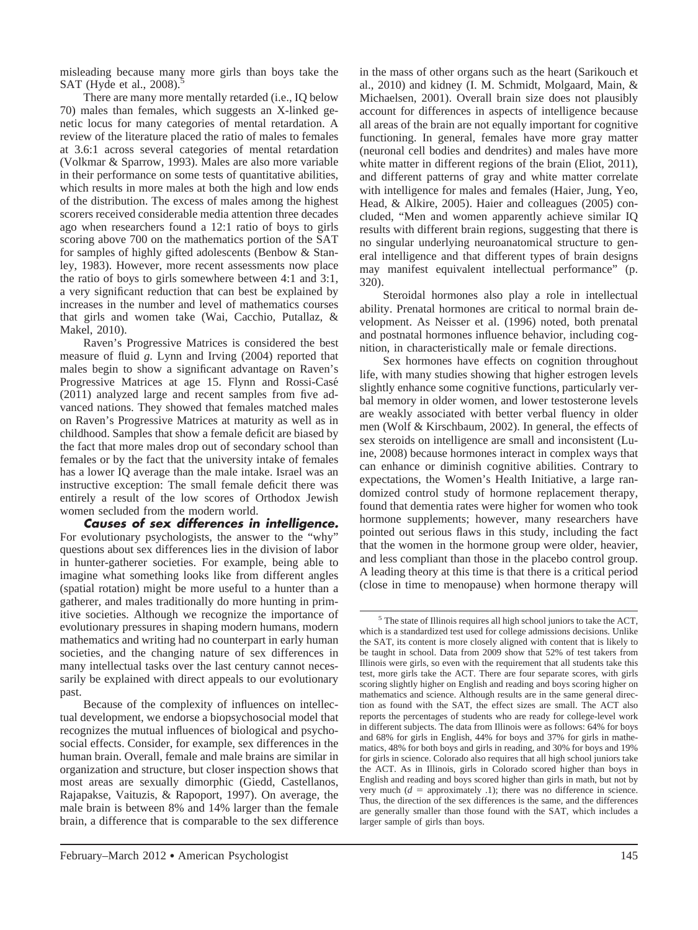misleading because many more girls than boys take the SAT (Hyde et al., 2008).

There are many more mentally retarded (i.e., IQ below 70) males than females, which suggests an X-linked genetic locus for many categories of mental retardation. A review of the literature placed the ratio of males to females at 3.6:1 across several categories of mental retardation (Volkmar & Sparrow, 1993). Males are also more variable in their performance on some tests of quantitative abilities, which results in more males at both the high and low ends of the distribution. The excess of males among the highest scorers received considerable media attention three decades ago when researchers found a 12:1 ratio of boys to girls scoring above 700 on the mathematics portion of the SAT for samples of highly gifted adolescents (Benbow & Stanley, 1983). However, more recent assessments now place the ratio of boys to girls somewhere between 4:1 and 3:1, a very significant reduction that can best be explained by increases in the number and level of mathematics courses that girls and women take (Wai, Cacchio, Putallaz, & Makel, 2010).

Raven's Progressive Matrices is considered the best measure of fluid *g*. Lynn and Irving (2004) reported that males begin to show a significant advantage on Raven's Progressive Matrices at age 15. Flynn and Rossi-Casé (2011) analyzed large and recent samples from five advanced nations. They showed that females matched males on Raven's Progressive Matrices at maturity as well as in childhood. Samples that show a female deficit are biased by the fact that more males drop out of secondary school than females or by the fact that the university intake of females has a lower IQ average than the male intake. Israel was an instructive exception: The small female deficit there was entirely a result of the low scores of Orthodox Jewish women secluded from the modern world.

*Causes of sex differences in intelligence.* For evolutionary psychologists, the answer to the "why" questions about sex differences lies in the division of labor in hunter-gatherer societies. For example, being able to imagine what something looks like from different angles (spatial rotation) might be more useful to a hunter than a gatherer, and males traditionally do more hunting in primitive societies. Although we recognize the importance of evolutionary pressures in shaping modern humans, modern mathematics and writing had no counterpart in early human societies, and the changing nature of sex differences in many intellectual tasks over the last century cannot necessarily be explained with direct appeals to our evolutionary past.

Because of the complexity of influences on intellectual development, we endorse a biopsychosocial model that recognizes the mutual influences of biological and psychosocial effects. Consider, for example, sex differences in the human brain. Overall, female and male brains are similar in organization and structure, but closer inspection shows that most areas are sexually dimorphic (Giedd, Castellanos, Rajapakse, Vaituzis, & Rapoport, 1997). On average, the male brain is between 8% and 14% larger than the female brain, a difference that is comparable to the sex difference

in the mass of other organs such as the heart (Sarikouch et al., 2010) and kidney (I. M. Schmidt, Molgaard, Main, & Michaelsen, 2001). Overall brain size does not plausibly account for differences in aspects of intelligence because all areas of the brain are not equally important for cognitive functioning. In general, females have more gray matter (neuronal cell bodies and dendrites) and males have more white matter in different regions of the brain (Eliot, 2011), and different patterns of gray and white matter correlate with intelligence for males and females (Haier, Jung, Yeo, Head, & Alkire, 2005). Haier and colleagues (2005) concluded, "Men and women apparently achieve similar IQ results with different brain regions, suggesting that there is no singular underlying neuroanatomical structure to general intelligence and that different types of brain designs may manifest equivalent intellectual performance" (p. 320).

Steroidal hormones also play a role in intellectual ability. Prenatal hormones are critical to normal brain development. As Neisser et al. (1996) noted, both prenatal and postnatal hormones influence behavior, including cognition, in characteristically male or female directions.

Sex hormones have effects on cognition throughout life, with many studies showing that higher estrogen levels slightly enhance some cognitive functions, particularly verbal memory in older women, and lower testosterone levels are weakly associated with better verbal fluency in older men (Wolf & Kirschbaum, 2002). In general, the effects of sex steroids on intelligence are small and inconsistent (Luine, 2008) because hormones interact in complex ways that can enhance or diminish cognitive abilities. Contrary to expectations, the Women's Health Initiative, a large randomized control study of hormone replacement therapy, found that dementia rates were higher for women who took hormone supplements; however, many researchers have pointed out serious flaws in this study, including the fact that the women in the hormone group were older, heavier, and less compliant than those in the placebo control group. A leading theory at this time is that there is a critical period (close in time to menopause) when hormone therapy will

<sup>5</sup> The state of Illinois requires all high school juniors to take the ACT, which is a standardized test used for college admissions decisions. Unlike the SAT, its content is more closely aligned with content that is likely to be taught in school. Data from 2009 show that 52% of test takers from Illinois were girls, so even with the requirement that all students take this test, more girls take the ACT. There are four separate scores, with girls scoring slightly higher on English and reading and boys scoring higher on mathematics and science. Although results are in the same general direction as found with the SAT, the effect sizes are small. The ACT also reports the percentages of students who are ready for college-level work in different subjects. The data from Illinois were as follows: 64% for boys and 68% for girls in English, 44% for boys and 37% for girls in mathematics, 48% for both boys and girls in reading, and 30% for boys and 19% for girls in science. Colorado also requires that all high school juniors take the ACT. As in Illinois, girls in Colorado scored higher than boys in English and reading and boys scored higher than girls in math, but not by very much  $(d =$  approximately .1); there was no difference in science. Thus, the direction of the sex differences is the same, and the differences are generally smaller than those found with the SAT, which includes a larger sample of girls than boys.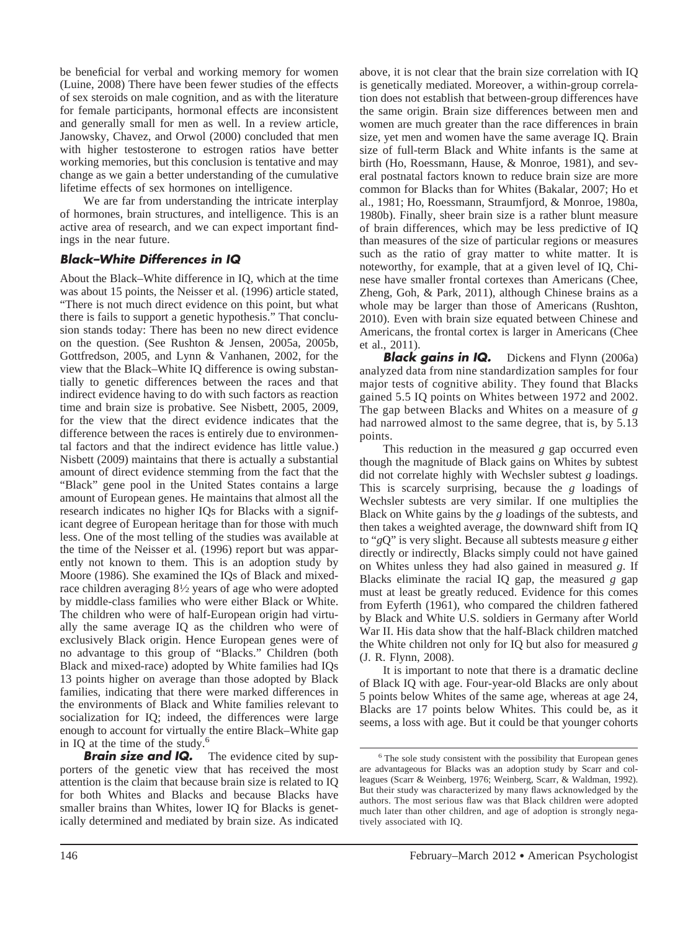be beneficial for verbal and working memory for women (Luine, 2008) There have been fewer studies of the effects of sex steroids on male cognition, and as with the literature for female participants, hormonal effects are inconsistent and generally small for men as well. In a review article, Janowsky, Chavez, and Orwol (2000) concluded that men with higher testosterone to estrogen ratios have better working memories, but this conclusion is tentative and may change as we gain a better understanding of the cumulative lifetime effects of sex hormones on intelligence.

We are far from understanding the intricate interplay of hormones, brain structures, and intelligence. This is an active area of research, and we can expect important findings in the near future.

#### *Black–White Differences in IQ*

About the Black–White difference in IQ, which at the time was about 15 points, the Neisser et al. (1996) article stated, "There is not much direct evidence on this point, but what there is fails to support a genetic hypothesis." That conclusion stands today: There has been no new direct evidence on the question. (See Rushton & Jensen, 2005a, 2005b, Gottfredson, 2005, and Lynn & Vanhanen, 2002, for the view that the Black–White IQ difference is owing substantially to genetic differences between the races and that indirect evidence having to do with such factors as reaction time and brain size is probative. See Nisbett, 2005, 2009, for the view that the direct evidence indicates that the difference between the races is entirely due to environmental factors and that the indirect evidence has little value.) Nisbett (2009) maintains that there is actually a substantial amount of direct evidence stemming from the fact that the "Black" gene pool in the United States contains a large amount of European genes. He maintains that almost all the research indicates no higher IQs for Blacks with a significant degree of European heritage than for those with much less. One of the most telling of the studies was available at the time of the Neisser et al. (1996) report but was apparently not known to them. This is an adoption study by Moore (1986). She examined the IQs of Black and mixedrace children averaging 81⁄2 years of age who were adopted by middle-class families who were either Black or White. The children who were of half-European origin had virtually the same average IQ as the children who were of exclusively Black origin. Hence European genes were of no advantage to this group of "Blacks." Children (both Black and mixed-race) adopted by White families had IQs 13 points higher on average than those adopted by Black families, indicating that there were marked differences in the environments of Black and White families relevant to socialization for IQ; indeed, the differences were large enough to account for virtually the entire Black–White gap in IQ at the time of the study.6

**Brain size and IQ.** The evidence cited by supporters of the genetic view that has received the most attention is the claim that because brain size is related to IQ for both Whites and Blacks and because Blacks have smaller brains than Whites, lower IQ for Blacks is genetically determined and mediated by brain size. As indicated

above, it is not clear that the brain size correlation with IQ is genetically mediated. Moreover, a within-group correlation does not establish that between-group differences have the same origin. Brain size differences between men and women are much greater than the race differences in brain size, yet men and women have the same average IQ. Brain size of full-term Black and White infants is the same at birth (Ho, Roessmann, Hause, & Monroe, 1981), and several postnatal factors known to reduce brain size are more common for Blacks than for Whites (Bakalar, 2007; Ho et al., 1981; Ho, Roessmann, Straumfjord, & Monroe, 1980a, 1980b). Finally, sheer brain size is a rather blunt measure of brain differences, which may be less predictive of IQ than measures of the size of particular regions or measures such as the ratio of gray matter to white matter. It is noteworthy, for example, that at a given level of IQ, Chinese have smaller frontal cortexes than Americans (Chee, Zheng, Goh, & Park, 2011), although Chinese brains as a whole may be larger than those of Americans (Rushton, 2010). Even with brain size equated between Chinese and Americans, the frontal cortex is larger in Americans (Chee et al., 2011).

**Black gains in IQ.** Dickens and Flynn (2006a) analyzed data from nine standardization samples for four major tests of cognitive ability. They found that Blacks gained 5.5 IQ points on Whites between 1972 and 2002. The gap between Blacks and Whites on a measure of *g* had narrowed almost to the same degree, that is, by 5.13 points.

This reduction in the measured *g* gap occurred even though the magnitude of Black gains on Whites by subtest did not correlate highly with Wechsler subtest *g* loadings. This is scarcely surprising, because the *g* loadings of Wechsler subtests are very similar. If one multiplies the Black on White gains by the *g* loadings of the subtests, and then takes a weighted average, the downward shift from IQ to "*g*Q" is very slight. Because all subtests measure *g* either directly or indirectly, Blacks simply could not have gained on Whites unless they had also gained in measured *g*. If Blacks eliminate the racial IQ gap, the measured *g* gap must at least be greatly reduced. Evidence for this comes from Eyferth (1961), who compared the children fathered by Black and White U.S. soldiers in Germany after World War II. His data show that the half-Black children matched the White children not only for IQ but also for measured *g* (J. R. Flynn, 2008).

It is important to note that there is a dramatic decline of Black IQ with age. Four-year-old Blacks are only about 5 points below Whites of the same age, whereas at age 24, Blacks are 17 points below Whites. This could be, as it seems, a loss with age. But it could be that younger cohorts

<sup>6</sup> The sole study consistent with the possibility that European genes are advantageous for Blacks was an adoption study by Scarr and colleagues (Scarr & Weinberg, 1976; Weinberg, Scarr, & Waldman, 1992). But their study was characterized by many flaws acknowledged by the authors. The most serious flaw was that Black children were adopted much later than other children, and age of adoption is strongly negatively associated with IQ.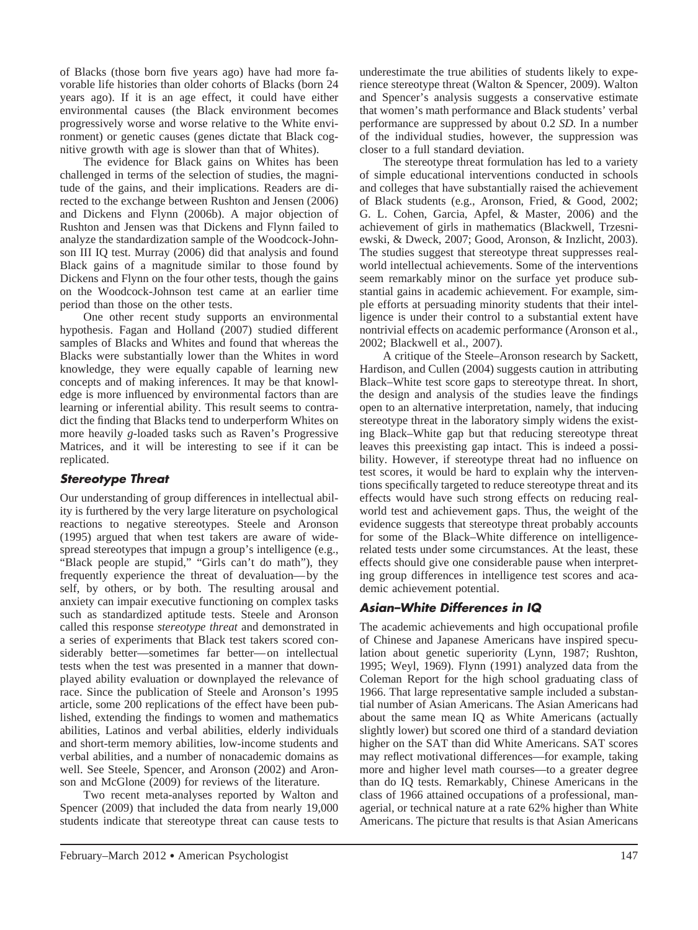of Blacks (those born five years ago) have had more favorable life histories than older cohorts of Blacks (born 24 years ago). If it is an age effect, it could have either environmental causes (the Black environment becomes progressively worse and worse relative to the White environment) or genetic causes (genes dictate that Black cognitive growth with age is slower than that of Whites).

The evidence for Black gains on Whites has been challenged in terms of the selection of studies, the magnitude of the gains, and their implications. Readers are directed to the exchange between Rushton and Jensen (2006) and Dickens and Flynn (2006b). A major objection of Rushton and Jensen was that Dickens and Flynn failed to analyze the standardization sample of the Woodcock-Johnson III IQ test. Murray (2006) did that analysis and found Black gains of a magnitude similar to those found by Dickens and Flynn on the four other tests, though the gains on the Woodcock-Johnson test came at an earlier time period than those on the other tests.

One other recent study supports an environmental hypothesis. Fagan and Holland (2007) studied different samples of Blacks and Whites and found that whereas the Blacks were substantially lower than the Whites in word knowledge, they were equally capable of learning new concepts and of making inferences. It may be that knowledge is more influenced by environmental factors than are learning or inferential ability. This result seems to contradict the finding that Blacks tend to underperform Whites on more heavily *g*-loaded tasks such as Raven's Progressive Matrices, and it will be interesting to see if it can be replicated.

## *Stereotype Threat*

Our understanding of group differences in intellectual ability is furthered by the very large literature on psychological reactions to negative stereotypes. Steele and Aronson (1995) argued that when test takers are aware of widespread stereotypes that impugn a group's intelligence (e.g., "Black people are stupid," "Girls can't do math"), they frequently experience the threat of devaluation— by the self, by others, or by both. The resulting arousal and anxiety can impair executive functioning on complex tasks such as standardized aptitude tests. Steele and Aronson called this response *stereotype threat* and demonstrated in a series of experiments that Black test takers scored considerably better—sometimes far better— on intellectual tests when the test was presented in a manner that downplayed ability evaluation or downplayed the relevance of race. Since the publication of Steele and Aronson's 1995 article, some 200 replications of the effect have been published, extending the findings to women and mathematics abilities, Latinos and verbal abilities, elderly individuals and short-term memory abilities, low-income students and verbal abilities, and a number of nonacademic domains as well. See Steele, Spencer, and Aronson (2002) and Aronson and McGlone (2009) for reviews of the literature.

Two recent meta-analyses reported by Walton and Spencer (2009) that included the data from nearly 19,000 students indicate that stereotype threat can cause tests to

February–March 2012 ● American Psychologist 147

underestimate the true abilities of students likely to experience stereotype threat (Walton & Spencer, 2009). Walton and Spencer's analysis suggests a conservative estimate that women's math performance and Black students' verbal performance are suppressed by about 0.2 *SD.* In a number of the individual studies, however, the suppression was closer to a full standard deviation.

The stereotype threat formulation has led to a variety of simple educational interventions conducted in schools and colleges that have substantially raised the achievement of Black students (e.g., Aronson, Fried, & Good, 2002; G. L. Cohen, Garcia, Apfel, & Master, 2006) and the achievement of girls in mathematics (Blackwell, Trzesniewski, & Dweck, 2007; Good, Aronson, & Inzlicht, 2003). The studies suggest that stereotype threat suppresses realworld intellectual achievements. Some of the interventions seem remarkably minor on the surface yet produce substantial gains in academic achievement. For example, simple efforts at persuading minority students that their intelligence is under their control to a substantial extent have nontrivial effects on academic performance (Aronson et al., 2002; Blackwell et al., 2007).

A critique of the Steele–Aronson research by Sackett, Hardison, and Cullen (2004) suggests caution in attributing Black–White test score gaps to stereotype threat. In short, the design and analysis of the studies leave the findings open to an alternative interpretation, namely, that inducing stereotype threat in the laboratory simply widens the existing Black–White gap but that reducing stereotype threat leaves this preexisting gap intact. This is indeed a possibility. However, if stereotype threat had no influence on test scores, it would be hard to explain why the interventions specifically targeted to reduce stereotype threat and its effects would have such strong effects on reducing realworld test and achievement gaps. Thus, the weight of the evidence suggests that stereotype threat probably accounts for some of the Black–White difference on intelligencerelated tests under some circumstances. At the least, these effects should give one considerable pause when interpreting group differences in intelligence test scores and academic achievement potential.

## *Asian–White Differences in IQ*

The academic achievements and high occupational profile of Chinese and Japanese Americans have inspired speculation about genetic superiority (Lynn, 1987; Rushton, 1995; Weyl, 1969). Flynn (1991) analyzed data from the Coleman Report for the high school graduating class of 1966. That large representative sample included a substantial number of Asian Americans. The Asian Americans had about the same mean IQ as White Americans (actually slightly lower) but scored one third of a standard deviation higher on the SAT than did White Americans. SAT scores may reflect motivational differences—for example, taking more and higher level math courses—to a greater degree than do IQ tests. Remarkably, Chinese Americans in the class of 1966 attained occupations of a professional, managerial, or technical nature at a rate 62% higher than White Americans. The picture that results is that Asian Americans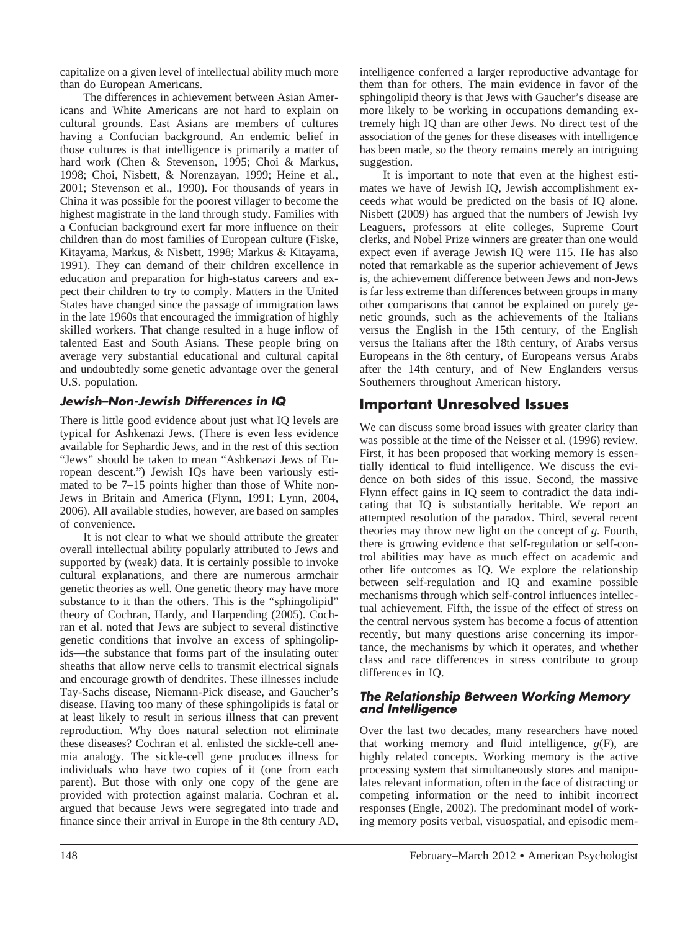capitalize on a given level of intellectual ability much more than do European Americans.

The differences in achievement between Asian Americans and White Americans are not hard to explain on cultural grounds. East Asians are members of cultures having a Confucian background. An endemic belief in those cultures is that intelligence is primarily a matter of hard work (Chen & Stevenson, 1995; Choi & Markus, 1998; Choi, Nisbett, & Norenzayan, 1999; Heine et al., 2001; Stevenson et al., 1990). For thousands of years in China it was possible for the poorest villager to become the highest magistrate in the land through study. Families with a Confucian background exert far more influence on their children than do most families of European culture (Fiske, Kitayama, Markus, & Nisbett, 1998; Markus & Kitayama, 1991). They can demand of their children excellence in education and preparation for high-status careers and expect their children to try to comply. Matters in the United States have changed since the passage of immigration laws in the late 1960s that encouraged the immigration of highly skilled workers. That change resulted in a huge inflow of talented East and South Asians. These people bring on average very substantial educational and cultural capital and undoubtedly some genetic advantage over the general U.S. population.

### *Jewish–Non-Jewish Differences in IQ*

There is little good evidence about just what IQ levels are typical for Ashkenazi Jews. (There is even less evidence available for Sephardic Jews, and in the rest of this section "Jews" should be taken to mean "Ashkenazi Jews of European descent.") Jewish IQs have been variously estimated to be 7–15 points higher than those of White non-Jews in Britain and America (Flynn, 1991; Lynn, 2004, 2006). All available studies, however, are based on samples of convenience.

It is not clear to what we should attribute the greater overall intellectual ability popularly attributed to Jews and supported by (weak) data. It is certainly possible to invoke cultural explanations, and there are numerous armchair genetic theories as well. One genetic theory may have more substance to it than the others. This is the "sphingolipid" theory of Cochran, Hardy, and Harpending (2005). Cochran et al. noted that Jews are subject to several distinctive genetic conditions that involve an excess of sphingolipids—the substance that forms part of the insulating outer sheaths that allow nerve cells to transmit electrical signals and encourage growth of dendrites. These illnesses include Tay-Sachs disease, Niemann-Pick disease, and Gaucher's disease. Having too many of these sphingolipids is fatal or at least likely to result in serious illness that can prevent reproduction. Why does natural selection not eliminate these diseases? Cochran et al. enlisted the sickle-cell anemia analogy. The sickle-cell gene produces illness for individuals who have two copies of it (one from each parent). But those with only one copy of the gene are provided with protection against malaria. Cochran et al. argued that because Jews were segregated into trade and finance since their arrival in Europe in the 8th century AD,

intelligence conferred a larger reproductive advantage for them than for others. The main evidence in favor of the sphingolipid theory is that Jews with Gaucher's disease are more likely to be working in occupations demanding extremely high IQ than are other Jews. No direct test of the association of the genes for these diseases with intelligence has been made, so the theory remains merely an intriguing suggestion.

It is important to note that even at the highest estimates we have of Jewish IQ, Jewish accomplishment exceeds what would be predicted on the basis of IQ alone. Nisbett (2009) has argued that the numbers of Jewish Ivy Leaguers, professors at elite colleges, Supreme Court clerks, and Nobel Prize winners are greater than one would expect even if average Jewish IQ were 115. He has also noted that remarkable as the superior achievement of Jews is, the achievement difference between Jews and non-Jews is far less extreme than differences between groups in many other comparisons that cannot be explained on purely genetic grounds, such as the achievements of the Italians versus the English in the 15th century, of the English versus the Italians after the 18th century, of Arabs versus Europeans in the 8th century, of Europeans versus Arabs after the 14th century, and of New Englanders versus Southerners throughout American history.

## **Important Unresolved Issues**

We can discuss some broad issues with greater clarity than was possible at the time of the Neisser et al. (1996) review. First, it has been proposed that working memory is essentially identical to fluid intelligence. We discuss the evidence on both sides of this issue. Second, the massive Flynn effect gains in IQ seem to contradict the data indicating that IQ is substantially heritable. We report an attempted resolution of the paradox. Third, several recent theories may throw new light on the concept of *g.* Fourth, there is growing evidence that self-regulation or self-control abilities may have as much effect on academic and other life outcomes as IQ. We explore the relationship between self-regulation and IQ and examine possible mechanisms through which self-control influences intellectual achievement. Fifth, the issue of the effect of stress on the central nervous system has become a focus of attention recently, but many questions arise concerning its importance, the mechanisms by which it operates, and whether class and race differences in stress contribute to group differences in IQ.

#### *The Relationship Between Working Memory and Intelligence*

Over the last two decades, many researchers have noted that working memory and fluid intelligence, *g*(F), are highly related concepts. Working memory is the active processing system that simultaneously stores and manipulates relevant information, often in the face of distracting or competing information or the need to inhibit incorrect responses (Engle, 2002). The predominant model of working memory posits verbal, visuospatial, and episodic mem-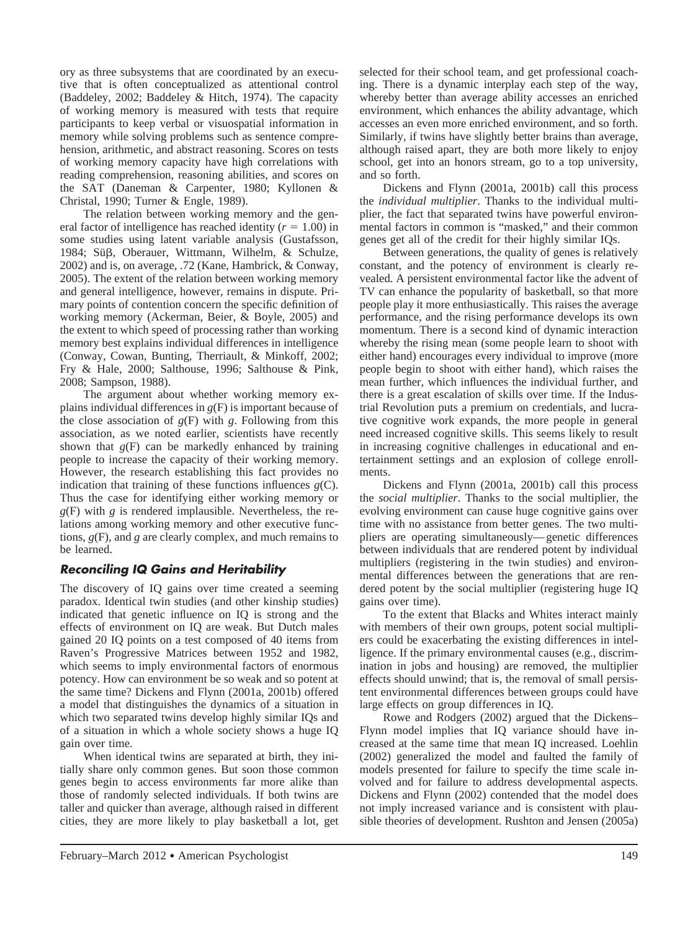ory as three subsystems that are coordinated by an executive that is often conceptualized as attentional control (Baddeley, 2002; Baddeley & Hitch, 1974). The capacity of working memory is measured with tests that require participants to keep verbal or visuospatial information in memory while solving problems such as sentence comprehension, arithmetic, and abstract reasoning. Scores on tests of working memory capacity have high correlations with reading comprehension, reasoning abilities, and scores on the SAT (Daneman & Carpenter, 1980; Kyllonen & Christal, 1990; Turner & Engle, 1989).

The relation between working memory and the general factor of intelligence has reached identity  $(r = 1.00)$  in some studies using latent variable analysis (Gustafsson, 1984; Süβ, Oberauer, Wittmann, Wilhelm, & Schulze, 2002) and is, on average, .72 (Kane, Hambrick, & Conway, 2005). The extent of the relation between working memory and general intelligence, however, remains in dispute. Primary points of contention concern the specific definition of working memory (Ackerman, Beier, & Boyle, 2005) and the extent to which speed of processing rather than working memory best explains individual differences in intelligence (Conway, Cowan, Bunting, Therriault, & Minkoff, 2002; Fry & Hale, 2000; Salthouse, 1996; Salthouse & Pink, 2008; Sampson, 1988).

The argument about whether working memory explains individual differences in *g*(F) is important because of the close association of *g*(F) with *g*. Following from this association, as we noted earlier, scientists have recently shown that  $g(F)$  can be markedly enhanced by training people to increase the capacity of their working memory. However, the research establishing this fact provides no indication that training of these functions influences  $g(C)$ . Thus the case for identifying either working memory or *g*(F) with *g* is rendered implausible. Nevertheless, the relations among working memory and other executive functions, *g*(F), and *g* are clearly complex, and much remains to be learned.

## *Reconciling IQ Gains and Heritability*

The discovery of IQ gains over time created a seeming paradox. Identical twin studies (and other kinship studies) indicated that genetic influence on IQ is strong and the effects of environment on IQ are weak. But Dutch males gained 20 IQ points on a test composed of 40 items from Raven's Progressive Matrices between 1952 and 1982, which seems to imply environmental factors of enormous potency. How can environment be so weak and so potent at the same time? Dickens and Flynn (2001a, 2001b) offered a model that distinguishes the dynamics of a situation in which two separated twins develop highly similar IQs and of a situation in which a whole society shows a huge IQ gain over time.

When identical twins are separated at birth, they initially share only common genes. But soon those common genes begin to access environments far more alike than those of randomly selected individuals. If both twins are taller and quicker than average, although raised in different cities, they are more likely to play basketball a lot, get

selected for their school team, and get professional coaching. There is a dynamic interplay each step of the way, whereby better than average ability accesses an enriched environment, which enhances the ability advantage, which accesses an even more enriched environment, and so forth. Similarly, if twins have slightly better brains than average, although raised apart, they are both more likely to enjoy school, get into an honors stream, go to a top university, and so forth.

Dickens and Flynn (2001a, 2001b) call this process the *individual multiplier*. Thanks to the individual multiplier, the fact that separated twins have powerful environmental factors in common is "masked," and their common genes get all of the credit for their highly similar IQs.

Between generations, the quality of genes is relatively constant, and the potency of environment is clearly revealed. A persistent environmental factor like the advent of TV can enhance the popularity of basketball, so that more people play it more enthusiastically. This raises the average performance, and the rising performance develops its own momentum. There is a second kind of dynamic interaction whereby the rising mean (some people learn to shoot with either hand) encourages every individual to improve (more people begin to shoot with either hand), which raises the mean further, which influences the individual further, and there is a great escalation of skills over time. If the Industrial Revolution puts a premium on credentials, and lucrative cognitive work expands, the more people in general need increased cognitive skills. This seems likely to result in increasing cognitive challenges in educational and entertainment settings and an explosion of college enrollments.

Dickens and Flynn (2001a, 2001b) call this process the *social multiplier*. Thanks to the social multiplier, the evolving environment can cause huge cognitive gains over time with no assistance from better genes. The two multipliers are operating simultaneously— genetic differences between individuals that are rendered potent by individual multipliers (registering in the twin studies) and environmental differences between the generations that are rendered potent by the social multiplier (registering huge IQ gains over time).

To the extent that Blacks and Whites interact mainly with members of their own groups, potent social multipliers could be exacerbating the existing differences in intelligence. If the primary environmental causes (e.g., discrimination in jobs and housing) are removed, the multiplier effects should unwind; that is, the removal of small persistent environmental differences between groups could have large effects on group differences in IQ.

Rowe and Rodgers (2002) argued that the Dickens– Flynn model implies that IQ variance should have increased at the same time that mean IQ increased. Loehlin (2002) generalized the model and faulted the family of models presented for failure to specify the time scale involved and for failure to address developmental aspects. Dickens and Flynn (2002) contended that the model does not imply increased variance and is consistent with plausible theories of development. Rushton and Jensen (2005a)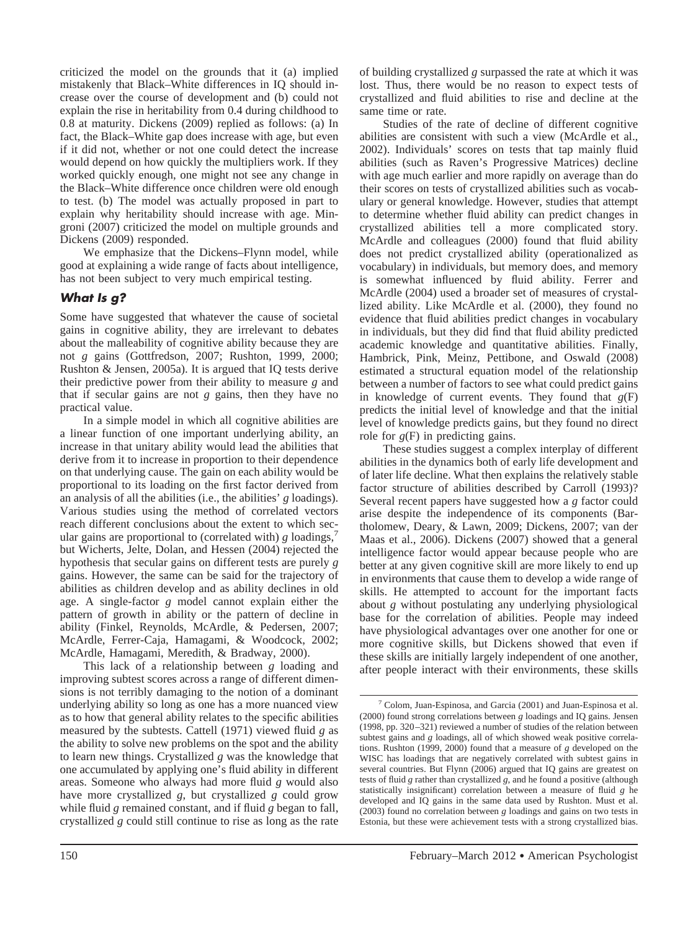criticized the model on the grounds that it (a) implied mistakenly that Black–White differences in IQ should increase over the course of development and (b) could not explain the rise in heritability from 0.4 during childhood to 0.8 at maturity. Dickens (2009) replied as follows: (a) In fact, the Black–White gap does increase with age, but even if it did not, whether or not one could detect the increase would depend on how quickly the multipliers work. If they worked quickly enough, one might not see any change in the Black–White difference once children were old enough to test. (b) The model was actually proposed in part to explain why heritability should increase with age. Mingroni (2007) criticized the model on multiple grounds and Dickens (2009) responded.

We emphasize that the Dickens–Flynn model, while good at explaining a wide range of facts about intelligence, has not been subject to very much empirical testing.

#### *What Is g?*

Some have suggested that whatever the cause of societal gains in cognitive ability, they are irrelevant to debates about the malleability of cognitive ability because they are not *g* gains (Gottfredson, 2007; Rushton, 1999, 2000; Rushton & Jensen, 2005a). It is argued that IQ tests derive their predictive power from their ability to measure *g* and that if secular gains are not *g* gains, then they have no practical value.

In a simple model in which all cognitive abilities are a linear function of one important underlying ability, an increase in that unitary ability would lead the abilities that derive from it to increase in proportion to their dependence on that underlying cause. The gain on each ability would be proportional to its loading on the first factor derived from an analysis of all the abilities (i.e., the abilities' *g* loadings). Various studies using the method of correlated vectors reach different conclusions about the extent to which secular gains are proportional to (correlated with)  $g$  loadings,<sup>7</sup> but Wicherts, Jelte, Dolan, and Hessen (2004) rejected the hypothesis that secular gains on different tests are purely *g* gains. However, the same can be said for the trajectory of abilities as children develop and as ability declines in old age. A single-factor *g* model cannot explain either the pattern of growth in ability or the pattern of decline in ability (Finkel, Reynolds, McArdle, & Pedersen, 2007; McArdle, Ferrer-Caja, Hamagami, & Woodcock, 2002; McArdle, Hamagami, Meredith, & Bradway, 2000).

This lack of a relationship between *g* loading and improving subtest scores across a range of different dimensions is not terribly damaging to the notion of a dominant underlying ability so long as one has a more nuanced view as to how that general ability relates to the specific abilities measured by the subtests. Cattell (1971) viewed fluid *g* as the ability to solve new problems on the spot and the ability to learn new things. Crystallized *g* was the knowledge that one accumulated by applying one's fluid ability in different areas. Someone who always had more fluid *g* would also have more crystallized *g*, but crystallized *g* could grow while fluid *g* remained constant, and if fluid *g* began to fall, crystallized *g* could still continue to rise as long as the rate

of building crystallized *g* surpassed the rate at which it was lost. Thus, there would be no reason to expect tests of crystallized and fluid abilities to rise and decline at the same time or rate.

Studies of the rate of decline of different cognitive abilities are consistent with such a view (McArdle et al., 2002). Individuals' scores on tests that tap mainly fluid abilities (such as Raven's Progressive Matrices) decline with age much earlier and more rapidly on average than do their scores on tests of crystallized abilities such as vocabulary or general knowledge. However, studies that attempt to determine whether fluid ability can predict changes in crystallized abilities tell a more complicated story. McArdle and colleagues (2000) found that fluid ability does not predict crystallized ability (operationalized as vocabulary) in individuals, but memory does, and memory is somewhat influenced by fluid ability. Ferrer and McArdle (2004) used a broader set of measures of crystallized ability. Like McArdle et al. (2000), they found no evidence that fluid abilities predict changes in vocabulary in individuals, but they did find that fluid ability predicted academic knowledge and quantitative abilities. Finally, Hambrick, Pink, Meinz, Pettibone, and Oswald (2008) estimated a structural equation model of the relationship between a number of factors to see what could predict gains in knowledge of current events. They found that *g*(F) predicts the initial level of knowledge and that the initial level of knowledge predicts gains, but they found no direct role for  $g(F)$  in predicting gains.

These studies suggest a complex interplay of different abilities in the dynamics both of early life development and of later life decline. What then explains the relatively stable factor structure of abilities described by Carroll (1993)? Several recent papers have suggested how a *g* factor could arise despite the independence of its components (Bartholomew, Deary, & Lawn, 2009; Dickens, 2007; van der Maas et al., 2006). Dickens (2007) showed that a general intelligence factor would appear because people who are better at any given cognitive skill are more likely to end up in environments that cause them to develop a wide range of skills. He attempted to account for the important facts about *g* without postulating any underlying physiological base for the correlation of abilities. People may indeed have physiological advantages over one another for one or more cognitive skills, but Dickens showed that even if these skills are initially largely independent of one another, after people interact with their environments, these skills

<sup>7</sup> Colom, Juan-Espinosa, and Garcia (2001) and Juan-Espinosa et al. (2000) found strong correlations between *g* loadings and IQ gains. Jensen (1998, pp. 320 –321) reviewed a number of studies of the relation between subtest gains and *g* loadings, all of which showed weak positive correlations. Rushton (1999, 2000) found that a measure of *g* developed on the WISC has loadings that are negatively correlated with subtest gains in several countries. But Flynn (2006) argued that IQ gains are greatest on tests of fluid *g* rather than crystallized *g*, and he found a positive (although statistically insignificant) correlation between a measure of fluid *g* he developed and IQ gains in the same data used by Rushton. Must et al. (2003) found no correlation between *g* loadings and gains on two tests in Estonia, but these were achievement tests with a strong crystallized bias.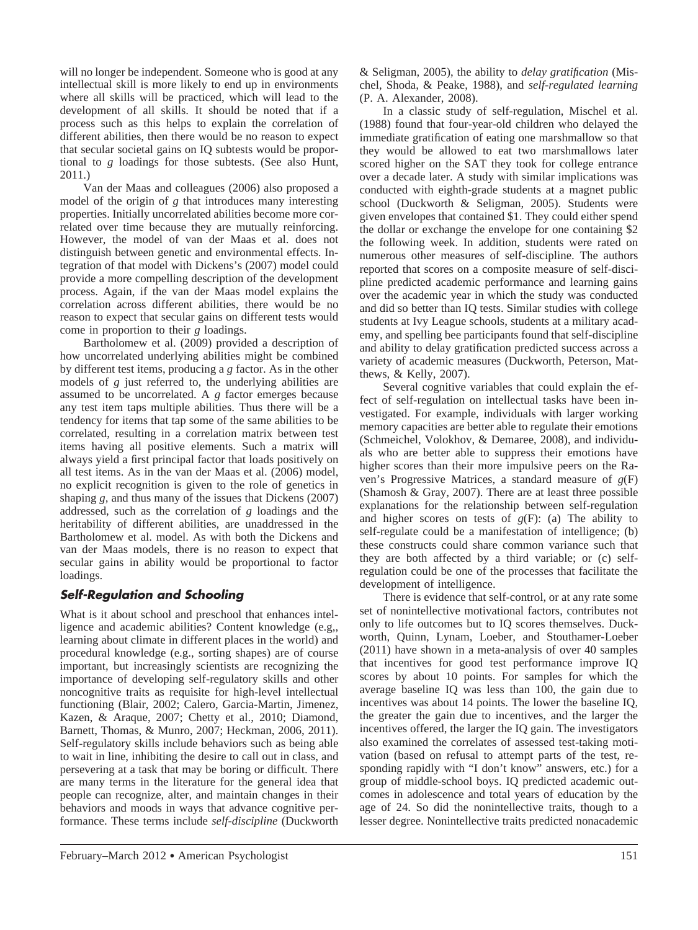will no longer be independent. Someone who is good at any intellectual skill is more likely to end up in environments where all skills will be practiced, which will lead to the development of all skills. It should be noted that if a process such as this helps to explain the correlation of different abilities, then there would be no reason to expect that secular societal gains on IQ subtests would be proportional to *g* loadings for those subtests. (See also Hunt, 2011.)

Van der Maas and colleagues (2006) also proposed a model of the origin of *g* that introduces many interesting properties. Initially uncorrelated abilities become more correlated over time because they are mutually reinforcing. However, the model of van der Maas et al. does not distinguish between genetic and environmental effects. Integration of that model with Dickens's (2007) model could provide a more compelling description of the development process. Again, if the van der Maas model explains the correlation across different abilities, there would be no reason to expect that secular gains on different tests would come in proportion to their *g* loadings.

Bartholomew et al. (2009) provided a description of how uncorrelated underlying abilities might be combined by different test items, producing a *g* factor. As in the other models of *g* just referred to, the underlying abilities are assumed to be uncorrelated. A *g* factor emerges because any test item taps multiple abilities. Thus there will be a tendency for items that tap some of the same abilities to be correlated, resulting in a correlation matrix between test items having all positive elements. Such a matrix will always yield a first principal factor that loads positively on all test items. As in the van der Maas et al. (2006) model, no explicit recognition is given to the role of genetics in shaping *g,* and thus many of the issues that Dickens (2007) addressed, such as the correlation of *g* loadings and the heritability of different abilities, are unaddressed in the Bartholomew et al. model. As with both the Dickens and van der Maas models, there is no reason to expect that secular gains in ability would be proportional to factor loadings.

## *Self-Regulation and Schooling*

What is it about school and preschool that enhances intelligence and academic abilities? Content knowledge (e.g,, learning about climate in different places in the world) and procedural knowledge (e.g., sorting shapes) are of course important, but increasingly scientists are recognizing the importance of developing self-regulatory skills and other noncognitive traits as requisite for high-level intellectual functioning (Blair, 2002; Calero, Garcia-Martin, Jimenez, Kazen, & Araque, 2007; Chetty et al., 2010; Diamond, Barnett, Thomas, & Munro, 2007; Heckman, 2006, 2011). Self-regulatory skills include behaviors such as being able to wait in line, inhibiting the desire to call out in class, and persevering at a task that may be boring or difficult. There are many terms in the literature for the general idea that people can recognize, alter, and maintain changes in their behaviors and moods in ways that advance cognitive performance. These terms include *self-discipline* (Duckworth

& Seligman, 2005), the ability to *delay gratification* (Mischel, Shoda, & Peake, 1988), and *self-regulated learning* (P. A. Alexander, 2008).

In a classic study of self-regulation, Mischel et al. (1988) found that four-year-old children who delayed the immediate gratification of eating one marshmallow so that they would be allowed to eat two marshmallows later scored higher on the SAT they took for college entrance over a decade later. A study with similar implications was conducted with eighth-grade students at a magnet public school (Duckworth & Seligman, 2005). Students were given envelopes that contained \$1. They could either spend the dollar or exchange the envelope for one containing \$2 the following week. In addition, students were rated on numerous other measures of self-discipline. The authors reported that scores on a composite measure of self-discipline predicted academic performance and learning gains over the academic year in which the study was conducted and did so better than IQ tests. Similar studies with college students at Ivy League schools, students at a military academy, and spelling bee participants found that self-discipline and ability to delay gratification predicted success across a variety of academic measures (Duckworth, Peterson, Matthews, & Kelly, 2007).

Several cognitive variables that could explain the effect of self-regulation on intellectual tasks have been investigated. For example, individuals with larger working memory capacities are better able to regulate their emotions (Schmeichel, Volokhov, & Demaree, 2008), and individuals who are better able to suppress their emotions have higher scores than their more impulsive peers on the Raven's Progressive Matrices, a standard measure of *g*(F) (Shamosh & Gray, 2007). There are at least three possible explanations for the relationship between self-regulation and higher scores on tests of  $g(F)$ : (a) The ability to self-regulate could be a manifestation of intelligence; (b) these constructs could share common variance such that they are both affected by a third variable; or (c) selfregulation could be one of the processes that facilitate the development of intelligence.

There is evidence that self-control, or at any rate some set of nonintellective motivational factors, contributes not only to life outcomes but to IQ scores themselves. Duckworth, Quinn, Lynam, Loeber, and Stouthamer-Loeber (2011) have shown in a meta-analysis of over 40 samples that incentives for good test performance improve IQ scores by about 10 points. For samples for which the average baseline IQ was less than 100, the gain due to incentives was about 14 points. The lower the baseline IQ, the greater the gain due to incentives, and the larger the incentives offered, the larger the IQ gain. The investigators also examined the correlates of assessed test-taking motivation (based on refusal to attempt parts of the test, responding rapidly with "I don't know" answers, etc.) for a group of middle-school boys. IQ predicted academic outcomes in adolescence and total years of education by the age of 24. So did the nonintellective traits, though to a lesser degree. Nonintellective traits predicted nonacademic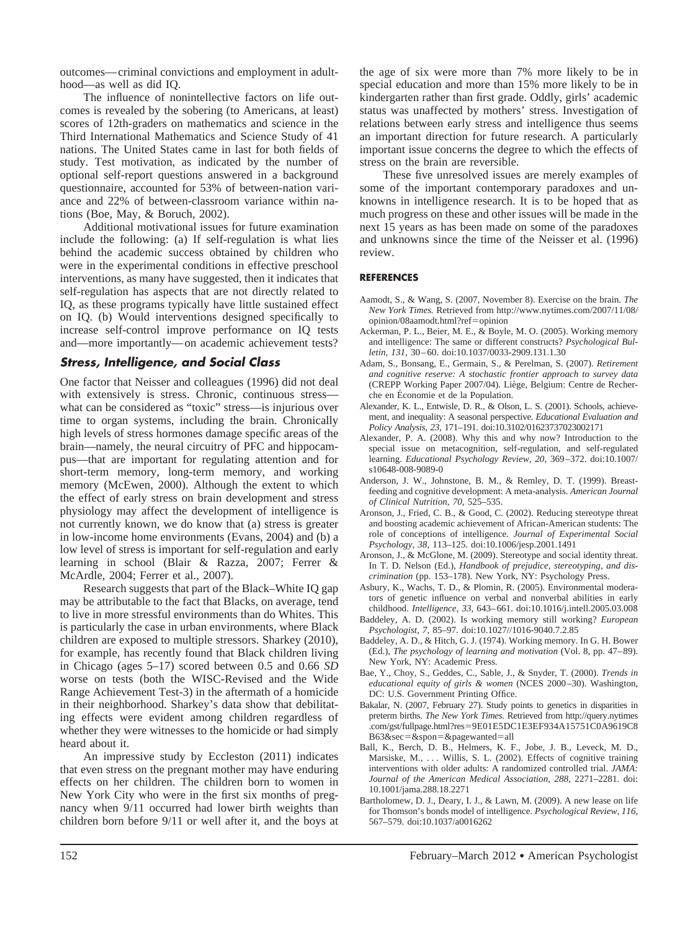outcomes— criminal convictions and employment in adulthood—as well as did IQ.

The influence of nonintellective factors on life outcomes is revealed by the sobering (to Americans, at least) scores of 12th-graders on mathematics and science in the Third International Mathematics and Science Study of 41 nations. The United States came in last for both fields of study. Test motivation, as indicated by the number of optional self-report questions answered in a background questionnaire, accounted for 53% of between-nation variance and 22% of between-classroom variance within nations (Boe, May, & Boruch, 2002).

Additional motivational issues for future examination include the following: (a) If self-regulation is what lies behind the academic success obtained by children who were in the experimental conditions in effective preschool interventions, as many have suggested, then it indicates that self-regulation has aspects that are not directly related to IQ, as these programs typically have little sustained effect on IQ. (b) Would interventions designed specifically to increase self-control improve performance on IQ tests and—more importantly— on academic achievement tests?

#### *Stress, Intelligence, and Social Class*

One factor that Neisser and colleagues (1996) did not deal with extensively is stress. Chronic, continuous stresswhat can be considered as "toxic" stress—is injurious over time to organ systems, including the brain. Chronically high levels of stress hormones damage specific areas of the brain—namely, the neural circuitry of PFC and hippocampus—that are important for regulating attention and for short-term memory, long-term memory, and working memory (McEwen, 2000). Although the extent to which the effect of early stress on brain development and stress physiology may affect the development of intelligence is not currently known, we do know that (a) stress is greater in low-income home environments (Evans, 2004) and (b) a low level of stress is important for self-regulation and early learning in school (Blair & Razza, 2007; Ferrer & McArdle, 2004; Ferrer et al., 2007).

Research suggests that part of the Black–White IQ gap may be attributable to the fact that Blacks, on average, tend to live in more stressful environments than do Whites. This is particularly the case in urban environments, where Black children are exposed to multiple stressors. Sharkey (2010), for example, has recently found that Black children living in Chicago (ages 5–17) scored between 0.5 and 0.66 *SD* worse on tests (both the WISC-Revised and the Wide Range Achievement Test-3) in the aftermath of a homicide in their neighborhood. Sharkey's data show that debilitating effects were evident among children regardless of whether they were witnesses to the homicide or had simply heard about it.

An impressive study by Eccleston (2011) indicates that even stress on the pregnant mother may have enduring effects on her children. The children born to women in New York City who were in the first six months of pregnancy when 9/11 occurred had lower birth weights than children born before 9/11 or well after it, and the boys at

the age of six were more than 7% more likely to be in special education and more than 15% more likely to be in kindergarten rather than first grade. Oddly, girls' academic status was unaffected by mothers' stress. Investigation of relations between early stress and intelligence thus seems an important direction for future research. A particularly important issue concerns the degree to which the effects of stress on the brain are reversible.

These five unresolved issues are merely examples of some of the important contemporary paradoxes and unknowns in intelligence research. It is to be hoped that as much progress on these and other issues will be made in the next 15 years as has been made on some of the paradoxes and unknowns since the time of the Neisser et al. (1996) review.

#### **REFERENCES**

- Aamodt, S., & Wang, S. (2007, November 8). Exercise on the brain. *The New York Times.* Retrieved from http://www.nytimes.com/2007/11/08/ opinion/08aamodt.html?ref=opinion
- Ackerman, P. L., Beier, M. E., & Boyle, M. O. (2005). Working memory and intelligence: The same or different constructs? *Psychological Bulletin, 131,* 30 – 60. [doi:10.1037/0033-2909.131.1.30](http://dx.doi.org/10.1037/0033-2909.131.1.30)
- Adam, S., Bonsang, E., Germain, S., & Perelman, S. (2007). *Retirement and cognitive reserve: A stochastic frontier approach to survey data* (CREPP Working Paper 2007/04). Liège, Belgium: Centre de Recherche en Économie et de la Population.
- Alexander, K. L., Entwisle, D. R., & Olson, L. S. (2001). Schools, achievement, and inequality: A seasonal perspective. *Educational Evaluation and Policy Analysis, 23,* 171–191. [doi:10.3102/01623737023002171](http://dx.doi.org/10.3102/01623737023002171)
- Alexander, P. A. (2008). Why this and why now? Introduction to the special issue on metacognition, self-regulation, and self-regulated learning. *Educational Psychology Review, 20,* 369 –372. [doi:10.1007/](http://dx.doi.org/10.1007/s10648-008-9089-0) [s10648-008-9089-0](http://dx.doi.org/10.1007/s10648-008-9089-0)
- Anderson, J. W., Johnstone, B. M., & Remley, D. T. (1999). Breastfeeding and cognitive development: A meta-analysis. *American Journal of Clinical Nutrition, 70,* 525–535.
- Aronson, J., Fried, C. B., & Good, C. (2002). Reducing stereotype threat and boosting academic achievement of African-American students: The role of conceptions of intelligence. *Journal of Experimental Social Psychology, 38,* 113–125. [doi:10.1006/jesp.2001.1491](http://dx.doi.org/10.1006/jesp.2001.1491)
- Aronson, J., & McGlone, M. (2009). Stereotype and social identity threat. In T. D. Nelson (Ed.), *Handbook of prejudice, stereotyping, and discrimination* (pp. 153–178). New York, NY: Psychology Press.
- Asbury, K., Wachs, T. D., & Plomin, R. (2005). Environmental moderators of genetic influence on verbal and nonverbal abilities in early childhood. *Intelligence, 33,* 643– 661. [doi:10.1016/j.intell.2005.03.008](http://dx.doi.org/10.1016/j.intell.2005.03.008)
- Baddeley, A. D. (2002). Is working memory still working? *European Psychologist, 7,* 85–97. [doi:10.1027//1016-9040.7.2.85](http://dx.doi.org/10.1027//1016-9040.7.2.85)
- Baddeley, A. D., & Hitch, G. J. (1974). Working memory. In G. H. Bower (Ed.), *The psychology of learning and motivation* (Vol. 8, pp. 47– 89). New York, NY: Academic Press.
- Bae, Y., Choy, S., Geddes, C., Sable, J., & Snyder, T. (2000). *Trends in educational equity of girls & women* (NCES 2000 –30). Washington, DC: U.S. Government Printing Office.
- Bakalar, N. (2007, February 27). Study points to genetics in disparities in preterm births. *The New York Times.* Retrieved from http://query.nytimes .com/gst/fullpage.html?res=9E01E5DC1E3EF934A15751C0A9619C8  $B63&sec =&spon =&pagewanted = all$
- Ball, K., Berch, D. B., Helmers, K. F., Jobe, J. B., Leveck, M. D., Marsiske, M., ... Willis, S. L. (2002). Effects of cognitive training interventions with older adults: A randomized controlled trial. *JAMA: Journal of the American Medical Association, 288,* 2271–2281. [doi:](http://dx.doi.org/10.1001/jama.288.18.2271) [10.1001/jama.288.18.2271](http://dx.doi.org/10.1001/jama.288.18.2271)
- Bartholomew, D. J., Deary, I. J., & Lawn, M. (2009). A new lease on life for Thomson's bonds model of intelligence. *Psychological Review, 116,* 567–579. [doi:10.1037/a0016262](http://dx.doi.org/10.1037/a0016262)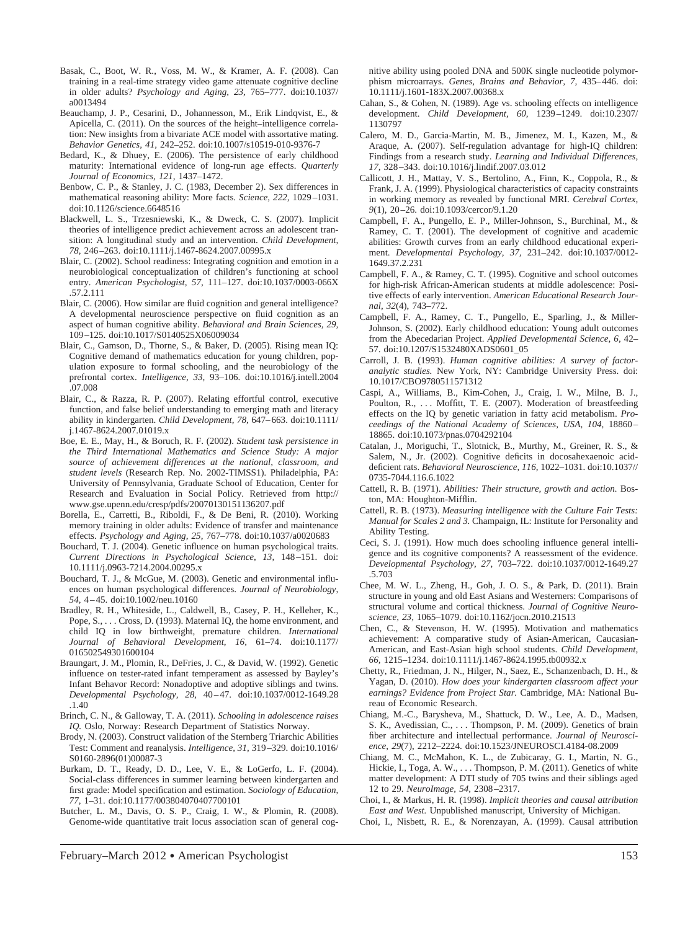Basak, C., Boot, W. R., Voss, M. W., & Kramer, A. F. (2008). Can training in a real-time strategy video game attenuate cognitive decline in older adults? *Psychology and Aging, 23,* 765–777. [doi:10.1037/](http://dx.doi.org/10.1037/a0013494) [a0013494](http://dx.doi.org/10.1037/a0013494)

Beauchamp, J. P., Cesarini, D., Johannesson, M., Erik Lindqvist, E., & Apicella, C. (2011). On the sources of the height–intelligence correlation: New insights from a bivariate ACE model with assortative mating. *Behavior Genetics, 41,* 242–252. [doi:10.1007/s10519-010-9376-7](http://dx.doi.org/10.1007/s10519-010-9376-7)

Bedard, K., & Dhuey, E. (2006). The persistence of early childhood maturity: International evidence of long-run age effects. *Quarterly Journal of Economics, 121,* 1437–1472.

Benbow, C. P., & Stanley, J. C. (1983, December 2). Sex differences in mathematical reasoning ability: More facts. *Science, 222,* 1029 –1031. [doi:10.1126/science.6648516](http://dx.doi.org/10.1126/science.6648516)

Blackwell, L. S., Trzesniewski, K., & Dweck, C. S. (2007). Implicit theories of intelligence predict achievement across an adolescent transition: A longitudinal study and an intervention. *Child Development, 78,* 246 –263. [doi:10.1111/j.1467-8624.2007.00995.x](http://dx.doi.org/10.1111/j.1467-8624.2007.00995.x)

Blair, C. (2002). School readiness: Integrating cognition and emotion in a neurobiological conceptualization of children's functioning at school entry. *American Psychologist, 57,* 111–127. [doi:10.1037/0003-066X](http://dx.doi.org/10.1037/0003-066X.57.2.111) [.57.2.111](http://dx.doi.org/10.1037/0003-066X.57.2.111)

Blair, C. (2006). How similar are fluid cognition and general intelligence? A developmental neuroscience perspective on fluid cognition as an aspect of human cognitive ability. *Behavioral and Brain Sciences, 29,* 109 –125. [doi:10.1017/S0140525X06009034](http://dx.doi.org/10.1017/S0140525X06009034)

Blair, C., Gamson, D., Thorne, S., & Baker, D. (2005). Rising mean IQ: Cognitive demand of mathematics education for young children, population exposure to formal schooling, and the neurobiology of the prefrontal cortex. *Intelligence, 33,* 93–106. [doi:10.1016/j.intell.2004](http://dx.doi.org/10.1016/j.intell.2004.07.008) [.07.008](http://dx.doi.org/10.1016/j.intell.2004.07.008)

Blair, C., & Razza, R. P. (2007). Relating effortful control, executive function, and false belief understanding to emerging math and literacy ability in kindergarten. *Child Development, 78,* 647– 663. [doi:10.1111/](http://dx.doi.org/10.1111/j.1467-8624.2007.01019.x) [j.1467-8624.2007.01019.x](http://dx.doi.org/10.1111/j.1467-8624.2007.01019.x)

Boe, E. E., May, H., & Boruch, R. F. (2002). *Student task persistence in the Third International Mathematics and Science Study: A major source of achievement differences at the national, classroom, and student levels* (Research Rep. No. 2002-TIMSS1)*.* Philadelphia, PA: University of Pennsylvania, Graduate School of Education, Center for Research and Evaluation in Social Policy. Retrieved from http:// www.gse.upenn.edu/cresp/pdfs/20070130151136207.pdf

Borella, E., Carretti, B., Riboldi, F., & De Beni, R. (2010). Working memory training in older adults: Evidence of transfer and maintenance effects. *Psychology and Aging, 25,* 767–778. [doi:10.1037/a0020683](http://dx.doi.org/10.1037/a0020683)

Bouchard, T. J. (2004). Genetic influence on human psychological traits. *Current Directions in Psychological Science, 13,* 148 –151. [doi:](http://dx.doi.org/10.1111/j.0963-7214.2004.00295.x) [10.1111/j.0963-7214.2004.00295.x](http://dx.doi.org/10.1111/j.0963-7214.2004.00295.x)

Bouchard, T. J., & McGue, M. (2003). Genetic and environmental influences on human psychological differences. *Journal of Neurobiology, 54,* 4 – 45. [doi:10.1002/neu.10160](http://dx.doi.org/10.1002/neu.10160)

Bradley, R. H., Whiteside, L., Caldwell, B., Casey, P. H., Kelleher, K., Pope, S., . . . Cross, D. (1993). Maternal IQ, the home environment, and child IQ in low birthweight, premature children. *International Journal of Behavioral Development, 16,* 61–74. [doi:10.1177/](http://dx.doi.org/10.1177/016502549301600104) [016502549301600104](http://dx.doi.org/10.1177/016502549301600104)

Braungart, J. M., Plomin, R., DeFries, J. C., & David, W. (1992). Genetic influence on tester-rated infant temperament as assessed by Bayley's Infant Behavor Record: Nonadoptive and adoptive siblings and twins. *Developmental Psychology, 28,* 40 – 47. [doi:10.1037/0012-1649.28](http://dx.doi.org/10.1037/0012-1649.28.1.40) [.1.40](http://dx.doi.org/10.1037/0012-1649.28.1.40)

Brinch, C. N., & Galloway, T. A. (2011). *Schooling in adolescence raises IQ.* Oslo, Norway: Research Department of Statistics Norway.

Brody, N. (2003). Construct validation of the Sternberg Triarchic Abilities Test: Comment and reanalysis. *Intelligence, 31,* 319 –329. [doi:10.1016/](http://dx.doi.org/10.1016/S0160-2896%2801%2900087-3) [S0160-2896\(01\)00087-3](http://dx.doi.org/10.1016/S0160-2896%2801%2900087-3)

Burkam, D. T., Ready, D. D., Lee, V. E., & LoGerfo, L. F. (2004). Social-class differences in summer learning between kindergarten and first grade: Model specification and estimation. *Sociology of Education, 77,* 1–31. [doi:10.1177/003804070407700101](http://dx.doi.org/10.1177/003804070407700101)

Butcher, L. M., Davis, O. S. P., Craig, I. W., & Plomin, R. (2008). Genome-wide quantitative trait locus association scan of general cog-

nitive ability using pooled DNA and 500K single nucleotide polymorphism microarrays. *Genes, Brains and Behavior*, 7, 435-446. [doi:](http://dx.doi.org/10.1111/j.1601-183X.2007.00368.x) [10.1111/j.1601-183X.2007.00368.x](http://dx.doi.org/10.1111/j.1601-183X.2007.00368.x)

Cahan, S., & Cohen, N. (1989). Age vs. schooling effects on intelligence development. *Child Development, 60,* 1239 –1249. [doi:10.2307/](http://dx.doi.org/10.2307/1130797) [1130797](http://dx.doi.org/10.2307/1130797)

Calero, M. D., Garcia-Martin, M. B., Jimenez, M. I., Kazen, M., & Araque, A. (2007). Self-regulation advantage for high-IQ children: Findings from a research study. *Learning and Individual Differences, 17,* 328 –343. [doi:10.1016/j.lindif.2007.03.012](http://dx.doi.org/10.1016/j.lindif.2007.03.012)

Callicott, J. H., Mattay, V. S., Bertolino, A., Finn, K., Coppola, R., & Frank, J. A. (1999). Physiological characteristics of capacity constraints in working memory as revealed by functional MRI. *Cerebral Cortex, 9*(1), 20 –26. [doi:10.1093/cercor/9.1.20](http://dx.doi.org/10.1093/cercor/9.1.20)

Campbell, F. A., Pungello, E. P., Miller-Johnson, S., Burchinal, M., & Ramey, C. T. (2001). The development of cognitive and academic abilities: Growth curves from an early childhood educational experiment. *Developmental Psychology, 37,* 231–242. [doi:10.1037/0012-](http://dx.doi.org/10.1037/0012-1649.37.2.231) [1649.37.2.231](http://dx.doi.org/10.1037/0012-1649.37.2.231)

Campbell, F. A., & Ramey, C. T. (1995). Cognitive and school outcomes for high-risk African-American students at middle adolescence: Positive effects of early intervention. *American Educational Research Journal, 32*(4), 743–772.

Campbell, F. A., Ramey, C. T., Pungello, E., Sparling, J., & Miller-Johnson, S. (2002). Early childhood education: Young adult outcomes from the Abecedarian Project. *Applied Developmental Science, 6,* 42– 57. [doi:10.1207/S1532480XADS0601\\_05](http://dx.doi.org/10.1207/S1532480XADS0601_05)

Carroll, J. B. (1993). *Human cognitive abilities: A survey of factoranalytic studies.* New York, NY: Cambridge University Press. [doi:](http://dx.doi.org/10.1017/CBO9780511571312) [10.1017/CBO9780511571312](http://dx.doi.org/10.1017/CBO9780511571312)

Caspi, A., Williams, B., Kim-Cohen, J., Craig, I. W., Milne, B. J., Poulton, R., ... Moffitt, T. E. (2007). Moderation of breastfeeding effects on the IQ by genetic variation in fatty acid metabolism. *Proceedings of the National Academy of Sciences, USA, 104,* 18860 – 18865. [doi:10.1073/pnas.0704292104](http://dx.doi.org/10.1073/pnas.0704292104)

Catalan, J., Moriguchi, T., Slotnick, B., Murthy, M., Greiner, R. S., & Salem, N., Jr. (2002). Cognitive deficits in docosahexaenoic aciddeficient rats. *Behavioral Neuroscience, 116,* 1022–1031. [doi:10.1037//](http://dx.doi.org/10.1037//0735-7044.116.6.1022) [0735-7044.116.6.1022](http://dx.doi.org/10.1037//0735-7044.116.6.1022)

Cattell, R. B. (1971). *Abilities: Their structure, growth and action.* Boston, MA: Houghton-Mifflin.

Cattell, R. B. (1973). *Measuring intelligence with the Culture Fair Tests: Manual for Scales 2 and 3.* Champaign, IL: Institute for Personality and Ability Testing.

Ceci, S. J. (1991). How much does schooling influence general intelligence and its cognitive components? A reassessment of the evidence. *Developmental Psychology, 27,* 703–722. [doi:10.1037/0012-1649.27](http://dx.doi.org/10.1037/0012-1649.27.5.703) [.5.703](http://dx.doi.org/10.1037/0012-1649.27.5.703)

Chee, M. W. L., Zheng, H., Goh, J. O. S., & Park, D. (2011). Brain structure in young and old East Asians and Westerners: Comparisons of structural volume and cortical thickness. *Journal of Cognitive Neuroscience, 23,* 1065–1079. [doi:10.1162/jocn.2010.21513](http://dx.doi.org/10.1162/jocn.2010.21513)

Chen, C., & Stevenson, H. W. (1995). Motivation and mathematics achievement: A comparative study of Asian-American, Caucasian-American, and East-Asian high school students. *Child Development, 66,* 1215–1234. [doi:10.1111/j.1467-8624.1995.tb00932.x](http://dx.doi.org/10.1111/j.1467-8624.1995.tb00932.x)

Chetty, R., Friedman, J. N., Hilger, N., Saez, E., Schanzenbach, D. H., & Yagan, D. (2010). *How does your kindergarten classroom affect your earnings? Evidence from Project Star.* Cambridge, MA: National Bureau of Economic Research.

Chiang, M.-C., Barysheva, M., Shattuck, D. W., Lee, A. D., Madsen, S. K., Avedissian, C., . . . Thompson, P. M. (2009). Genetics of brain fiber architecture and intellectual performance. *Journal of Neuroscience, 29*(7), 2212–2224. [doi:10.1523/JNEUROSCI.4184-08.2009](http://dx.doi.org/10.1523/JNEUROSCI.4184-08.2009)

Chiang, M. C., McMahon, K. L., de Zubicaray, G. I., Martin, N. G., Hickie, I., Toga, A. W., . . . Thompson, P. M. (2011). Genetics of white matter development: A DTI study of 705 twins and their siblings aged 12 to 29. *NeuroImage, 54,* 2308 –2317.

Choi, I., & Markus, H. R. (1998). *Implicit theories and causal attribution East and West.* Unpublished manuscript, University of Michigan.

Choi, I., Nisbett, R. E., & Norenzayan, A. (1999). Causal attribution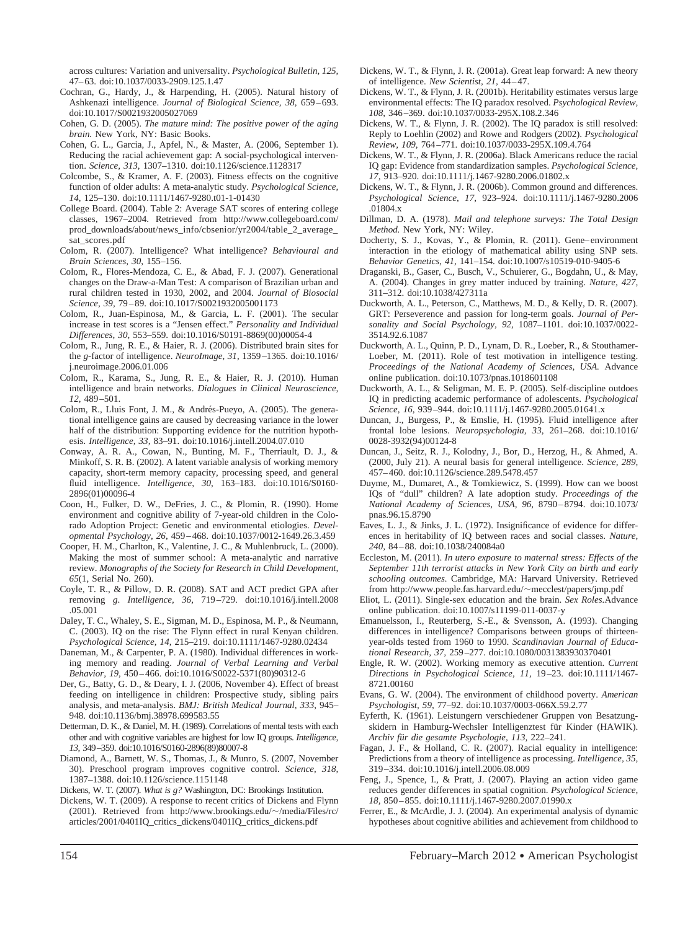across cultures: Variation and universality. *Psychological Bulletin, 125,* 47– 63. [doi:10.1037/0033-2909.125.1.47](http://dx.doi.org/10.1037/0033-2909.125.1.47)

- Cochran, G., Hardy, J., & Harpending, H. (2005). Natural history of Ashkenazi intelligence. *Journal of Biological Science, 38,* 659 – 693. [doi:10.1017/S0021932005027069](http://dx.doi.org/10.1017/S0021932005027069)
- Cohen, G. D. (2005). *The mature mind: The positive power of the aging brain.* New York, NY: Basic Books.
- Cohen, G. L., Garcia, J., Apfel, N., & Master, A. (2006, September 1). Reducing the racial achievement gap: A social-psychological intervention. *Science, 313,* 1307–1310. [doi:10.1126/science.1128317](http://dx.doi.org/10.1126/science.1128317)
- Colcombe, S., & Kramer, A. F. (2003). Fitness effects on the cognitive function of older adults: A meta-analytic study. *Psychological Science, 14,* 125–130. [doi:10.1111/1467-9280.t01-1-01430](http://dx.doi.org/10.1111/1467-9280.t01-1-01430)
- College Board. (2004). Table 2: Average SAT scores of entering college classes, 1967–2004. Retrieved from http://www.collegeboard.com/ prod\_downloads/about/news\_info/cbsenior/yr2004/table\_2\_average\_ sat\_scores.pdf
- Colom, R. (2007). Intelligence? What intelligence? *Behavioural and Brain Sciences, 30,* 155–156.
- Colom, R., Flores-Mendoza, C. E., & Abad, F. J. (2007). Generational changes on the Draw-a-Man Test: A comparison of Brazilian urban and rural children tested in 1930, 2002, and 2004. *Journal of Biosocial Science, 39,* 79 – 89. [doi:10.1017/S0021932005001173](http://dx.doi.org/10.1017/S0021932005001173)
- Colom, R., Juan-Espinosa, M., & Garcia, L. F. (2001). The secular increase in test scores is a "Jensen effect." *Personality and Individual Differences, 30,* 553–559. [doi:10.1016/S0191-8869\(00\)00054-4](http://dx.doi.org/10.1016/S0191-8869%2800%2900054-4)
- Colom, R., Jung, R. E., & Haier, R. J. (2006). Distributed brain sites for the *g*-factor of intelligence. *NeuroImage, 31,* 1359 –1365. [doi:10.1016/](http://dx.doi.org/10.1016/j.neuroimage.2006.01.006) [j.neuroimage.2006.01.006](http://dx.doi.org/10.1016/j.neuroimage.2006.01.006)
- Colom, R., Karama, S., Jung, R. E., & Haier, R. J. (2010). Human intelligence and brain networks. *Dialogues in Clinical Neuroscience, 12,* 489 –501.
- Colom, R., Lluis Font, J. M., & Andrés-Pueyo, A. (2005). The generational intelligence gains are caused by decreasing variance in the lower half of the distribution: Supporting evidence for the nutrition hypothesis. *Intelligence, 33,* 83–91. [doi:10.1016/j.intell.2004.07.010](http://dx.doi.org/10.1016/j.intell.2004.07.010)
- Conway, A. R. A., Cowan, N., Bunting, M. F., Therriault, D. J., & Minkoff, S. R. B. (2002). A latent variable analysis of working memory capacity, short-term memory capacity, processing speed, and general fluid intelligence. *Intelligence, 30,* 163–183. [doi:10.1016/S0160-](http://dx.doi.org/10.1016/S0160-2896%2801%2900096-4) [2896\(01\)00096-4](http://dx.doi.org/10.1016/S0160-2896%2801%2900096-4)
- Coon, H., Fulker, D. W., DeFries, J. C., & Plomin, R. (1990). Home environment and cognitive ability of 7-year-old children in the Colorado Adoption Project: Genetic and environmental etiologies. *Developmental Psychology, 26,* 459 – 468. [doi:10.1037/0012-1649.26.3.459](http://dx.doi.org/10.1037/0012-1649.26.3.459)
- Cooper, H. M., Charlton, K., Valentine, J. C., & Muhlenbruck, L. (2000). Making the most of summer school: A meta-analytic and narrative review. *Monographs of the Society for Research in Child Development, 65*(1, Serial No. 260).
- Coyle, T. R., & Pillow, D. R. (2008). SAT and ACT predict GPA after removing *g*. *Intelligence, 36,* 719 –729. [doi:10.1016/j.intell.2008](http://dx.doi.org/10.1016/j.intell.2008.05.001) [.05.001](http://dx.doi.org/10.1016/j.intell.2008.05.001)
- Daley, T. C., Whaley, S. E., Sigman, M. D., Espinosa, M. P., & Neumann, C. (2003). IQ on the rise: The Flynn effect in rural Kenyan children. *Psychological Science, 14,* 215–219. [doi:10.1111/1467-9280.02434](http://dx.doi.org/10.1111/1467-9280.02434)
- Daneman, M., & Carpenter, P. A. (1980). Individual differences in working memory and reading. *Journal of Verbal Learning and Verbal Behavior, 19,* 450 – 466. [doi:10.1016/S0022-5371\(80\)90312-6](http://dx.doi.org/10.1016/S0022-5371%2880%2990312-6)
- Der, G., Batty, G. D., & Deary, I. J. (2006, November 4). Effect of breast feeding on intelligence in children: Prospective study, sibling pairs analysis, and meta-analysis. *BMJ: British Medical Journal, 333,* 945– 948. [doi:10.1136/bmj.38978.699583.55](http://dx.doi.org/10.1136/bmj.38978.699583.55)
- Detterman, D. K., & Daniel, M. H. (1989). Correlations of mental tests with each other and with cognitive variables are highest for low IQ groups. *Intelligence, 13,* 349–359. [doi:10.1016/S0160-2896\(89\)80007-8](http://dx.doi.org/10.1016/S0160-2896%2889%2980007-8)
- Diamond, A., Barnett, W. S., Thomas, J., & Munro, S. (2007, November 30). Preschool program improves cognitive control. *Science, 318,* 1387–1388. [doi:10.1126/science.1151148](http://dx.doi.org/10.1126/science.1151148)
- Dickens, W. T. (2007). *What is g?* Washington, DC: Brookings Institution.
- Dickens, W. T. (2009). A response to recent critics of Dickens and Flynn (2001). Retrieved from http://www.brookings.edu/~/media/Files/rc/ articles/2001/0401IQ\_critics\_dickens/0401IQ\_critics\_dickens.pdf
- Dickens, W. T., & Flynn, J. R. (2001a). Great leap forward: A new theory of intelligence. *New Scientist, 21,* 44 – 47.
- Dickens, W. T., & Flynn, J. R. (2001b). Heritability estimates versus large environmental effects: The IQ paradox resolved. *Psychological Review, 108,* 346 –369. [doi:10.1037/0033-295X.108.2.346](http://dx.doi.org/10.1037/0033-295X.108.2.346)
- Dickens, W. T., & Flynn, J. R. (2002). The IQ paradox is still resolved: Reply to Loehlin (2002) and Rowe and Rodgers (2002). *Psychological Review, 109,* 764 –771. [doi:10.1037/0033-295X.109.4.764](http://dx.doi.org/10.1037/0033-295X.109.4.764)
- Dickens, W. T., & Flynn, J. R. (2006a). Black Americans reduce the racial IQ gap: Evidence from standardization samples. *Psychological Science, 17,* 913–920. [doi:10.1111/j.1467-9280.2006.01802.x](http://dx.doi.org/10.1111/j.1467-9280.2006.01802.x)
- Dickens, W. T., & Flynn, J. R. (2006b). Common ground and differences. *Psychological Science, 17,* 923–924. [doi:10.1111/j.1467-9280.2006](http://dx.doi.org/10.1111/j.1467-9280.2006.01804.x) [.01804.x](http://dx.doi.org/10.1111/j.1467-9280.2006.01804.x)
- Dillman, D. A. (1978). *Mail and telephone surveys: The Total Design Method.* New York, NY: Wiley.
- Docherty, S. J., Kovas, Y., & Plomin, R. (2011). Gene– environment interaction in the etiology of mathematical ability using SNP sets. *Behavior Genetics, 41,* 141–154. [doi:10.1007/s10519-010-9405-6](http://dx.doi.org/10.1007/s10519-010-9405-6)
- Draganski, B., Gaser, C., Busch, V., Schuierer, G., Bogdahn, U., & May, A. (2004). Changes in grey matter induced by training. *Nature, 427,* 311–312. [doi:10.1038/427311a](http://dx.doi.org/10.1038/427311a)
- Duckworth, A. L., Peterson, C., Matthews, M. D., & Kelly, D. R. (2007). GRT: Perseverence and passion for long-term goals. *Journal of Personality and Social Psychology, 92,* 1087–1101. [doi:10.1037/0022-](http://dx.doi.org/10.1037/0022-3514.92.6.1087) [3514.92.6.1087](http://dx.doi.org/10.1037/0022-3514.92.6.1087)
- Duckworth, A. L., Quinn, P. D., Lynam, D. R., Loeber, R., & Stouthamer-Loeber, M. (2011). Role of test motivation in intelligence testing. *Proceedings of the National Academy of Sciences, USA.* Advance online publication. [doi:10.1073/pnas.1018601108](http://dx.doi.org/10.1073/pnas.1018601108)
- Duckworth, A. L., & Seligman, M. E. P. (2005). Self-discipline outdoes IQ in predicting academic performance of adolescents. *Psychological Science, 16,* 939 –944. [doi:10.1111/j.1467-9280.2005.01641.x](http://dx.doi.org/10.1111/j.1467-9280.2005.01641.x)
- Duncan, J., Burgess, P., & Emslie, H. (1995). Fluid intelligence after frontal lobe lesions. *Neuropsychologia, 33,* 261–268. [doi:10.1016/](http://dx.doi.org/10.1016/0028-3932%2894%2900124-8) [0028-3932\(94\)00124-8](http://dx.doi.org/10.1016/0028-3932%2894%2900124-8)
- Duncan, J., Seitz, R. J., Kolodny, J., Bor, D., Herzog, H., & Ahmed, A. (2000, July 21). A neural basis for general intelligence. *Science, 289,* 457– 460. [doi:10.1126/science.289.5478.457](http://dx.doi.org/10.1126/science.289.5478.457)
- Duyme, M., Dumaret, A., & Tomkiewicz, S. (1999). How can we boost IQs of "dull" children? A late adoption study. *Proceedings of the National Academy of Sciences, USA, 96,* 8790 – 8794. [doi:10.1073/](http://dx.doi.org/10.1073/pnas.96.15.8790) [pnas.96.15.8790](http://dx.doi.org/10.1073/pnas.96.15.8790)
- Eaves, L. J., & Jinks, J. L. (1972). Insignificance of evidence for differences in heritability of IQ between races and social classes. *Nature, 240,* 84 – 88. [doi:10.1038/240084a0](http://dx.doi.org/10.1038/240084a0)
- Eccleston, M. (2011). *In utero exposure to maternal stress: Effects of the September 11th terrorist attacks in New York City on birth and early schooling outcomes.* Cambridge, MA: Harvard University. Retrieved from http://www.people.fas.harvard.edu/~mecclest/papers/jmp.pdf
- Eliot, L. (2011). Single-sex education and the brain. *Sex Roles.*Advance online publication. [doi:10.1007/s11199-011-0037-y](http://dx.doi.org/10.1007/s11199-011-0037-y)
- Emanuelsson, I., Reuterberg, S.-E., & Svensson, A. (1993). Changing differences in intelligence? Comparisons between groups of thirteenyear-olds tested from 1960 to 1990. *Scandinavian Journal of Educational Research, 37,* 259 –277. [doi:10.1080/0031383930370401](http://dx.doi.org/10.1080/0031383930370401)
- Engle, R. W. (2002). Working memory as executive attention. *Current Directions in Psychological Science, 11,* 19 –23. [doi:10.1111/1467-](http://dx.doi.org/10.1111/1467-8721.00160) [8721.00160](http://dx.doi.org/10.1111/1467-8721.00160)
- Evans, G. W. (2004). The environment of childhood poverty. *American Psychologist, 59,* 77–92. [doi:10.1037/0003-066X.59.2.77](http://dx.doi.org/10.1037/0003-066X.59.2.77)
- Eyferth, K. (1961). Leistungern verschiedener Gruppen von Besatzungskidern in Hamburg-Wechsler Intelligenztest für Kinder (HAWIK). *Archiv fu¨r die gesamte Psychologie, 113,* 222–241.
- Fagan, J. F., & Holland, C. R. (2007). Racial equality in intelligence: Predictions from a theory of intelligence as processing. *Intelligence, 35,* 319 –334. [doi:10.1016/j.intell.2006.08.009](http://dx.doi.org/10.1016/j.intell.2006.08.009)
- Feng, J., Spence, I., & Pratt, J. (2007). Playing an action video game reduces gender differences in spatial cognition. *Psychological Science, 18,* 850 – 855. [doi:10.1111/j.1467-9280.2007.01990.x](http://dx.doi.org/10.1111/j.1467-9280.2007.01990.x)
- Ferrer, E., & McArdle, J. J. (2004). An experimental analysis of dynamic hypotheses about cognitive abilities and achievement from childhood to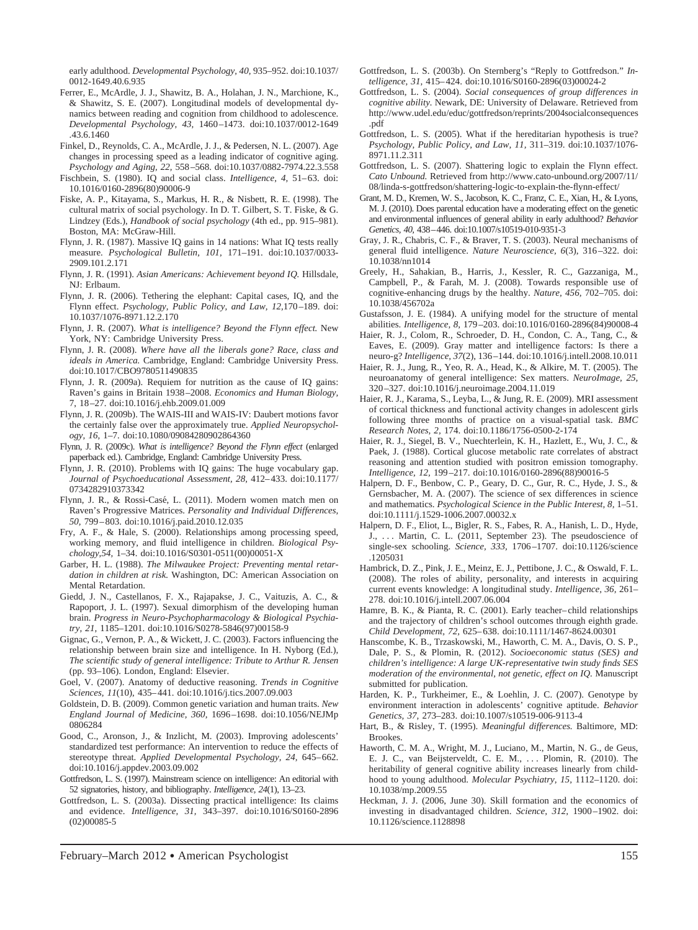early adulthood. *Developmental Psychology, 40,* 935–952. [doi:10.1037/](http://dx.doi.org/10.1037/0012-1649.40.6.935) [0012-1649.40.6.935](http://dx.doi.org/10.1037/0012-1649.40.6.935)

- Ferrer, E., McArdle, J. J., Shawitz, B. A., Holahan, J. N., Marchione, K., & Shawitz, S. E. (2007). Longitudinal models of developmental dynamics between reading and cognition from childhood to adolescence. *Developmental Psychology, 43,* 1460 –1473. [doi:10.1037/0012-1649](http://dx.doi.org/10.1037/0012-1649.43.6.1460) [.43.6.1460](http://dx.doi.org/10.1037/0012-1649.43.6.1460)
- Finkel, D., Reynolds, C. A., McArdle, J. J., & Pedersen, N. L. (2007). Age changes in processing speed as a leading indicator of cognitive aging. *Psychology and Aging, 22,* 558 –568. [doi:10.1037/0882-7974.22.3.558](http://dx.doi.org/10.1037/0882-7974.22.3.558)
- Fischbein, S. (1980). IQ and social class. *Intelligence*, 4, 51-63. [doi:](http://dx.doi.org/10.1016/0160-2896%2880%2990006-9) [10.1016/0160-2896\(80\)90006-9](http://dx.doi.org/10.1016/0160-2896%2880%2990006-9)
- Fiske, A. P., Kitayama, S., Markus, H. R., & Nisbett, R. E. (1998). The cultural matrix of social psychology. In D. T. Gilbert, S. T. Fiske, & G. Lindzey (Eds.), *Handbook of social psychology* (4th ed., pp. 915–981). Boston, MA: McGraw-Hill.
- Flynn, J. R. (1987). Massive IQ gains in 14 nations: What IQ tests really measure. *Psychological Bulletin, 101,* 171–191. [doi:10.1037/0033-](http://dx.doi.org/10.1037/0033-2909.101.2.171) [2909.101.2.171](http://dx.doi.org/10.1037/0033-2909.101.2.171)
- Flynn, J. R. (1991). *Asian Americans: Achievement beyond IQ.* Hillsdale, NJ: Erlbaum.
- Flynn, J. R. (2006). Tethering the elephant: Capital cases, IQ, and the Flynn effect. Psychology, Public Policy, and Law, 12,170-189. [doi:](http://dx.doi.org/10.1037/1076-8971.12.2.170) [10.1037/1076-8971.12.2.170](http://dx.doi.org/10.1037/1076-8971.12.2.170)
- Flynn, J. R. (2007). *What is intelligence? Beyond the Flynn effect.* New York, NY: Cambridge University Press.
- Flynn, J. R. (2008). *Where have all the liberals gone? Race, class and ideals in America.* Cambridge, England: Cambridge University Press. [doi:10.1017/CBO9780511490835](http://dx.doi.org/10.1017/CBO9780511490835)
- Flynn, J. R. (2009a). Requiem for nutrition as the cause of IQ gains: Raven's gains in Britain 1938 –2008. *Economics and Human Biology,* 7, 18 –27. [doi:10.1016/j.ehb.2009.01.009](http://dx.doi.org/10.1016/j.ehb.2009.01.009)
- Flynn, J. R. (2009b). The WAIS-III and WAIS-IV: Daubert motions favor the certainly false over the approximately true. *Applied Neuropsychology, 16,* 1–7. [doi:10.1080/09084280902864360](http://dx.doi.org/10.1080/09084280902864360)
- Flynn, J. R. (2009c). *What is intelligence? Beyond the Flynn effect* (enlarged paperback ed.). Cambridge, England: Cambridge University Press.
- Flynn, J. R. (2010). Problems with IQ gains: The huge vocabulary gap. *Journal of Psychoeducational Assessment, 28,* 412– 433. [doi:10.1177/](http://dx.doi.org/10.1177/0734282910373342) [0734282910373342](http://dx.doi.org/10.1177/0734282910373342)
- Flynn, J. R., & Rossi-Casé, L. (2011). Modern women match men on Raven's Progressive Matrices. *Personality and Individual Differences, 50,* 799 – 803. [doi:10.1016/j.paid.2010.12.035](http://dx.doi.org/10.1016/j.paid.2010.12.035)
- Fry, A. F., & Hale, S. (2000). Relationships among processing speed, working memory, and fluid intelligence in children. *Biological Psychology,54,* 1–34. [doi:10.1016/S0301-0511\(00\)00051-X](http://dx.doi.org/10.1016/S0301-0511%2800%2900051-X)
- Garber, H. L. (1988). *The Milwaukee Project: Preventing mental retardation in children at risk.* Washington, DC: American Association on Mental Retardation.
- Giedd, J. N., Castellanos, F. X., Rajapakse, J. C., Vaituzis, A. C., & Rapoport, J. L. (1997). Sexual dimorphism of the developing human brain. *Progress in Neuro-Psychopharmacology & Biological Psychiatry, 21,* 1185–1201. [doi:10.1016/S0278-5846\(97\)00158-9](http://dx.doi.org/10.1016/S0278-5846%2897%2900158-9)
- Gignac, G., Vernon, P. A., & Wickett, J. C. (2003). Factors influencing the relationship between brain size and intelligence. In H. Nyborg (Ed.), *The scientific study of general intelligence: Tribute to Arthur R. Jensen* (pp. 93–106). London, England: Elsevier.
- Goel, V. (2007). Anatomy of deductive reasoning. *Trends in Cognitive Sciences, 11*(10), 435– 441. [doi:10.1016/j.tics.2007.09.003](http://dx.doi.org/10.1016/j.tics.2007.09.003)
- Goldstein, D. B. (2009). Common genetic variation and human traits. *New England Journal of Medicine, 360,* 1696 –1698. [doi:10.1056/NEJMp](http://dx.doi.org/10.1056/NEJMp) 0806284
- Good, C., Aronson, J., & Inzlicht, M. (2003). Improving adolescents' standardized test performance: An intervention to reduce the effects of stereotype threat. *Applied Developmental Psychology, 24,* 645– 662. [doi:10.1016/j.appdev.2003.09.002](http://dx.doi.org/10.1016/j.appdev.2003.09.002)
- Gottfredson, L. S. (1997). Mainstream science on intelligence: An editorial with 52 signatories, history, and bibliography. *Intelligence, 24*(1), 13–23.
- Gottfredson, L. S. (2003a). Dissecting practical intelligence: Its claims and evidence. *Intelligence, 31,* 343–397. [doi:10.1016/S0160-2896](http://dx.doi.org/10.1016/S0160-2896) (02)00085-5
- Gottfredson, L. S. (2003b). On Sternberg's "Reply to Gottfredson." *Intelligence, 31,* 415– 424. [doi:10.1016/S0160-2896\(03\)00024-2](http://dx.doi.org/10.1016/S0160-2896%2803%2900024-2)
- Gottfredson, L. S. (2004). *Social consequences of group differences in cognitive ability.* Newark, DE: University of Delaware. Retrieved from http://www.udel.edu/educ/gottfredson/reprints/2004socialconsequences .pdf
- Gottfredson, L. S. (2005). What if the hereditarian hypothesis is true? *Psychology, Public Policy, and Law, 11,* 311–319. [doi:10.1037/1076-](http://dx.doi.org/10.1037/1076-8971.11.2.311) [8971.11.2.311](http://dx.doi.org/10.1037/1076-8971.11.2.311)
- Gottfredson, L. S. (2007). Shattering logic to explain the Flynn effect. *Cato Unbound.* Retrieved from http://www.cato-unbound.org/2007/11/ 08/linda-s-gottfredson/shattering-logic-to-explain-the-flynn-effect/
- Grant, M. D., Kremen, W. S., Jacobson, K. C., Franz, C. E., Xian, H., & Lyons, M. J. (2010). Does parental education have a moderating effect on the genetic and environmental influences of general ability in early adulthood? *Behavior Genetics, 40,* 438–446. [doi:10.1007/s10519-010-9351-3](http://dx.doi.org/10.1007/s10519-010-9351-3)
- Gray, J. R., Chabris, C. F., & Braver, T. S. (2003). Neural mechanisms of general fluid intelligence. *Nature Neuroscience, 6*(3), 316 –322. [doi:](http://dx.doi.org/10.1038/nn1014) [10.1038/nn1014](http://dx.doi.org/10.1038/nn1014)
- Greely, H., Sahakian, B., Harris, J., Kessler, R. C., Gazzaniga, M., Campbell, P., & Farah, M. J. (2008). Towards responsible use of cognitive-enhancing drugs by the healthy. *Nature, 456,* 702–705. [doi:](http://dx.doi.org/10.1038/456702a) [10.1038/456702a](http://dx.doi.org/10.1038/456702a)
- Gustafsson, J. E. (1984). A unifying model for the structure of mental abilities. *Intelligence, 8,* 179 –203. [doi:10.1016/0160-2896\(84\)90008-4](http://dx.doi.org/10.1016/0160-2896%2884%2990008-4)
- Haier, R. J., Colom, R., Schroeder, D. H., Condon, C. A., Tang, C., & Eaves, E. (2009). Gray matter and intelligence factors: Is there a neuro-g? *Intelligence, 37*(2), 136 –144. [doi:10.1016/j.intell.2008.10.011](http://dx.doi.org/10.1016/j.intell.2008.10.011)
- Haier, R. J., Jung, R., Yeo, R. A., Head, K., & Alkire, M. T. (2005). The neuroanatomy of general intelligence: Sex matters. *NeuroImage, 25,* 320 –327. [doi:10.1016/j.neuroimage.2004.11.019](http://dx.doi.org/10.1016/j.neuroimage.2004.11.019)
- Haier, R. J., Karama, S., Leyba, L., & Jung, R. E. (2009). MRI assessment of cortical thickness and functional activity changes in adolescent girls following three months of practice on a visual-spatial task. *BMC Research Notes, 2,* 174. [doi:10.1186/1756-0500-2-174](http://dx.doi.org/10.1186/1756-0500-2-174)
- Haier, R. J., Siegel, B. V., Nuechterlein, K. H., Hazlett, E., Wu, J. C., & Paek, J. (1988). Cortical glucose metabolic rate correlates of abstract reasoning and attention studied with positron emission tomography. *Intelligence, 12,* 199 –217. [doi:10.1016/0160-2896\(88\)90016-5](http://dx.doi.org/10.1016/0160-2896%2888%2990016-5)
- Halpern, D. F., Benbow, C. P., Geary, D. C., Gur, R. C., Hyde, J. S., & Gernsbacher, M. A. (2007). The science of sex differences in science and mathematics. *Psychological Science in the Public Interest, 8,* 1–51. [doi:10.1111/j.1529-1006.2007.00032.x](http://dx.doi.org/10.1111/j.1529-1006.2007.00032.x)
- Halpern, D. F., Eliot, L., Bigler, R. S., Fabes, R. A., Hanish, L. D., Hyde, J., ... Martin, C. L. (2011, September 23). The pseudoscience of single-sex schooling. *Science, 333,* 1706 –1707. [doi:10.1126/science](http://dx.doi.org/10.1126/science.1205031) [.1205031](http://dx.doi.org/10.1126/science.1205031)
- Hambrick, D. Z., Pink, J. E., Meinz, E. J., Pettibone, J. C., & Oswald, F. L. (2008). The roles of ability, personality, and interests in acquiring current events knowledge: A longitudinal study. *Intelligence, 36,* 261– 278. [doi:10.1016/j.intell.2007.06.004](http://dx.doi.org/10.1016/j.intell.2007.06.004)
- Hamre, B. K., & Pianta, R. C. (2001). Early teacher– child relationships and the trajectory of children's school outcomes through eighth grade. *Child Development, 72,* 625– 638. [doi:10.1111/1467-8624.00301](http://dx.doi.org/10.1111/1467-8624.00301)
- Hanscombe, K. B., Trzaskowski, M., Haworth, C. M. A., Davis, O. S. P., Dale, P. S., & Plomin, R. (2012). *Socioeconomic status (SES) and children's intelligence: A large UK-representative twin study finds SES moderation of the environmental, not genetic, effect on IQ.* Manuscript submitted for publication.
- Harden, K. P., Turkheimer, E., & Loehlin, J. C. (2007). Genotype by environment interaction in adolescents' cognitive aptitude. *Behavior Genetics, 37,* 273–283. [doi:10.1007/s10519-006-9113-4](http://dx.doi.org/10.1007/s10519-006-9113-4)
- Hart, B., & Risley, T. (1995). *Meaningful differences.* Baltimore, MD: Brookes.
- Haworth, C. M. A., Wright, M. J., Luciano, M., Martin, N. G., de Geus, E. J. C., van Beijsterveldt, C. E. M., . . . Plomin, R. (2010). The heritability of general cognitive ability increases linearly from childhood to young adulthood. *Molecular Psychiatry, 15,* 1112–1120. [doi:](http://dx.doi.org/10.1038/mp.2009.55) [10.1038/mp.2009.55](http://dx.doi.org/10.1038/mp.2009.55)
- Heckman, J. J. (2006, June 30). Skill formation and the economics of investing in disadvantaged children. *Science, 312,* 1900 –1902. [doi:](http://dx.doi.org/10.1126/science.1128898) [10.1126/science.1128898](http://dx.doi.org/10.1126/science.1128898)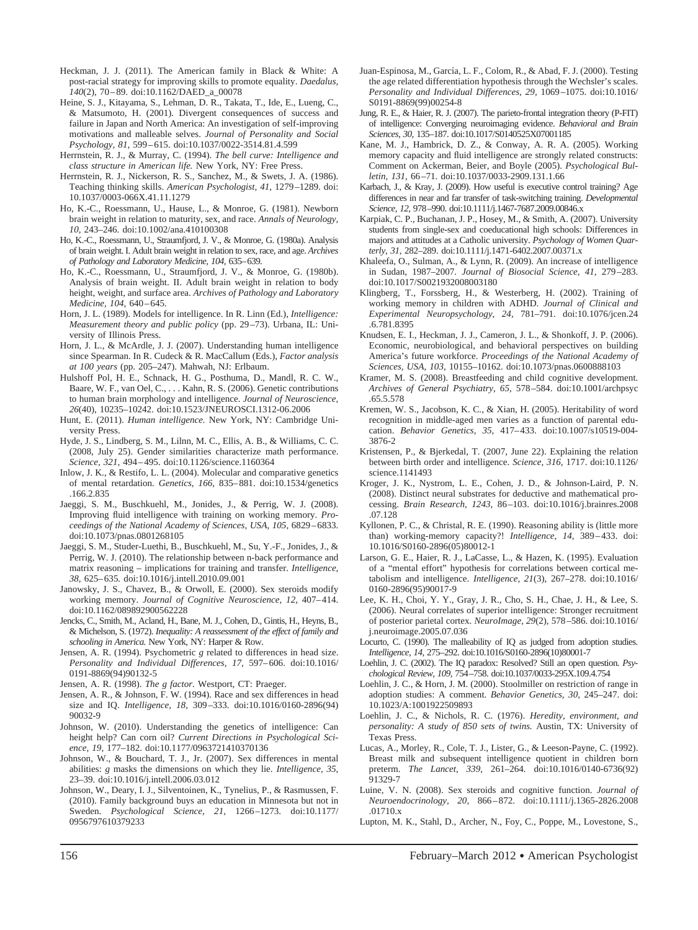- Heckman, J. J. (2011). The American family in Black & White: A post-racial strategy for improving skills to promote equality. *Daedalus, 140*(2), 70 – 89. [doi:10.1162/DAED\\_a\\_00078](http://dx.doi.org/10.1162/DAED_a_00078)
- Heine, S. J., Kitayama, S., Lehman, D. R., Takata, T., Ide, E., Lueng, C., & Matsumoto, H. (2001). Divergent consequences of success and failure in Japan and North America: An investigation of self-improving motivations and malleable selves. *Journal of Personality and Social Psychology, 81,* 599 – 615. [doi:10.1037/0022-3514.81.4.599](http://dx.doi.org/10.1037/0022-3514.81.4.599)
- Herrnstein, R. J., & Murray, C. (1994). *The bell curve: Intelligence and class structure in American life.* New York, NY: Free Press.
- Herrnstein, R. J., Nickerson, R. S., Sanchez, M., & Swets, J. A. (1986). Teaching thinking skills. *American Psychologist, 41,* 1279 –1289. [doi:](http://dx.doi.org/10.1037/0003-066X.41.11.1279) [10.1037/0003-066X.41.11.1279](http://dx.doi.org/10.1037/0003-066X.41.11.1279)
- Ho, K.-C., Roessmann, U., Hause, L., & Monroe, G. (1981). Newborn brain weight in relation to maturity, sex, and race. *Annals of Neurology, 10,* 243–246*.* [doi:10.1002/ana.410100308](http://dx.doi.org/10.1002/ana.410100308)
- Ho, K.-C., Roessmann, U., Straumfjord, J. V., & Monroe, G. (1980a). Analysis of brain weight. I. Adult brain weight in relation to sex, race, and age. *Archives of Pathology and Laboratory Medicine, 104,* 635–639.
- Ho, K.-C., Roessmann, U., Straumfjord, J. V., & Monroe, G. (1980b). Analysis of brain weight. II. Adult brain weight in relation to body height, weight, and surface area. *Archives of Pathology and Laboratory Medicine, 104,* 640 – 645.
- Horn, J. L. (1989). Models for intelligence. In R. Linn (Ed.), *Intelligence: Measurement theory and public policy* (pp. 29 –73). Urbana, IL: University of Illinois Press.
- Horn, J. L., & McArdle, J. J. (2007). Understanding human intelligence since Spearman. In R. Cudeck & R. MacCallum (Eds.), *Factor analysis at 100 years* (pp. 205–247). Mahwah, NJ: Erlbaum.
- Hulshoff Pol, H. E., Schnack, H. G., Posthuma, D., Mandl, R. C. W., Baare, W. F., van Oel, C., . . . Kahn, R. S. (2006). Genetic contributions to human brain morphology and intelligence. *Journal of Neuroscience, 26*(40), 10235–10242. [doi:10.1523/JNEUROSCI.1312-06.2006](http://dx.doi.org/10.1523/JNEUROSCI.1312-06.2006)
- Hunt, E. (2011). *Human intelligence.* New York, NY: Cambridge University Press.
- Hyde, J. S., Lindberg, S. M., Lilnn, M. C., Ellis, A. B., & Williams, C. C. (2008, July 25). Gender similarities characterize math performance. *Science, 321,* 494 – 495. [doi:10.1126/science.1160364](http://dx.doi.org/10.1126/science.1160364)
- Inlow, J. K., & Restifo, L. L. (2004). Molecular and comparative genetics of mental retardation. *Genetics, 166,* 835– 881. [doi:10.1534/genetics](http://dx.doi.org/10.1534/genetics.166.2.835) [.166.2.835](http://dx.doi.org/10.1534/genetics.166.2.835)
- Jaeggi, S. M., Buschkuehl, M., Jonides, J., & Perrig, W. J. (2008). Improving fluid intelligence with training on working memory. *Proceedings of the National Academy of Sciences, USA, 105,* 6829 – 6833. [doi:10.1073/pnas.0801268105](http://dx.doi.org/10.1073/pnas.0801268105)
- Jaeggi, S. M., Studer-Luethi, B., Buschkuehl, M., Su, Y.-F., Jonides, J., & Perrig, W. J. (2010). The relationship between n-back performance and matrix reasoning – implications for training and transfer. *Intelligence, 38,* 625– 635*.* [doi:10.1016/j.intell.2010.09.001](http://dx.doi.org/10.1016/j.intell.2010.09.001)
- Janowsky, J. S., Chavez, B., & Orwoll, E. (2000). Sex steroids modify working memory. *Journal of Cognitive Neuroscience*, 12, 407-414. [doi:10.1162/089892900562228](http://dx.doi.org/10.1162/089892900562228)
- Jencks, C., Smith, M., Acland, H., Bane, M. J., Cohen, D., Gintis, H., Heyns, B., & Michelson, S. (1972). *Inequality: A reassessment of the effect of family and schooling in America.* New York, NY: Harper & Row.
- Jensen, A. R. (1994). Psychometric *g* related to differences in head size. *Personality and Individual Differences, 17,* 597– 606. [doi:10.1016/](http://dx.doi.org/10.1016/0191-8869%2894%2990132-5) [0191-8869\(94\)90132-5](http://dx.doi.org/10.1016/0191-8869%2894%2990132-5)
- Jensen, A. R. (1998). *The g factor.* Westport, CT: Praeger.
- Jensen, A. R., & Johnson, F. W. (1994). Race and sex differences in head size and IQ. *Intelligence, 18,* 309 –333. [doi:10.1016/0160-2896\(94\)](http://dx.doi.org/10.1016/0160-2896%2894%2990032-9) [90032-9](http://dx.doi.org/10.1016/0160-2896%2894%2990032-9)
- Johnson, W. (2010). Understanding the genetics of intelligence: Can height help? Can corn oil? *Current Directions in Psychological Science, 19,* 177–182. [doi:10.1177/0963721410370136](http://dx.doi.org/10.1177/0963721410370136)
- Johnson, W., & Bouchard, T. J., Jr. (2007). Sex differences in mental abilities: *g* masks the dimensions on which they lie. *Intelligence, 35,* 23–39. [doi:10.1016/j.intell.2006.03.012](http://dx.doi.org/10.1016/j.intell.2006.03.012)
- Johnson, W., Deary, I. J., Silventoinen, K., Tynelius, P., & Rasmussen, F. (2010). Family background buys an education in Minnesota but not in Sweden. *Psychological Science, 21,* 1266 –1273. [doi:10.1177/](http://dx.doi.org/10.1177/0956797610379233) [0956797610379233](http://dx.doi.org/10.1177/0956797610379233)
- Juan-Espinosa, M., García, L. F., Colom, R., & Abad, F. J. (2000). Testing the age related differentiation hypothesis through the Wechsler's scales. *Personality and Individual Differences, 29,* 1069 –1075. [doi:10.1016/](http://dx.doi.org/10.1016/S0191-8869%2899%2900254-8) [S0191-8869\(99\)00254-8](http://dx.doi.org/10.1016/S0191-8869%2899%2900254-8)
- Jung, R. E., & Haier, R. J. (2007). The parieto-frontal integration theory (P-FIT) of intelligence: Converging neuroimaging evidence. *Behavioral and Brain Sciences, 30,* 135–187. [doi:10.1017/S0140525X07001185](http://dx.doi.org/10.1017/S0140525X07001185)
- Kane, M. J., Hambrick, D. Z., & Conway, A. R. A. (2005). Working memory capacity and fluid intelligence are strongly related constructs: Comment on Ackerman, Beier, and Boyle (2005). *Psychological Bulletin, 131,* 66 –71. [doi:10.1037/0033-2909.131.1.66](http://dx.doi.org/10.1037/0033-2909.131.1.66)
- Karbach, J., & Kray, J. (2009). How useful is executive control training? Age differences in near and far transfer of task-switching training. *Developmental Science, 12,* 978–990. [doi:10.1111/j.1467-7687.2009.00846.x](http://dx.doi.org/10.1111/j.1467-7687.2009.00846.x)
- Karpiak, C. P., Buchanan, J. P., Hosey, M., & Smith, A. (2007). University students from single-sex and coeducational high schools: Differences in majors and attitudes at a Catholic university. *Psychology of Women Quarterly, 31,* 282–289. [doi:10.1111/j.1471-6402.2007.00371.x](http://dx.doi.org/10.1111/j.1471-6402.2007.00371.x)
- Khaleefa, O., Sulman, A., & Lynn, R. (2009). An increase of intelligence in Sudan, 1987–2007. *Journal of Biosocial Science, 41,* 279 –283. [doi:10.1017/S0021932008003180](http://dx.doi.org/10.1017/S0021932008003180)
- Klingberg, T., Forssberg, H., & Westerberg, H. (2002). Training of working memory in children with ADHD. *Journal of Clinical and Experimental Neuropsychology, 24,* 781–791. [doi:10.1076/jcen.24](http://dx.doi.org/10.1076/jcen.24.6.781.8395) [.6.781.8395](http://dx.doi.org/10.1076/jcen.24.6.781.8395)
- Knudsen, E. I., Heckman, J. J., Cameron, J. L., & Shonkoff, J. P. (2006). Economic, neurobiological, and behavioral perspectives on building America's future workforce. *Proceedings of the National Academy of Sciences, USA, 103,* 10155–10162. [doi:10.1073/pnas.0600888103](http://dx.doi.org/10.1073/pnas.0600888103)
- Kramer, M. S. (2008). Breastfeeding and child cognitive development. *Archives of General Psychiatry, 65,* 578 –584. [doi:10.1001/archpsyc](http://dx.doi.org/10.1001/archpsyc.65.5.578) [.65.5.578](http://dx.doi.org/10.1001/archpsyc.65.5.578)
- Kremen, W. S., Jacobson, K. C., & Xian, H. (2005). Heritability of word recognition in middle-aged men varies as a function of parental education. *Behavior Genetics, 35,* 417– 433. [doi:10.1007/s10519-004-](http://dx.doi.org/10.1007/s10519-004-3876-2) [3876-2](http://dx.doi.org/10.1007/s10519-004-3876-2)
- Kristensen, P., & Bjerkedal, T. (2007, June 22). Explaining the relation between birth order and intelligence. *Science, 316,* 1717. [doi:10.1126/](http://dx.doi.org/10.1126/science.1141493) [science.1141493](http://dx.doi.org/10.1126/science.1141493)
- Kroger, J. K., Nystrom, L. E., Cohen, J. D., & Johnson-Laird, P. N. (2008). Distinct neural substrates for deductive and mathematical processing. *Brain Research, 1243,* 86 –103. [doi:10.1016/j.brainres.2008](http://dx.doi.org/10.1016/j.brainres.2008.07.128) [.07.128](http://dx.doi.org/10.1016/j.brainres.2008.07.128)
- Kyllonen, P. C., & Christal, R. E. (1990). Reasoning ability is (little more than) working-memory capacity?! *Intelligence*, 14, 389-433. [doi:](http://dx.doi.org/10.1016/S0160-2896%2805%2980012-1) [10.1016/S0160-2896\(05\)80012-1](http://dx.doi.org/10.1016/S0160-2896%2805%2980012-1)
- Larson, G. E., Haier, R. J., LaCasse, L., & Hazen, K. (1995). Evaluation of a "mental effort" hypothesis for correlations between cortical metabolism and intelligence. *Intelligence, 21*(3), 267–278. [doi:10.1016/](http://dx.doi.org/10.1016/0160-2896%2895%2990017-9) [0160-2896\(95\)90017-9](http://dx.doi.org/10.1016/0160-2896%2895%2990017-9)
- Lee, K. H., Choi, Y. Y., Gray, J. R., Cho, S. H., Chae, J. H., & Lee, S. (2006). Neural correlates of superior intelligence: Stronger recruitment of posterior parietal cortex. *NeuroImage, 29*(2), 578 –586. [doi:10.1016/](http://dx.doi.org/10.1016/j.neuroimage.2005.07.036) [j.neuroimage.2005.07.036](http://dx.doi.org/10.1016/j.neuroimage.2005.07.036)
- Locurto, C. (1990). The malleability of IQ as judged from adoption studies. *Intelligence, 14,* 275–292. [doi:10.1016/S0160-2896\(10\)80001-7](http://dx.doi.org/10.1016/S0160-2896%2810%2980001-7)
- Loehlin, J. C. (2002). The IQ paradox: Resolved? Still an open question. *Psychological Review, 109,* 754–758. [doi:10.1037/0033-295X.109.4.754](http://dx.doi.org/10.1037/0033-295X.109.4.754)
- Loehlin, J. C., & Horn, J. M. (2000). Stoolmiller on restriction of range in adoption studies: A comment. *Behavior Genetics, 30,* 245–247. [doi:](http://dx.doi.org/10.1023/A:1001922509893) [10.1023/A:1001922509893](http://dx.doi.org/10.1023/A:1001922509893)
- Loehlin, J. C., & Nichols, R. C. (1976). *Heredity, environment, and personality: A study of 850 sets of twins.* Austin, TX: University of Texas Press.
- Lucas, A., Morley, R., Cole, T. J., Lister, G., & Leeson-Payne, C. (1992). Breast milk and subsequent intelligence quotient in children born preterm. *The Lancet, 339,* 261–264. [doi:10.1016/0140-6736\(92\)](http://dx.doi.org/10.1016/0140-6736%2892%2991329-7) [91329-7](http://dx.doi.org/10.1016/0140-6736%2892%2991329-7)
- Luine, V. N. (2008). Sex steroids and cognitive function. *Journal of Neuroendocrinology, 20,* 866 – 872. [doi:10.1111/j.1365-2826.2008](http://dx.doi.org/10.1111/j.1365-2826.2008.01710.x) [.01710.x](http://dx.doi.org/10.1111/j.1365-2826.2008.01710.x)
- Lupton, M. K., Stahl, D., Archer, N., Foy, C., Poppe, M., Lovestone, S.,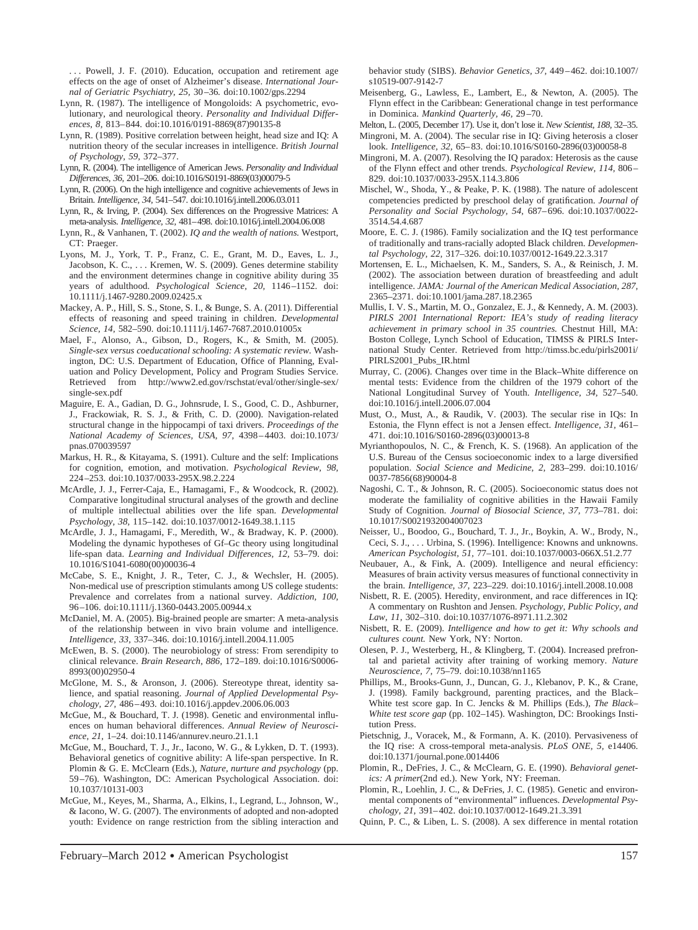. . . Powell, J. F. (2010). Education, occupation and retirement age effects on the age of onset of Alzheimer's disease. *International Journal of Geriatric Psychiatry, 25,* 30 –36*.* [doi:10.1002/gps.2294](http://dx.doi.org/10.1002/gps.2294)

- Lynn, R. (1987). The intelligence of Mongoloids: A psychometric, evolutionary, and neurological theory. *Personality and Individual Differences, 8,* 813– 844. [doi:10.1016/0191-8869\(87\)90135-8](http://dx.doi.org/10.1016/0191-8869%2887%2990135-8)
- Lynn, R. (1989). Positive correlation between height, head size and IQ: A nutrition theory of the secular increases in intelligence. *British Journal of Psychology, 59,* 372–377.
- Lynn, R. (2004). The intelligence of American Jews. *Personality and Individual Differences, 36,* 201–206. [doi:10.1016/S0191-8869\(03\)00079-5](http://dx.doi.org/10.1016/S0191-8869%2803%2900079-5)
- Lynn, R. (2006). On the high intelligence and cognitive achievements of Jews in Britain. *Intelligence, 34,* 541–547. [doi:10.1016/j.intell.2006.03.011](http://dx.doi.org/10.1016/j.intell.2006.03.011)
- Lynn, R., & Irving, P. (2004). Sex differences on the Progressive Matrices: A meta-analysis. *Intelligence, 32,* 481–498. [doi:10.1016/j.intell.2004.06.008](http://dx.doi.org/10.1016/j.intell.2004.06.008)
- Lynn, R., & Vanhanen, T. (2002). *IQ and the wealth of nations.* Westport, CT: Praeger.
- Lyons, M. J., York, T. P., Franz, C. E., Grant, M. D., Eaves, L. J., Jacobson, K. C., . . . Kremen, W. S. (2009). Genes determine stability and the environment determines change in cognitive ability during 35 years of adulthood. *Psychological Science*, 20, 1146-1152. [doi:](http://dx.doi.org/10.1111/j.1467-9280.2009.02425.x) [10.1111/j.1467-9280.2009.02425.x](http://dx.doi.org/10.1111/j.1467-9280.2009.02425.x)
- Mackey, A. P., Hill, S. S., Stone, S. I., & Bunge, S. A. (2011). Differential effects of reasoning and speed training in children. *Developmental Science, 14,* 582–590. [doi:10.1111/j.1467-7687.2010.01005x](http://dx.doi.org/10.1111/j.1467-7687.2010.01005x)
- Mael, F., Alonso, A., Gibson, D., Rogers, K., & Smith, M. (2005). *Single-sex versus coeducational schooling: A systematic review.* Washington, DC: U.S. Department of Education, Office of Planning, Evaluation and Policy Development, Policy and Program Studies Service. Retrieved from http://www2.ed.gov/rschstat/eval/other/single-sex/ single-sex.pdf
- Maguire, E. A., Gadian, D. G., Johnsrude, I. S., Good, C. D., Ashburner, J., Frackowiak, R. S. J., & Frith, C. D. (2000). Navigation-related structural change in the hippocampi of taxi drivers. *Proceedings of the National Academy of Sciences, USA, 97,* 4398 – 4403. [doi:10.1073/](http://dx.doi.org/10.1073/pnas.070039597) [pnas.070039597](http://dx.doi.org/10.1073/pnas.070039597)
- Markus, H. R., & Kitayama, S. (1991). Culture and the self: Implications for cognition, emotion, and motivation. *Psychological Review, 98,* 224 –253. [doi:10.1037/0033-295X.98.2.224](http://dx.doi.org/10.1037/0033-295X.98.2.224)
- McArdle, J. J., Ferrer-Caja, E., Hamagami, F., & Woodcock, R. (2002). Comparative longitudinal structural analyses of the growth and decline of multiple intellectual abilities over the life span. *Developmental Psychology, 38,* 115–142. [doi:10.1037/0012-1649.38.1.115](http://dx.doi.org/10.1037/0012-1649.38.1.115)
- McArdle, J. J., Hamagami, F., Meredith, W., & Bradway, K. P. (2000). Modeling the dynamic hypotheses of Gf–Gc theory using longitudinal life-span data. *Learning and Individual Differences, 12,* 53–79. [doi:](http://dx.doi.org/10.1016/S1041-6080%2800%2900036-4) [10.1016/S1041-6080\(00\)00036-4](http://dx.doi.org/10.1016/S1041-6080%2800%2900036-4)
- McCabe, S. E., Knight, J. R., Teter, C. J., & Wechsler, H. (2005). Non-medical use of prescription stimulants among US college students: Prevalence and correlates from a national survey. *Addiction, 100,* 96 –106. [doi:10.1111/j.1360-0443.2005.00944.x](http://dx.doi.org/10.1111/j.1360-0443.2005.00944.x)
- McDaniel, M. A. (2005). Big-brained people are smarter: A meta-analysis of the relationship between in vivo brain volume and intelligence. *Intelligence, 33,* 337–346. [doi:10.1016/j.intell.2004.11.005](http://dx.doi.org/10.1016/j.intell.2004.11.005)
- McEwen, B. S. (2000). The neurobiology of stress: From serendipity to clinical relevance. *Brain Research, 886,* 172–189. [doi:10.1016/S0006-](http://dx.doi.org/10.1016/S0006-8993%2800%2902950-4) [8993\(00\)02950-4](http://dx.doi.org/10.1016/S0006-8993%2800%2902950-4)
- McGlone, M. S., & Aronson, J. (2006). Stereotype threat, identity salience, and spatial reasoning. *Journal of Applied Developmental Psychology, 27,* 486 – 493. [doi:10.1016/j.appdev.2006.06.003](http://dx.doi.org/10.1016/j.appdev.2006.06.003)
- McGue, M., & Bouchard, T. J. (1998). Genetic and environmental influences on human behavioral differences. *Annual Review of Neuroscience, 21,* 1–24. [doi:10.1146/annurev.neuro.21.1.1](http://dx.doi.org/10.1146/annurev.neuro.21.1.1)
- McGue, M., Bouchard, T. J., Jr., Iacono, W. G., & Lykken, D. T. (1993). Behavioral genetics of cognitive ability: A life-span perspective. In R. Plomin & G. E. McClearn (Eds.), *Nature, nurture and psychology* (pp. 59 –76). Washington, DC: American Psychological Association. [doi:](http://dx.doi.org/10.1037/10131-003) [10.1037/10131-003](http://dx.doi.org/10.1037/10131-003)
- McGue, M., Keyes, M., Sharma, A., Elkins, I., Legrand, L., Johnson, W., & Iacono, W. G. (2007). The environments of adopted and non-adopted youth: Evidence on range restriction from the sibling interaction and

behavior study (SIBS). *Behavior Genetics, 37,* 449 – 462. [doi:10.1007/](http://dx.doi.org/10.1007/s10519-007-9142-7) [s10519-007-9142-7](http://dx.doi.org/10.1007/s10519-007-9142-7)

- Meisenberg, G., Lawless, E., Lambert, E., & Newton, A. (2005). The Flynn effect in the Caribbean: Generational change in test performance in Dominica. *Mankind Quarterly, 46,* 29 –70.
- Melton, L. (2005, December 17). Use it, don't lose it. *New Scientist, 188,* 32–35.
- Mingroni, M. A. (2004). The secular rise in IQ: Giving heterosis a closer look. *Intelligence, 32,* 65– 83. [doi:10.1016/S0160-2896\(03\)00058-8](http://dx.doi.org/10.1016/S0160-2896%2803%2900058-8)
- Mingroni, M. A. (2007). Resolving the IQ paradox: Heterosis as the cause of the Flynn effect and other trends. *Psychological Review, 114,* 806 – 829. [doi:10.1037/0033-295X.114.3.806](http://dx.doi.org/10.1037/0033-295X.114.3.806)
- Mischel, W., Shoda, Y., & Peake, P. K. (1988). The nature of adolescent competencies predicted by preschool delay of gratification. *Journal of Personality and Social Psychology, 54,* 687– 696. [doi:10.1037/0022-](http://dx.doi.org/10.1037/0022-3514.54.4.687) [3514.54.4.687](http://dx.doi.org/10.1037/0022-3514.54.4.687)
- Moore, E. C. J. (1986). Family socialization and the IQ test performance of traditionally and trans-racially adopted Black children. *Developmental Psychology, 22,* 317–326. [doi:10.1037/0012-1649.22.3.317](http://dx.doi.org/10.1037/0012-1649.22.3.317)
- Mortensen, E. L., Michaelsen, K. M., Sanders, S. A., & Reinisch, J. M. (2002). The association between duration of breastfeeding and adult intelligence. *JAMA: Journal of the American Medical Association, 287,* 2365–2371. [doi:10.1001/jama.287.18.2365](http://dx.doi.org/10.1001/jama.287.18.2365)
- Mullis, I. V. S., Martin, M. O., Gonzalez, E. J., & Kennedy, A. M. (2003). *PIRLS 2001 International Report: IEA's study of reading literacy achievement in primary school in 35 countries.* Chestnut Hill, MA: Boston College, Lynch School of Education, TIMSS & PIRLS International Study Center. Retrieved from http://timss.bc.edu/pirls2001i/ PIRLS2001\_Pubs\_IR.html
- Murray, C. (2006). Changes over time in the Black–White difference on mental tests: Evidence from the children of the 1979 cohort of the National Longitudinal Survey of Youth. *Intelligence, 34,* 527–540. [doi:10.1016/j.intell.2006.07.004](http://dx.doi.org/10.1016/j.intell.2006.07.004)
- Must, O., Must, A., & Raudik, V. (2003). The secular rise in IQs: In Estonia, the Flynn effect is not a Jensen effect. *Intelligence, 31,* 461– 471. [doi:10.1016/S0160-2896\(03\)00013-8](http://dx.doi.org/10.1016/S0160-2896%2803%2900013-8)
- Myrianthopoulos, N. C., & French, K. S. (1968). An application of the U.S. Bureau of the Census socioeconomic index to a large diversified population. *Social Science and Medicine, 2,* 283–299. [doi:10.1016/](http://dx.doi.org/10.1016/0037-7856%2868%2990004-8) [0037-7856\(68\)90004-8](http://dx.doi.org/10.1016/0037-7856%2868%2990004-8)
- Nagoshi, C. T., & Johnson, R. C. (2005). Socioeconomic status does not moderate the familiality of cognitive abilities in the Hawaii Family Study of Cognition. *Journal of Biosocial Science, 37,* 773–781. [doi:](http://dx.doi.org/10.1017/S0021932004007023) [10.1017/S0021932004007023](http://dx.doi.org/10.1017/S0021932004007023)
- Neisser, U., Boodoo, G., Bouchard, T. J., Jr., Boykin, A. W., Brody, N., Ceci, S. J., . . . Urbina, S. (1996). Intelligence: Knowns and unknowns. *American Psychologist, 51,* 77–101. [doi:10.1037/0003-066X.51.2.77](http://dx.doi.org/10.1037/0003-066X.51.2.77)
- Neubauer, A., & Fink, A. (2009). Intelligence and neural efficiency: Measures of brain activity versus measures of functional connectivity in the brain. *Intelligence, 37,* 223–229. [doi:10.1016/j.intell.2008.10.008](http://dx.doi.org/10.1016/j.intell.2008.10.008)
- Nisbett, R. E. (2005). Heredity, environment, and race differences in IQ: A commentary on Rushton and Jensen. *Psychology, Public Policy, and Law, 11,* 302–310. [doi:10.1037/1076-8971.11.2.302](http://dx.doi.org/10.1037/1076-8971.11.2.302)
- Nisbett, R. E. (2009). *Intelligence and how to get it: Why schools and cultures count.* New York, NY: Norton.
- Olesen, P. J., Westerberg, H., & Klingberg, T. (2004). Increased prefrontal and parietal activity after training of working memory. *Nature Neuroscience, 7,* 75–79. [doi:10.1038/nn1165](http://dx.doi.org/10.1038/nn1165)
- Phillips, M., Brooks-Gunn, J., Duncan, G. J., Klebanov, P. K., & Crane, J. (1998). Family background, parenting practices, and the Black– White test score gap. In C. Jencks & M. Phillips (Eds.), *The Black– White test score gap* (pp. 102–145). Washington, DC: Brookings Institution Press.
- Pietschnig, J., Voracek, M., & Formann, A. K. (2010). Pervasiveness of the IQ rise: A cross-temporal meta-analysis. *PLoS ONE, 5,* e14406. [doi:10.1371/journal.pone.0014406](http://dx.doi.org/10.1371/journal.pone.0014406)
- Plomin, R., DeFries, J. C., & McClearn, G. E. (1990). *Behavioral genetics: A primer*(2nd ed.). New York, NY: Freeman.
- Plomin, R., Loehlin, J. C., & DeFries, J. C. (1985). Genetic and environmental components of "environmental" influences. *Developmental Psychology, 21,* 391– 402. [doi:10.1037/0012-1649.21.3.391](http://dx.doi.org/10.1037/0012-1649.21.3.391)
- Quinn, P. C., & Liben, L. S. (2008). A sex difference in mental rotation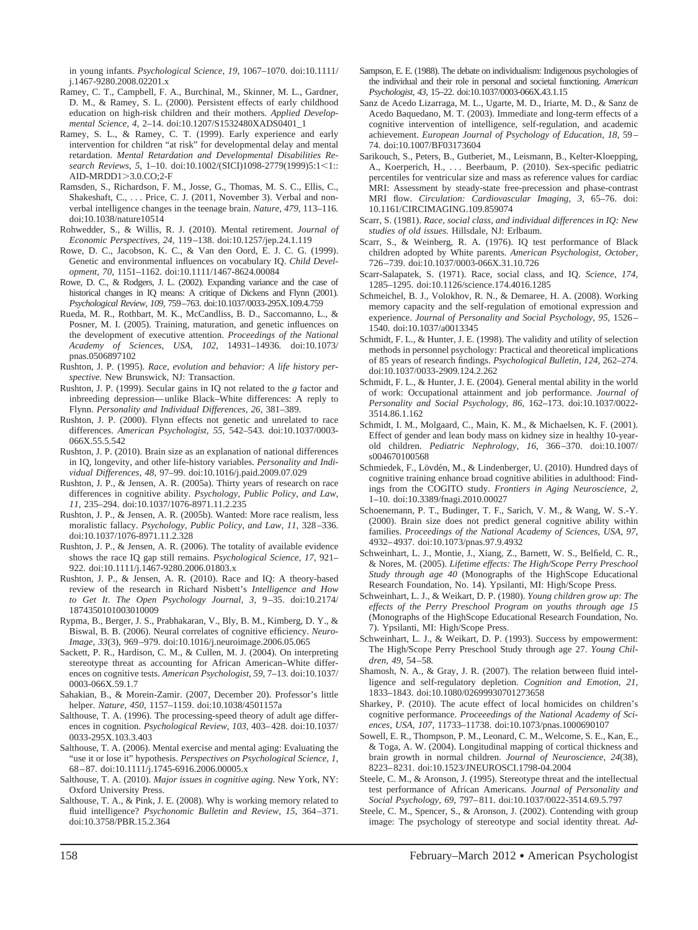in young infants. *Psychological Science, 19,* 1067–1070. [doi:10.1111/](http://dx.doi.org/10.1111/j.1467-9280.2008.02201.x) [j.1467-9280.2008.02201.x](http://dx.doi.org/10.1111/j.1467-9280.2008.02201.x)

- Ramey, C. T., Campbell, F. A., Burchinal, M., Skinner, M. L., Gardner, D. M., & Ramey, S. L. (2000). Persistent effects of early childhood education on high-risk children and their mothers. *Applied Developmental Science, 4,* 2–14. [doi:10.1207/S1532480XADS0401\\_1](http://dx.doi.org/10.1207/S1532480XADS0401_1)
- Ramey, S. L., & Ramey, C. T. (1999). Early experience and early intervention for children "at risk" for developmental delay and mental retardation. *Mental Retardation and Developmental Disabilities Research Reviews, 5,* 1-10. [doi:10.1002/\(SICI\)1098-2779\(1999\)5:1](http://dx.doi.org/10.1002/%28SICI%291098-2779%281999%295:1%3C1::AID-MRDD1%3E3.0.CO%3B2-F)<1:: [AID-MRDD1](http://dx.doi.org/10.1002/%28SICI%291098-2779%281999%295:1%3C1::AID-MRDD1%3E3.0.CO%3B2-F)>3.0.CO;2-F
- Ramsden, S., Richardson, F. M., Josse, G., Thomas, M. S. C., Ellis, C., Shakeshaft, C., ... Price, C. J. (2011, November 3). Verbal and nonverbal intelligence changes in the teenage brain. *Nature, 479,* 113–116*.* [doi:10.1038/nature10514](http://dx.doi.org/10.1038/nature10514)
- Rohwedder, S., & Willis, R. J. (2010). Mental retirement. *Journal of Economic Perspectives, 24,* 119 –138. [doi:10.1257/jep.24.1.119](http://dx.doi.org/10.1257/jep.24.1.119)
- Rowe, D. C., Jacobson, K. C., & Van den Oord, E. J. C. G. (1999). Genetic and environmental influences on vocabulary IQ. *Child Development, 70,* 1151–1162. [doi:10.1111/1467-8624.00084](http://dx.doi.org/10.1111/1467-8624.00084)
- Rowe, D. C., & Rodgers, J. L. (2002). Expanding variance and the case of historical changes in IQ means: A critique of Dickens and Flynn (2001). *Psychological Review, 109,* 759–763. [doi:10.1037/0033-295X.109.4.759](http://dx.doi.org/10.1037/0033-295X.109.4.759)
- Rueda, M. R., Rothbart, M. K., McCandliss, B. D., Saccomanno, L., & Posner, M. I. (2005). Training, maturation, and genetic influences on the development of executive attention. *Proceedings of the National Academy of Sciences, USA, 102,* 14931–14936*.* [doi:10.1073/](http://dx.doi.org/10.1073/pnas.0506897102) [pnas.0506897102](http://dx.doi.org/10.1073/pnas.0506897102)
- Rushton, J. P. (1995). *Race, evolution and behavior: A life history perspective.* New Brunswick, NJ: Transaction.
- Rushton, J. P. (1999). Secular gains in IQ not related to the *g* factor and inbreeding depression— unlike Black–White differences: A reply to Flynn. *Personality and Individual Differences, 26,* 381–389.
- Rushton, J. P. (2000). Flynn effects not genetic and unrelated to race differences. *American Psychologist, 55,* 542–543. [doi:10.1037/0003-](http://dx.doi.org/10.1037/0003-066X.55.5.542) [066X.55.5.542](http://dx.doi.org/10.1037/0003-066X.55.5.542)
- Rushton, J. P. (2010). Brain size as an explanation of national differences in IQ, longevity, and other life-history variables. *Personality and Individual Differences, 48,* 97–99. [doi:10.1016/j.paid.2009.07.029](http://dx.doi.org/10.1016/j.paid.2009.07.029)
- Rushton, J. P., & Jensen, A. R. (2005a). Thirty years of research on race differences in cognitive ability. *Psychology, Public Policy, and Law, 11,* 235–294. [doi:10.1037/1076-8971.11.2.235](http://dx.doi.org/10.1037/1076-8971.11.2.235)
- Rushton, J. P., & Jensen, A. R. (2005b). Wanted: More race realism, less moralistic fallacy. *Psychology, Public Policy, and Law, 11,* 328 –336. [doi:10.1037/1076-8971.11.2.328](http://dx.doi.org/10.1037/1076-8971.11.2.328)
- Rushton, J. P., & Jensen, A. R. (2006). The totality of available evidence shows the race IQ gap still remains. *Psychological Science, 17,* 921– 922. [doi:10.1111/j.1467-9280.2006.01803.x](http://dx.doi.org/10.1111/j.1467-9280.2006.01803.x)
- Rushton, J. P., & Jensen, A. R. (2010). Race and IQ: A theory-based review of the research in Richard Nisbett's *Intelligence and How to Get It*. *The Open Psychology Journal, 3,* 9 –35. [doi:10.2174/](http://dx.doi.org/10.2174/1874350101003010009) [1874350101003010009](http://dx.doi.org/10.2174/1874350101003010009)
- Rypma, B., Berger, J. S., Prabhakaran, V., Bly, B. M., Kimberg, D. Y., & Biswal, B. B. (2006). Neural correlates of cognitive efficiency. *Neuro-Image, 33*(3), 969 –979. [doi:10.1016/j.neuroimage.2006.05.065](http://dx.doi.org/10.1016/j.neuroimage.2006.05.065)
- Sackett, P. R., Hardison, C. M., & Cullen, M. J. (2004). On interpreting stereotype threat as accounting for African American–White differences on cognitive tests. *American Psychologist, 59,* 7–13. [doi:10.1037/](http://dx.doi.org/10.1037/0003-066X.59.1.7) [0003-066X.59.1.7](http://dx.doi.org/10.1037/0003-066X.59.1.7)
- Sahakian, B., & Morein-Zamir. (2007, December 20). Professor's little helper. *Nature, 450,* 1157–1159. [doi:10.1038/4501157a](http://dx.doi.org/10.1038/4501157a)
- Salthouse, T. A. (1996). The processing-speed theory of adult age differences in cognition. *Psychological Review, 103,* 403– 428. [doi:10.1037/](http://dx.doi.org/10.1037/0033-295X.103.3.403) [0033-295X.103.3.403](http://dx.doi.org/10.1037/0033-295X.103.3.403)
- Salthouse, T. A. (2006). Mental exercise and mental aging: Evaluating the "use it or lose it" hypothesis. *Perspectives on Psychological Science, 1,* 68 – 87. [doi:10.1111/j.1745-6916.2006.00005.x](http://dx.doi.org/10.1111/j.1745-6916.2006.00005.x)
- Salthouse, T. A. (2010). *Major issues in cognitive aging.* New York, NY: Oxford University Press.
- Salthouse, T. A., & Pink, J. E. (2008). Why is working memory related to fluid intelligence? *Psychonomic Bulletin and Review, 15,* 364 –371. [doi:10.3758/PBR.15.2.364](http://dx.doi.org/10.3758/PBR.15.2.364)
- Sampson, E. E. (1988). The debate on individualism: Indigenous psychologies of the individual and their role in personal and societal functioning. *American Psychologist, 43,* 15–22. [doi:10.1037/0003-066X.43.1.15](http://dx.doi.org/10.1037/0003-066X.43.1.15)
- Sanz de Acedo Lizarraga, M. L., Ugarte, M. D., Iriarte, M. D., & Sanz de Acedo Baquedano, M. T. (2003). Immediate and long-term effects of a cognitive intervention of intelligence, self-regulation, and academic achievement. *European Journal of Psychology of Education, 18,* 59 – 74. [doi:10.1007/BF03173604](http://dx.doi.org/10.1007/BF03173604)
- Sarikouch, S., Peters, B., Gutberiet, M., Leismann, B., Kelter-Kloepping, A., Koerperich, H., . . . Beerbaum, P. (2010). Sex-specific pediatric percentiles for ventricular size and mass as reference values for cardiac MRI: Assessment by steady-state free-precession and phase-contrast MRI flow. *Circulation: Cardiovascular Imaging, 3,* 65–76. [doi:](http://dx.doi.org/10.1161/CIRCIMAGING.109.859074) [10.1161/CIRCIMAGING.109.859074](http://dx.doi.org/10.1161/CIRCIMAGING.109.859074)
- Scarr, S. (1981). *Race, social class, and individual differences in IQ: New studies of old issues.* Hillsdale, NJ: Erlbaum.
- Scarr, S., & Weinberg, R. A. (1976). IQ test performance of Black children adopted by White parents. *American Psychologist, October,* 726 –739. [doi:10.1037/0003-066X.31.10.726](http://dx.doi.org/10.1037/0003-066X.31.10.726)
- Scarr-Salapatek, S. (1971). Race, social class, and IQ. *Science, 174,* 1285–1295. [doi:10.1126/science.174.4016.1285](http://dx.doi.org/10.1126/science.174.4016.1285)
- Schmeichel, B. J., Volokhov, R. N., & Demaree, H. A. (2008). Working memory capacity and the self-regulation of emotional expression and experience. *Journal of Personality and Social Psychology, 95,* 1526 – 1540. [doi:10.1037/a0013345](http://dx.doi.org/10.1037/a0013345)
- Schmidt, F. L., & Hunter, J. E. (1998). The validity and utility of selection methods in personnel psychology: Practical and theoretical implications of 85 years of research findings. *Psychological Bulletin, 124,* 262–274. [doi:10.1037/0033-2909.124.2.262](http://dx.doi.org/10.1037/0033-2909.124.2.262)
- Schmidt, F. L., & Hunter, J. E. (2004). General mental ability in the world of work: Occupational attainment and job performance. *Journal of Personality and Social Psychology, 86,* 162–173. [doi:10.1037/0022-](http://dx.doi.org/10.1037/0022-3514.86.1.162) [3514.86.1.162](http://dx.doi.org/10.1037/0022-3514.86.1.162)
- Schmidt, I. M., Molgaard, C., Main, K. M., & Michaelsen, K. F. (2001). Effect of gender and lean body mass on kidney size in healthy 10-yearold children. *Pediatric Nephrology, 16,* 366 –370. [doi:10.1007/](http://dx.doi.org/10.1007/s004670100568) [s004670100568](http://dx.doi.org/10.1007/s004670100568)
- Schmiedek, F., Lövdén, M., & Lindenberger, U. (2010). Hundred days of cognitive training enhance broad cognitive abilities in adulthood: Findings from the COGITO study. *Frontiers in Aging Neuroscience, 2,* 1–10. [doi:10.3389/fnagi.2010.00027](http://dx.doi.org/10.3389/fnagi.2010.00027)
- Schoenemann, P. T., Budinger, T. F., Sarich, V. M., & Wang, W. S.-Y. (2000). Brain size does not predict general cognitive ability within families. *Proceedings of the National Academy of Sciences, USA, 97,* 4932– 4937. [doi:10.1073/pnas.97.9.4932](http://dx.doi.org/10.1073/pnas.97.9.4932)
- Schweinhart, L. J., Montie, J., Xiang, Z., Barnett, W. S., Belfield, C. R., & Nores, M. (2005). *Lifetime effects: The High/Scope Perry Preschool Study through age 40* (Monographs of the HighScope Educational Research Foundation, No. 14)*.* Ypsilanti, MI: High/Scope Press.
- Schweinhart, L. J., & Weikart, D. P. (1980). *Young children grow up: The effects of the Perry Preschool Program on youths through age 15* (Monographs of the HighScope Educational Research Foundation, No. 7). Ypsilanti, MI: High/Scope Press.
- Schweinhart, L. J., & Weikart, D. P. (1993). Success by empowerment: The High/Scope Perry Preschool Study through age 27. *Young Children, 49,* 54 –58*.*
- Shamosh, N. A., & Gray, J. R. (2007). The relation between fluid intelligence and self-regulatory depletion. *Cognition and Emotion, 21,* 1833–1843. [doi:10.1080/02699930701273658](http://dx.doi.org/10.1080/02699930701273658)
- Sharkey, P. (2010). The acute effect of local homicides on children's cognitive performance. *Proceeedings of the National Academy of Sciences, USA, 107,* 11733–11738. [doi:10.1073/pnas.1000690107](http://dx.doi.org/10.1073/pnas.1000690107)
- Sowell, E. R., Thompson, P. M., Leonard, C. M., Welcome, S. E., Kan, E., & Toga, A. W. (2004). Longitudinal mapping of cortical thickness and brain growth in normal children. *Journal of Neuroscience, 24*(38), 8223– 8231. [doi:10.1523/JNEUROSCI.1798-04.2004](http://dx.doi.org/10.1523/JNEUROSCI.1798-04.2004)
- Steele, C. M., & Aronson, J. (1995). Stereotype threat and the intellectual test performance of African Americans. *Journal of Personality and Social Psychology, 69,* 797– 811. [doi:10.1037/0022-3514.69.5.797](http://dx.doi.org/10.1037/0022-3514.69.5.797)
- Steele, C. M., Spencer, S., & Aronson, J. (2002). Contending with group image: The psychology of stereotype and social identity threat. *Ad-*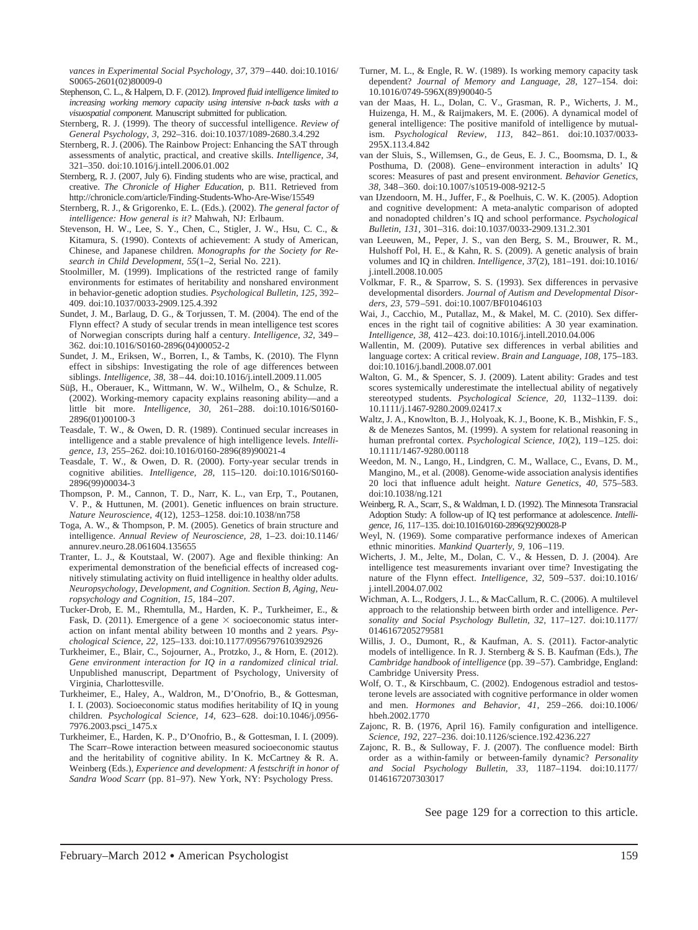*vances in Experimental Social Psychology, 37,* 379 – 440. [doi:10.1016/](http://dx.doi.org/10.1016/S0065-2601%2802%2980009-0) [S0065-2601\(02\)80009-0](http://dx.doi.org/10.1016/S0065-2601%2802%2980009-0)

- Stephenson, C. L., & Halpern, D. F. (2012). *Improved fluid intelligence limited to increasing working memory capacity using intensive n-back tasks with a visuospatial component.* Manuscript submitted for publication.
- Sternberg, R. J. (1999). The theory of successful intelligence. *Review of General Psychology, 3,* 292–316. [doi:10.1037/1089-2680.3.4.292](http://dx.doi.org/10.1037/1089-2680.3.4.292)
- Sternberg, R. J. (2006). The Rainbow Project: Enhancing the SAT through assessments of analytic, practical, and creative skills. *Intelligence, 34,* 321–350. [doi:10.1016/j.intell.2006.01.002](http://dx.doi.org/10.1016/j.intell.2006.01.002)
- Sternberg, R. J. (2007, July 6). Finding students who are wise, practical, and creative. *The Chronicle of Higher Education,* p. B11*.* Retrieved from http://chronicle.com/article/Finding-Students-Who-Are-Wise/15549
- Sternberg, R. J., & Grigorenko, E. L. (Eds.). (2002). *The general factor of intelligence: How general is it?* Mahwah, NJ: Erlbaum.
- Stevenson, H. W., Lee, S. Y., Chen, C., Stigler, J. W., Hsu, C. C., & Kitamura, S. (1990). Contexts of achievement: A study of American, Chinese, and Japanese children. *Monographs for the Society for Research in Child Development, 55*(1–2, Serial No. 221).
- Stoolmiller, M. (1999). Implications of the restricted range of family environments for estimates of heritability and nonshared environment in behavior-genetic adoption studies. *Psychological Bulletin, 125,* 392– 409. [doi:10.1037/0033-2909.125.4.392](http://dx.doi.org/10.1037/0033-2909.125.4.392)
- Sundet, J. M., Barlaug, D. G., & Torjussen, T. M. (2004). The end of the Flynn effect? A study of secular trends in mean intelligence test scores of Norwegian conscripts during half a century. *Intelligence, 32,* 349 – 362. [doi:10.1016/S0160-2896\(04\)00052-2](http://dx.doi.org/10.1016/S0160-2896%2804%2900052-2)
- Sundet, J. M., Eriksen, W., Borren, I., & Tambs, K. (2010). The Flynn effect in sibships: Investigating the role of age differences between siblings. *Intelligence, 38,* 38 – 44*.* [doi:10.1016/j.intell.2009.11.005](http://dx.doi.org/10.1016/j.intell.2009.11.005)
- Süß, H., Oberauer, K., Wittmann, W. W., Wilhelm, O., & Schulze, R. (2002). Working-memory capacity explains reasoning ability—and a little bit more. *Intelligence, 30,* 261–288. [doi:10.1016/S0160-](http://dx.doi.org/10.1016/S0160-2896%2801%2900100-3) [2896\(01\)00100-3](http://dx.doi.org/10.1016/S0160-2896%2801%2900100-3)
- Teasdale, T. W., & Owen, D. R. (1989). Continued secular increases in intelligence and a stable prevalence of high intelligence levels. *Intelligence, 13,* 255–262. [doi:10.1016/0160-2896\(89\)90021-4](http://dx.doi.org/10.1016/0160-2896%2889%2990021-4)
- Teasdale, T. W., & Owen, D. R. (2000). Forty-year secular trends in cognitive abilities. *Intelligence, 28,* 115–120. [doi:10.1016/S0160-](http://dx.doi.org/10.1016/S0160-2896%2899%2900034-3) [2896\(99\)00034-3](http://dx.doi.org/10.1016/S0160-2896%2899%2900034-3)
- Thompson, P. M., Cannon, T. D., Narr, K. L., van Erp, T., Poutanen, V. P., & Huttunen, M. (2001). Genetic influences on brain structure. *Nature Neuroscience, 4*(12), 1253–1258. [doi:10.1038/nn758](http://dx.doi.org/10.1038/nn758)
- Toga, A. W., & Thompson, P. M. (2005). Genetics of brain structure and intelligence. *Annual Review of Neuroscience, 28,* 1–23. [doi:10.1146/](http://dx.doi.org/10.1146/annurev.neuro.28.061604.135655) [annurev.neuro.28.061604.135655](http://dx.doi.org/10.1146/annurev.neuro.28.061604.135655)
- Tranter, L. J., & Koutstaal, W. (2007). Age and flexible thinking: An experimental demonstration of the beneficial effects of increased cognitively stimulating activity on fluid intelligence in healthy older adults. *Neuropsychology, Development, and Cognition. Section B, Aging, Neuropsychology and Cognition, 15,* 184 –207.
- Tucker-Drob, E. M., Rhemtulla, M., Harden, K. P., Turkheimer, E., & Fask, D. (2011). Emergence of a gene  $\times$  socioeconomic status interaction on infant mental ability between 10 months and 2 years. *Psychological Science, 22,* 125–133. [doi:10.1177/0956797610392926](http://dx.doi.org/10.1177/0956797610392926)
- Turkheimer, E., Blair, C., Sojourner, A., Protzko, J., & Horn, E. (2012). *Gene environment interaction for IQ in a randomized clinical trial.* Unpublished manuscript, Department of Psychology, University of Virginia, Charlottesville.
- Turkheimer, E., Haley, A., Waldron, M., D'Onofrio, B., & Gottesman, I. I. (2003). Socioeconomic status modifies heritability of IQ in young children. *Psychological Science, 14,* 623– 628. [doi:10.1046/j.0956-](http://dx.doi.org/10.1046/j.0956-7976.2003.psci_1475.x) [7976.2003.psci\\_1475.x](http://dx.doi.org/10.1046/j.0956-7976.2003.psci_1475.x)
- Turkheimer, E., Harden, K. P., D'Onofrio, B., & Gottesman, I. I. (2009). The Scarr–Rowe interaction between measured socioeconomic stautus and the heritability of cognitive ability. In K. McCartney & R. A. Weinberg (Eds.), *Experience and development: A festschrift in honor of Sandra Wood Scarr* (pp. 81–97). New York, NY: Psychology Press.
- Turner, M. L., & Engle, R. W. (1989). Is working memory capacity task dependent? *Journal of Memory and Language, 28,* 127–154. [doi:](http://dx.doi.org/10.1016/0749-596X%2889%2990040-5) [10.1016/0749-596X\(89\)90040-5](http://dx.doi.org/10.1016/0749-596X%2889%2990040-5)
- van der Maas, H. L., Dolan, C. V., Grasman, R. P., Wicherts, J. M., Huizenga, H. M., & Raijmakers, M. E. (2006). A dynamical model of general intelligence: The positive manifold of intelligence by mutualism. *Psychological Review, 113,* 842– 861. [doi:10.1037/0033-](http://dx.doi.org/10.1037/0033-295X.113.4.842) [295X.113.4.842](http://dx.doi.org/10.1037/0033-295X.113.4.842)
- van der Sluis, S., Willemsen, G., de Geus, E. J. C., Boomsma, D. I., & Posthuma, D. (2008). Gene– environment interaction in adults' IQ scores: Measures of past and present environment. *Behavior Genetics, 38,* 348 –360. [doi:10.1007/s10519-008-9212-5](http://dx.doi.org/10.1007/s10519-008-9212-5)
- van IJzendoorn, M. H., Juffer, F., & Poelhuis, C. W. K. (2005). Adoption and cognitive development: A meta-analytic comparison of adopted and nonadopted children's IQ and school performance. *Psychological Bulletin, 131,* 301–316. [doi:10.1037/0033-2909.131.2.301](http://dx.doi.org/10.1037/0033-2909.131.2.301)
- van Leeuwen, M., Peper, J. S., van den Berg, S. M., Brouwer, R. M., Hulshoff Pol, H. E., & Kahn, R. S. (2009). A genetic analysis of brain volumes and IQ in children. *Intelligence, 37*(2), 181–191. [doi:10.1016/](http://dx.doi.org/10.1016/j.intell.2008.10.005) [j.intell.2008.10.005](http://dx.doi.org/10.1016/j.intell.2008.10.005)
- Volkmar, F. R., & Sparrow, S. S. (1993). Sex differences in pervasive developmental disorders. *Journal of Autism and Developmental Disorders, 23,* 579 –591. [doi:10.1007/BF01046103](http://dx.doi.org/10.1007/BF01046103)
- Wai, J., Cacchio, M., Putallaz, M., & Makel, M. C. (2010). Sex differences in the right tail of cognitive abilities: A 30 year examination. *Intelligence, 38,* 412– 423. [doi:10.1016/j.intell.2010.04.006](http://dx.doi.org/10.1016/j.intell.2010.04.006)
- Wallentin, M. (2009). Putative sex differences in verbal abilities and language cortex: A critical review. *Brain and Language, 108,* 175–183. [doi:10.1016/j.bandl.2008.07.001](http://dx.doi.org/10.1016/j.bandl.2008.07.001)
- Walton, G. M., & Spencer, S. J. (2009). Latent ability: Grades and test scores systemically underestimate the intellectual ability of negatively stereotyped students. *Psychological Science, 20,* 1132–1139. [doi:](http://dx.doi.org/10.1111/j.1467-9280.2009.02417.x) [10.1111/j.1467-9280.2009.02417.x](http://dx.doi.org/10.1111/j.1467-9280.2009.02417.x)
- Waltz, J. A., Knowlton, B. J., Holyoak, K. J., Boone, K. B., Mishkin, F. S., & de Menezes Santos, M. (1999). A system for relational reasoning in human prefrontal cortex. *Psychological Science*, 10(2), 119-125. [doi:](http://dx.doi.org/10.1111/1467-9280.00118) [10.1111/1467-9280.00118](http://dx.doi.org/10.1111/1467-9280.00118)
- Weedon, M. N., Lango, H., Lindgren, C. M., Wallace, C., Evans, D. M., Mangino, M., et al. (2008). Genome-wide association analysis identifies 20 loci that influence adult height. *Nature Genetics, 40,* 575–583. [doi:10.1038/ng.121](http://dx.doi.org/10.1038/ng.121)
- Weinberg, R. A., Scarr, S., & Waldman, I. D. (1992). The Minnesota Transracial Adoption Study: A follow-up of IQ test performance at adolescence. *Intelligence, 16,* 117–135. [doi:10.1016/0160-2896\(92\)90028-P](http://dx.doi.org/10.1016/0160-2896%2892%2990028-P)
- Weyl, N. (1969). Some comparative performance indexes of American ethnic minorities. *Mankind Quarterly, 9,* 106 –119.
- Wicherts, J. M., Jelte, M., Dolan, C. V., & Hessen, D. J. (2004). Are intelligence test measurements invariant over time? Investigating the nature of the Flynn effect. *Intelligence, 32,* 509 –537. [doi:10.1016/](http://dx.doi.org/10.1016/j.intell.2004.07.002) [j.intell.2004.07.002](http://dx.doi.org/10.1016/j.intell.2004.07.002)
- Wichman, A. L., Rodgers, J. L., & MacCallum, R. C. (2006). A multilevel approach to the relationship between birth order and intelligence. *Personality and Social Psychology Bulletin, 32,* 117–127. [doi:10.1177/](http://dx.doi.org/10.1177/0146167205279581) [0146167205279581](http://dx.doi.org/10.1177/0146167205279581)
- Willis, J. O., Dumont, R., & Kaufman, A. S. (2011). Factor-analytic models of intelligence. In R. J. Sternberg & S. B. Kaufman (Eds.), *The Cambridge handbook of intelligence* (pp. 39 –57). Cambridge, England: Cambridge University Press.
- Wolf, O. T., & Kirschbaum, C. (2002). Endogenous estradiol and testosterone levels are associated with cognitive performance in older women and men. *Hormones and Behavior, 41,* 259 –266. [doi:10.1006/](http://dx.doi.org/10.1006/hbeh.2002.1770) [hbeh.2002.1770](http://dx.doi.org/10.1006/hbeh.2002.1770)
- Zajonc, R. B. (1976, April 16). Family configuration and intelligence. *Science, 192,* 227–236. [doi:10.1126/science.192.4236.227](http://dx.doi.org/10.1126/science.192.4236.227)
- Zajonc, R. B., & Sulloway, F. J. (2007). The confluence model: Birth order as a within-family or between-family dynamic? *Personality and Social Psychology Bulletin, 33,* 1187–1194. [doi:10.1177/](http://dx.doi.org/10.1177/0146167207303017) [0146167207303017](http://dx.doi.org/10.1177/0146167207303017)

See page 129 for a correction to this article.